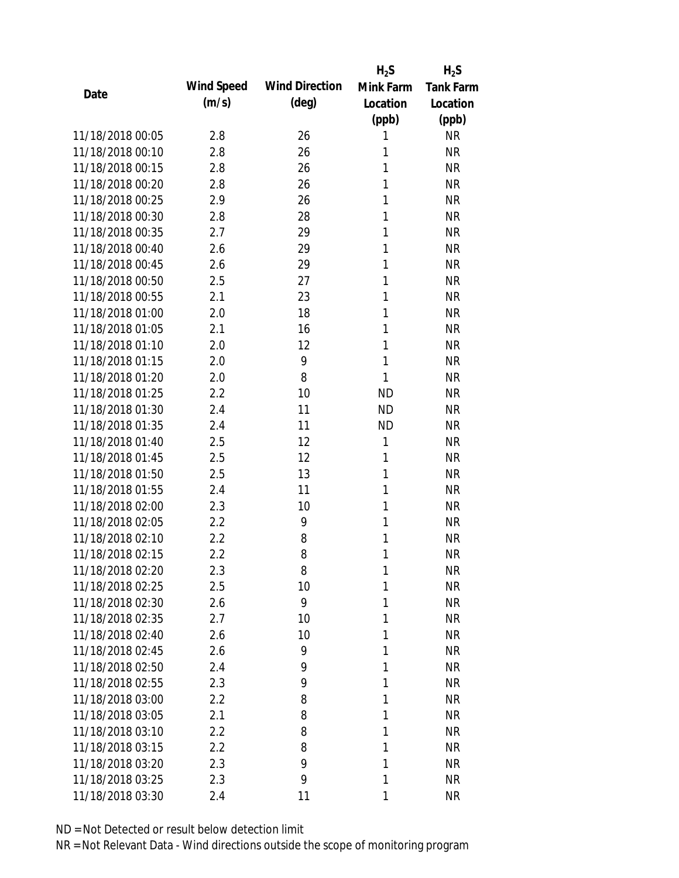|                  |            |                       | $H_2S$       | $H_2S$           |
|------------------|------------|-----------------------|--------------|------------------|
|                  | Wind Speed | <b>Wind Direction</b> | Mink Farm    | <b>Tank Farm</b> |
| Date             | (m/s)      | $(\text{deg})$        | Location     | Location         |
|                  |            |                       | (ppb)        | (ppb)            |
| 11/18/2018 00:05 | 2.8        | 26                    | 1            | <b>NR</b>        |
| 11/18/2018 00:10 | 2.8        | 26                    | 1            | <b>NR</b>        |
| 11/18/2018 00:15 | 2.8        | 26                    | 1            | <b>NR</b>        |
| 11/18/2018 00:20 | 2.8        | 26                    | 1            | <b>NR</b>        |
| 11/18/2018 00:25 | 2.9        | 26                    | 1            | <b>NR</b>        |
| 11/18/2018 00:30 | 2.8        | 28                    | 1            | <b>NR</b>        |
| 11/18/2018 00:35 | 2.7        | 29                    | 1            | <b>NR</b>        |
| 11/18/2018 00:40 | 2.6        | 29                    | 1            | <b>NR</b>        |
| 11/18/2018 00:45 | 2.6        | 29                    | 1            | <b>NR</b>        |
| 11/18/2018 00:50 | 2.5        | 27                    | 1            | <b>NR</b>        |
| 11/18/2018 00:55 | 2.1        | 23                    | 1            | <b>NR</b>        |
| 11/18/2018 01:00 | 2.0        | 18                    | 1            | <b>NR</b>        |
| 11/18/2018 01:05 | 2.1        | 16                    | 1            | <b>NR</b>        |
| 11/18/2018 01:10 | 2.0        | 12                    | 1            | <b>NR</b>        |
| 11/18/2018 01:15 | 2.0        | 9                     | 1            | <b>NR</b>        |
| 11/18/2018 01:20 | 2.0        | 8                     | 1            | <b>NR</b>        |
| 11/18/2018 01:25 | 2.2        | 10                    | <b>ND</b>    | <b>NR</b>        |
| 11/18/2018 01:30 | 2.4        | 11                    | <b>ND</b>    | <b>NR</b>        |
| 11/18/2018 01:35 | 2.4        | 11                    | <b>ND</b>    | <b>NR</b>        |
| 11/18/2018 01:40 | 2.5        | 12                    | $\mathbf{1}$ | <b>NR</b>        |
| 11/18/2018 01:45 | 2.5        | 12                    | 1            | <b>NR</b>        |
| 11/18/2018 01:50 | 2.5        | 13                    | 1            | <b>NR</b>        |
| 11/18/2018 01:55 | 2.4        | 11                    | 1            | <b>NR</b>        |
| 11/18/2018 02:00 | 2.3        | 10                    | 1            | <b>NR</b>        |
| 11/18/2018 02:05 | 2.2        | 9                     | 1            | <b>NR</b>        |
| 11/18/2018 02:10 | 2.2        | 8                     | 1            | <b>NR</b>        |
| 11/18/2018 02:15 | 2.2        | 8                     | 1            | <b>NR</b>        |
| 11/18/2018 02:20 | 2.3        | 8                     | 1            | <b>NR</b>        |
| 11/18/2018 02:25 | 2.5        | 10                    | 1            | <b>NR</b>        |
| 11/18/2018 02:30 | 2.6        | 9                     | 1            | <b>NR</b>        |
| 11/18/2018 02:35 | 2.7        | 10                    | 1            | <b>NR</b>        |
| 11/18/2018 02:40 | 2.6        | 10                    | 1            | <b>NR</b>        |
| 11/18/2018 02:45 | 2.6        | 9                     | 1            | <b>NR</b>        |
| 11/18/2018 02:50 | 2.4        | 9                     | 1            | <b>NR</b>        |
| 11/18/2018 02:55 | 2.3        | 9                     | 1            | <b>NR</b>        |
| 11/18/2018 03:00 | 2.2        | 8                     | 1            | <b>NR</b>        |
| 11/18/2018 03:05 | 2.1        | 8                     | 1            | <b>NR</b>        |
| 11/18/2018 03:10 | 2.2        | 8                     | 1            | <b>NR</b>        |
| 11/18/2018 03:15 | 2.2        | 8                     | 1            | <b>NR</b>        |
| 11/18/2018 03:20 | 2.3        | 9                     | 1            | <b>NR</b>        |
| 11/18/2018 03:25 | 2.3        | 9                     | 1            | <b>NR</b>        |
| 11/18/2018 03:30 | 2.4        | 11                    | 1            | <b>NR</b>        |
|                  |            |                       |              |                  |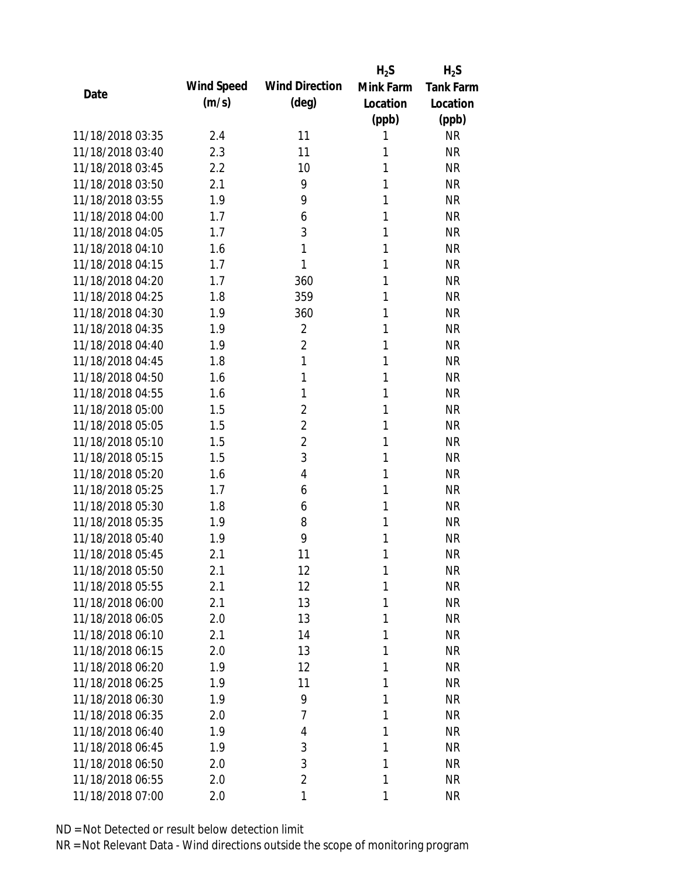|                  |            |                       | $H_2S$    | $H_2S$           |
|------------------|------------|-----------------------|-----------|------------------|
|                  | Wind Speed | <b>Wind Direction</b> | Mink Farm | <b>Tank Farm</b> |
| Date             | (m/s)      | $(\text{deg})$        | Location  | Location         |
|                  |            |                       | (ppb)     | (ppb)            |
| 11/18/2018 03:35 | 2.4        | 11                    | 1         | <b>NR</b>        |
| 11/18/2018 03:40 | 2.3        | 11                    | 1         | <b>NR</b>        |
| 11/18/2018 03:45 | 2.2        | 10                    | 1         | <b>NR</b>        |
| 11/18/2018 03:50 | 2.1        | 9                     | 1         | <b>NR</b>        |
| 11/18/2018 03:55 | 1.9        | 9                     | 1         | <b>NR</b>        |
| 11/18/2018 04:00 | 1.7        | 6                     | 1         | <b>NR</b>        |
| 11/18/2018 04:05 | 1.7        | 3                     | 1         | <b>NR</b>        |
| 11/18/2018 04:10 | 1.6        | 1                     | 1         | <b>NR</b>        |
| 11/18/2018 04:15 | 1.7        | 1                     | 1         | <b>NR</b>        |
| 11/18/2018 04:20 | 1.7        | 360                   | 1         | <b>NR</b>        |
| 11/18/2018 04:25 | 1.8        | 359                   | 1         | <b>NR</b>        |
| 11/18/2018 04:30 | 1.9        | 360                   | 1         | <b>NR</b>        |
| 11/18/2018 04:35 | 1.9        | $\overline{2}$        | 1         | <b>NR</b>        |
| 11/18/2018 04:40 | 1.9        | $\overline{2}$        | 1         | <b>NR</b>        |
| 11/18/2018 04:45 | 1.8        | 1                     | 1         | <b>NR</b>        |
| 11/18/2018 04:50 | 1.6        | 1                     | 1         | <b>NR</b>        |
| 11/18/2018 04:55 | 1.6        | 1                     | 1         | <b>NR</b>        |
| 11/18/2018 05:00 | 1.5        | $\overline{2}$        | 1         | <b>NR</b>        |
| 11/18/2018 05:05 | 1.5        | $\overline{2}$        | 1         | <b>NR</b>        |
| 11/18/2018 05:10 | 1.5        | $\overline{2}$        | 1         | <b>NR</b>        |
| 11/18/2018 05:15 | 1.5        | 3                     | 1         | <b>NR</b>        |
| 11/18/2018 05:20 | 1.6        | $\overline{4}$        | 1         | <b>NR</b>        |
| 11/18/2018 05:25 | 1.7        | 6                     | 1         | <b>NR</b>        |
| 11/18/2018 05:30 | 1.8        | 6                     | 1         | <b>NR</b>        |
| 11/18/2018 05:35 | 1.9        | 8                     | 1         | <b>NR</b>        |
| 11/18/2018 05:40 | 1.9        | 9                     | 1         | <b>NR</b>        |
| 11/18/2018 05:45 | 2.1        | 11                    | 1         | <b>NR</b>        |
| 11/18/2018 05:50 | 2.1        | 12                    | 1         | <b>NR</b>        |
| 11/18/2018 05:55 | 2.1        | 12                    | 1         | <b>NR</b>        |
| 11/18/2018 06:00 | 2.1        | 13                    | 1         | <b>NR</b>        |
| 11/18/2018 06:05 | 2.0        | 13                    | 1         | <b>NR</b>        |
| 11/18/2018 06:10 | 2.1        | 14                    | 1         | <b>NR</b>        |
| 11/18/2018 06:15 | 2.0        | 13                    | 1         | <b>NR</b>        |
| 11/18/2018 06:20 | 1.9        | 12                    | 1         | <b>NR</b>        |
| 11/18/2018 06:25 | 1.9        | 11                    | 1         | <b>NR</b>        |
| 11/18/2018 06:30 | 1.9        | 9                     | 1         | <b>NR</b>        |
| 11/18/2018 06:35 | 2.0        | $\overline{7}$        | 1         | <b>NR</b>        |
| 11/18/2018 06:40 | 1.9        | 4                     | 1         | <b>NR</b>        |
| 11/18/2018 06:45 | 1.9        | 3                     | 1         | <b>NR</b>        |
| 11/18/2018 06:50 | 2.0        | 3                     | 1         | <b>NR</b>        |
| 11/18/2018 06:55 | 2.0        | $\overline{2}$        | 1         | <b>NR</b>        |
| 11/18/2018 07:00 | 2.0        | 1                     | 1         | <b>NR</b>        |
|                  |            |                       |           |                  |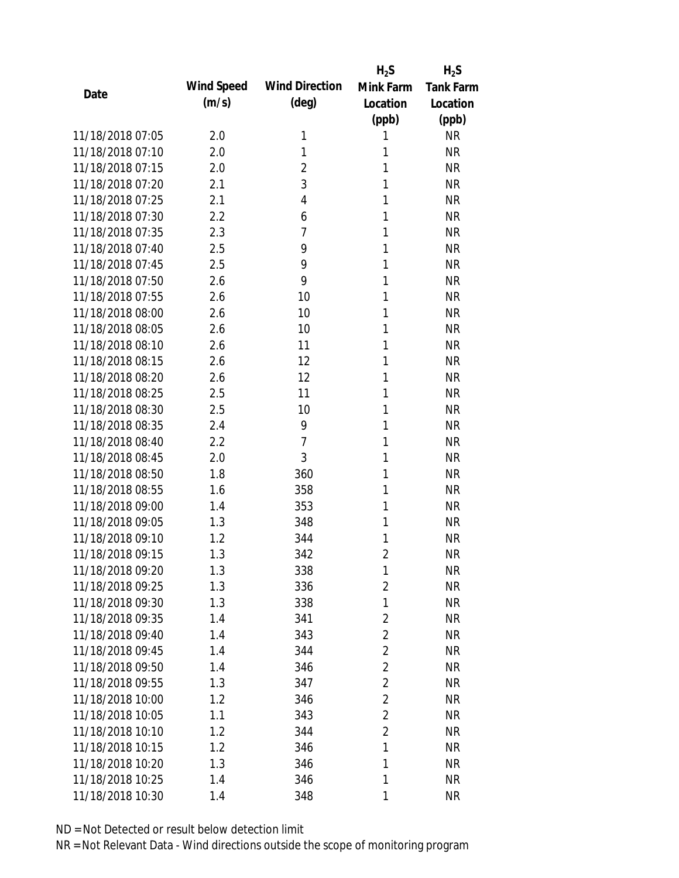|                  |            |                       | $H_2S$         | $H_2S$           |
|------------------|------------|-----------------------|----------------|------------------|
| Date             | Wind Speed | <b>Wind Direction</b> | Mink Farm      | <b>Tank Farm</b> |
|                  | (m/s)      | (deg)                 | Location       | Location         |
|                  |            |                       | (ppb)          | (ppb)            |
| 11/18/2018 07:05 | 2.0        | 1                     | 1              | <b>NR</b>        |
| 11/18/2018 07:10 | 2.0        | 1                     | 1              | <b>NR</b>        |
| 11/18/2018 07:15 | 2.0        | $\overline{2}$        | 1              | <b>NR</b>        |
| 11/18/2018 07:20 | 2.1        | 3                     | 1              | <b>NR</b>        |
| 11/18/2018 07:25 | 2.1        | $\overline{4}$        | 1              | <b>NR</b>        |
| 11/18/2018 07:30 | 2.2        | 6                     | 1              | <b>NR</b>        |
| 11/18/2018 07:35 | 2.3        | 7                     | 1              | <b>NR</b>        |
| 11/18/2018 07:40 | 2.5        | 9                     | 1              | <b>NR</b>        |
| 11/18/2018 07:45 | 2.5        | 9                     | 1              | <b>NR</b>        |
| 11/18/2018 07:50 | 2.6        | 9                     | 1              | <b>NR</b>        |
| 11/18/2018 07:55 | 2.6        | 10                    | 1              | <b>NR</b>        |
| 11/18/2018 08:00 | 2.6        | 10                    | 1              | <b>NR</b>        |
| 11/18/2018 08:05 | 2.6        | 10                    | 1              | <b>NR</b>        |
| 11/18/2018 08:10 | 2.6        | 11                    | 1              | <b>NR</b>        |
| 11/18/2018 08:15 | 2.6        | 12                    | 1              | <b>NR</b>        |
| 11/18/2018 08:20 | 2.6        | 12                    | 1              | <b>NR</b>        |
| 11/18/2018 08:25 | 2.5        | 11                    | 1              | <b>NR</b>        |
| 11/18/2018 08:30 | 2.5        | 10                    | 1              | <b>NR</b>        |
| 11/18/2018 08:35 | 2.4        | 9                     | $\mathbf{1}$   | <b>NR</b>        |
| 11/18/2018 08:40 | 2.2        | 7                     | 1              | <b>NR</b>        |
| 11/18/2018 08:45 | 2.0        | 3                     | 1              | <b>NR</b>        |
| 11/18/2018 08:50 | 1.8        | 360                   | 1              | <b>NR</b>        |
| 11/18/2018 08:55 | 1.6        | 358                   | 1              | <b>NR</b>        |
| 11/18/2018 09:00 | 1.4        | 353                   | 1              | <b>NR</b>        |
| 11/18/2018 09:05 | 1.3        | 348                   | 1              | <b>NR</b>        |
| 11/18/2018 09:10 | 1.2        | 344                   | 1              | <b>NR</b>        |
| 11/18/2018 09:15 | 1.3        | 342                   | $\overline{2}$ | <b>NR</b>        |
| 11/18/2018 09:20 | 1.3        | 338                   | 1              | <b>NR</b>        |
| 11/18/2018 09:25 | 1.3        | 336                   | $\overline{2}$ | <b>NR</b>        |
| 11/18/2018 09:30 | 1.3        | 338                   | 1              | <b>NR</b>        |
| 11/18/2018 09:35 | 1.4        | 341                   | 2              | <b>NR</b>        |
| 11/18/2018 09:40 | 1.4        | 343                   | $\overline{2}$ | <b>NR</b>        |
| 11/18/2018 09:45 | 1.4        | 344                   | 2              | <b>NR</b>        |
| 11/18/2018 09:50 | 1.4        | 346                   | $\overline{2}$ | <b>NR</b>        |
| 11/18/2018 09:55 | 1.3        | 347                   | $\overline{2}$ | <b>NR</b>        |
| 11/18/2018 10:00 | 1.2        | 346                   | $\overline{2}$ | <b>NR</b>        |
| 11/18/2018 10:05 | 1.1        | 343                   | 2              | <b>NR</b>        |
| 11/18/2018 10:10 | 1.2        | 344                   | $\overline{2}$ | <b>NR</b>        |
| 11/18/2018 10:15 | 1.2        | 346                   | 1              | <b>NR</b>        |
| 11/18/2018 10:20 | 1.3        | 346                   | 1              | <b>NR</b>        |
| 11/18/2018 10:25 | 1.4        | 346                   | 1              | <b>NR</b>        |
| 11/18/2018 10:30 | 1.4        | 348                   | 1              | <b>NR</b>        |
|                  |            |                       |                |                  |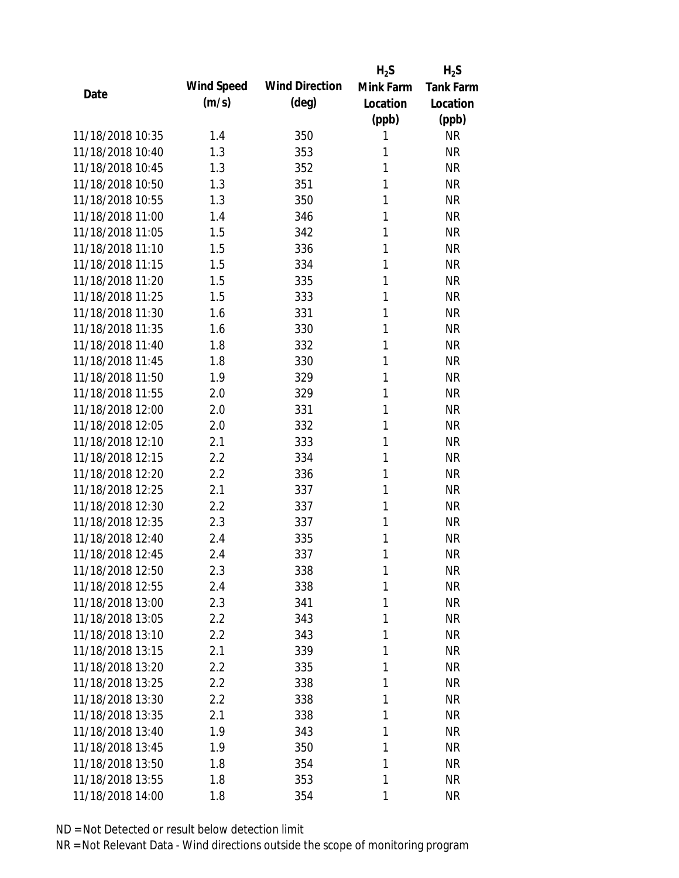|                  |            |                       | $H_2S$    | $H_2S$           |
|------------------|------------|-----------------------|-----------|------------------|
| Date             | Wind Speed | <b>Wind Direction</b> | Mink Farm | <b>Tank Farm</b> |
|                  | (m/s)      | $(\text{deg})$        | Location  | Location         |
|                  |            |                       | (ppb)     | (ppb)            |
| 11/18/2018 10:35 | 1.4        | 350                   | 1         | <b>NR</b>        |
| 11/18/2018 10:40 | 1.3        | 353                   | 1         | <b>NR</b>        |
| 11/18/2018 10:45 | 1.3        | 352                   | 1         | <b>NR</b>        |
| 11/18/2018 10:50 | 1.3        | 351                   | 1         | <b>NR</b>        |
| 11/18/2018 10:55 | 1.3        | 350                   | 1         | <b>NR</b>        |
| 11/18/2018 11:00 | 1.4        | 346                   | 1         | <b>NR</b>        |
| 11/18/2018 11:05 | 1.5        | 342                   | 1         | <b>NR</b>        |
| 11/18/2018 11:10 | 1.5        | 336                   | 1         | <b>NR</b>        |
| 11/18/2018 11:15 | 1.5        | 334                   | 1         | <b>NR</b>        |
| 11/18/2018 11:20 | 1.5        | 335                   | 1         | <b>NR</b>        |
| 11/18/2018 11:25 | 1.5        | 333                   | 1         | <b>NR</b>        |
| 11/18/2018 11:30 | 1.6        | 331                   | 1         | <b>NR</b>        |
| 11/18/2018 11:35 | 1.6        | 330                   | 1         | <b>NR</b>        |
| 11/18/2018 11:40 | 1.8        | 332                   | 1         | <b>NR</b>        |
| 11/18/2018 11:45 | 1.8        | 330                   | 1         | <b>NR</b>        |
| 11/18/2018 11:50 | 1.9        | 329                   | 1         | <b>NR</b>        |
| 11/18/2018 11:55 | 2.0        | 329                   | 1         | <b>NR</b>        |
| 11/18/2018 12:00 | 2.0        | 331                   | 1         | <b>NR</b>        |
| 11/18/2018 12:05 | 2.0        | 332                   | 1         | <b>NR</b>        |
| 11/18/2018 12:10 | 2.1        | 333                   | 1         | <b>NR</b>        |
| 11/18/2018 12:15 | 2.2        | 334                   | 1         | <b>NR</b>        |
| 11/18/2018 12:20 | 2.2        | 336                   | 1         | <b>NR</b>        |
| 11/18/2018 12:25 | 2.1        | 337                   | 1         | <b>NR</b>        |
| 11/18/2018 12:30 | 2.2        | 337                   | 1         | <b>NR</b>        |
| 11/18/2018 12:35 | 2.3        | 337                   | 1         | <b>NR</b>        |
| 11/18/2018 12:40 | 2.4        | 335                   | 1         | <b>NR</b>        |
| 11/18/2018 12:45 | 2.4        | 337                   | 1         | <b>NR</b>        |
| 11/18/2018 12:50 | 2.3        | 338                   | 1         | <b>NR</b>        |
| 11/18/2018 12:55 | 2.4        | 338                   | 1         | <b>NR</b>        |
| 11/18/2018 13:00 | 2.3        | 341                   | 1         | <b>NR</b>        |
| 11/18/2018 13:05 | 2.2        | 343                   | 1         | <b>NR</b>        |
| 11/18/2018 13:10 | 2.2        | 343                   | 1         | <b>NR</b>        |
| 11/18/2018 13:15 | 2.1        | 339                   | 1         | <b>NR</b>        |
| 11/18/2018 13:20 | 2.2        | 335                   | 1         | <b>NR</b>        |
| 11/18/2018 13:25 | 2.2        | 338                   | 1         | <b>NR</b>        |
| 11/18/2018 13:30 | 2.2        | 338                   | 1         | <b>NR</b>        |
| 11/18/2018 13:35 | 2.1        | 338                   | 1         | <b>NR</b>        |
| 11/18/2018 13:40 | 1.9        | 343                   | 1         | <b>NR</b>        |
| 11/18/2018 13:45 | 1.9        | 350                   | 1         | <b>NR</b>        |
| 11/18/2018 13:50 | 1.8        | 354                   | 1         | <b>NR</b>        |
| 11/18/2018 13:55 | 1.8        | 353                   | 1         | <b>NR</b>        |
| 11/18/2018 14:00 | 1.8        | 354                   | 1         | <b>NR</b>        |
|                  |            |                       |           |                  |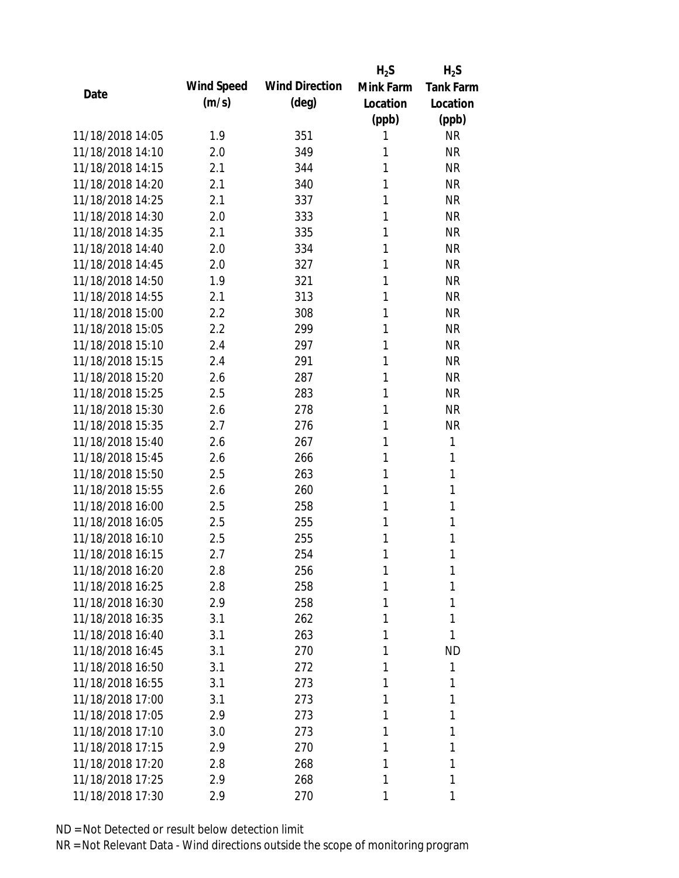|                  |            |                       | $H_2S$    | $H_2S$           |
|------------------|------------|-----------------------|-----------|------------------|
| Date             | Wind Speed | <b>Wind Direction</b> | Mink Farm | <b>Tank Farm</b> |
|                  | (m/s)      | $(\text{deg})$        | Location  | Location         |
|                  |            |                       | (ppb)     | (ppb)            |
| 11/18/2018 14:05 | 1.9        | 351                   | 1         | <b>NR</b>        |
| 11/18/2018 14:10 | 2.0        | 349                   | 1         | <b>NR</b>        |
| 11/18/2018 14:15 | 2.1        | 344                   | 1         | <b>NR</b>        |
| 11/18/2018 14:20 | 2.1        | 340                   | 1         | <b>NR</b>        |
| 11/18/2018 14:25 | 2.1        | 337                   | 1         | <b>NR</b>        |
| 11/18/2018 14:30 | 2.0        | 333                   | 1         | <b>NR</b>        |
| 11/18/2018 14:35 | 2.1        | 335                   | 1         | <b>NR</b>        |
| 11/18/2018 14:40 | 2.0        | 334                   | 1         | <b>NR</b>        |
| 11/18/2018 14:45 | 2.0        | 327                   | 1         | <b>NR</b>        |
| 11/18/2018 14:50 | 1.9        | 321                   | 1         | <b>NR</b>        |
| 11/18/2018 14:55 | 2.1        | 313                   | 1         | <b>NR</b>        |
| 11/18/2018 15:00 | 2.2        | 308                   | 1         | <b>NR</b>        |
| 11/18/2018 15:05 | 2.2        | 299                   | 1         | <b>NR</b>        |
| 11/18/2018 15:10 | 2.4        | 297                   | 1         | <b>NR</b>        |
| 11/18/2018 15:15 | 2.4        | 291                   | 1         | <b>NR</b>        |
| 11/18/2018 15:20 | 2.6        | 287                   | 1         | <b>NR</b>        |
| 11/18/2018 15:25 | 2.5        | 283                   | 1         | <b>NR</b>        |
| 11/18/2018 15:30 | 2.6        | 278                   | 1         | <b>NR</b>        |
| 11/18/2018 15:35 | 2.7        | 276                   | 1         | <b>NR</b>        |
| 11/18/2018 15:40 | 2.6        | 267                   | 1         | 1                |
| 11/18/2018 15:45 | 2.6        | 266                   | 1         | 1                |
| 11/18/2018 15:50 | 2.5        | 263                   | 1         | 1                |
| 11/18/2018 15:55 | 2.6        | 260                   | 1         | 1                |
| 11/18/2018 16:00 | 2.5        | 258                   | 1         | 1                |
| 11/18/2018 16:05 | 2.5        | 255                   | 1         | 1                |
| 11/18/2018 16:10 | 2.5        | 255                   | 1         | 1                |
| 11/18/2018 16:15 | 2.7        | 254                   | 1         | 1                |
| 11/18/2018 16:20 | 2.8        | 256                   | 1         | 1                |
| 11/18/2018 16:25 | 2.8        | 258                   | 1         | 1                |
| 11/18/2018 16:30 | 2.9        | 258                   | 1         | 1                |
| 11/18/2018 16:35 | 3.1        | 262                   | 1         | 1                |
| 11/18/2018 16:40 | 3.1        | 263                   | 1         | 1                |
| 11/18/2018 16:45 | 3.1        | 270                   | 1         | <b>ND</b>        |
| 11/18/2018 16:50 | 3.1        | 272                   | 1         | 1                |
| 11/18/2018 16:55 | 3.1        | 273                   | 1         | 1                |
| 11/18/2018 17:00 | 3.1        | 273                   | 1         | 1                |
| 11/18/2018 17:05 | 2.9        | 273                   | 1         | 1                |
| 11/18/2018 17:10 | 3.0        | 273                   | 1         | 1                |
| 11/18/2018 17:15 | 2.9        | 270                   | 1         | 1                |
| 11/18/2018 17:20 | 2.8        | 268                   | 1         | 1                |
| 11/18/2018 17:25 | 2.9        | 268                   | 1         | 1                |
| 11/18/2018 17:30 | 2.9        | 270                   | 1         | 1                |
|                  |            |                       |           |                  |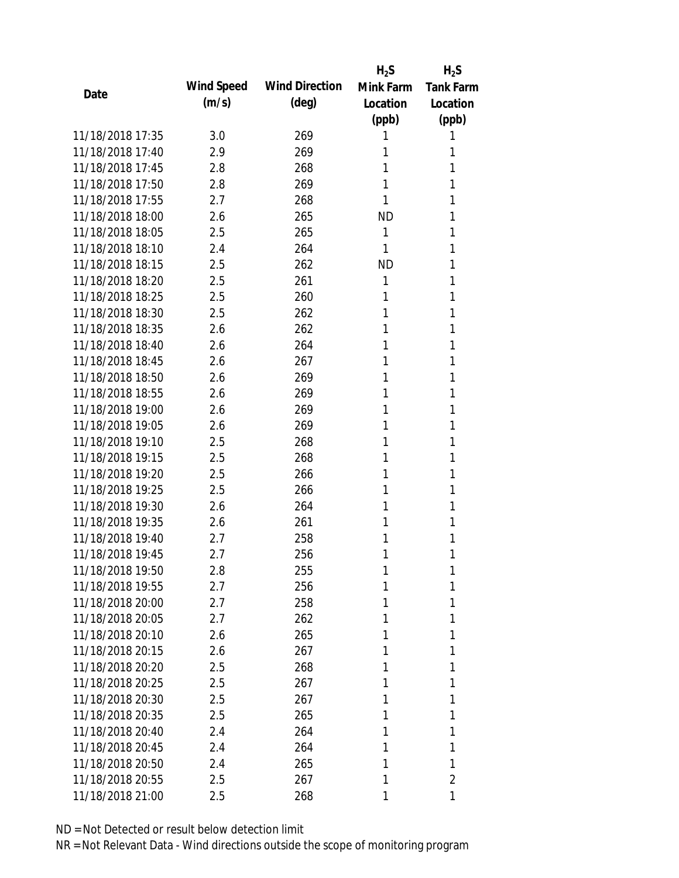|                  |            |                       | $H_2S$    | $H_2S$           |
|------------------|------------|-----------------------|-----------|------------------|
| Date             | Wind Speed | <b>Wind Direction</b> | Mink Farm | <b>Tank Farm</b> |
|                  | (m/s)      | $(\text{deg})$        | Location  | Location         |
|                  |            |                       | (ppb)     | (ppb)            |
| 11/18/2018 17:35 | 3.0        | 269                   | 1         | 1                |
| 11/18/2018 17:40 | 2.9        | 269                   | 1         | 1                |
| 11/18/2018 17:45 | 2.8        | 268                   | 1         | 1                |
| 11/18/2018 17:50 | 2.8        | 269                   | 1         | 1                |
| 11/18/2018 17:55 | 2.7        | 268                   | 1         | 1                |
| 11/18/2018 18:00 | 2.6        | 265                   | <b>ND</b> | 1                |
| 11/18/2018 18:05 | 2.5        | 265                   | 1         | 1                |
| 11/18/2018 18:10 | 2.4        | 264                   | 1         | 1                |
| 11/18/2018 18:15 | 2.5        | 262                   | <b>ND</b> | 1                |
| 11/18/2018 18:20 | 2.5        | 261                   | 1         | 1                |
| 11/18/2018 18:25 | 2.5        | 260                   | 1         | 1                |
| 11/18/2018 18:30 | 2.5        | 262                   | 1         | 1                |
| 11/18/2018 18:35 | 2.6        | 262                   | 1         | 1                |
| 11/18/2018 18:40 | 2.6        | 264                   | 1         | 1                |
| 11/18/2018 18:45 | 2.6        | 267                   | 1         | 1                |
| 11/18/2018 18:50 | 2.6        | 269                   | 1         | 1                |
| 11/18/2018 18:55 | 2.6        | 269                   | 1         | 1                |
| 11/18/2018 19:00 | 2.6        | 269                   | 1         | 1                |
| 11/18/2018 19:05 | 2.6        | 269                   | 1         | 1                |
| 11/18/2018 19:10 | 2.5        | 268                   | 1         | 1                |
| 11/18/2018 19:15 | 2.5        | 268                   | 1         | 1                |
| 11/18/2018 19:20 | 2.5        | 266                   | 1         | 1                |
| 11/18/2018 19:25 | 2.5        | 266                   | 1         | 1                |
| 11/18/2018 19:30 | 2.6        | 264                   | 1         | 1                |
| 11/18/2018 19:35 | 2.6        | 261                   | 1         | 1                |
| 11/18/2018 19:40 | 2.7        | 258                   | 1         | 1                |
| 11/18/2018 19:45 | 2.7        | 256                   | 1         | 1                |
| 11/18/2018 19:50 | 2.8        | 255                   | 1         | 1                |
| 11/18/2018 19:55 | 2.7        | 256                   | 1         | 1                |
| 11/18/2018 20:00 | 2.7        | 258                   | 1         | 1                |
| 11/18/2018 20:05 | 2.7        | 262                   | 1         | 1                |
| 11/18/2018 20:10 | 2.6        | 265                   | 1         | 1                |
| 11/18/2018 20:15 | 2.6        | 267                   | 1         | 1                |
| 11/18/2018 20:20 | 2.5        | 268                   | 1         | 1                |
| 11/18/2018 20:25 | 2.5        | 267                   | 1         | 1                |
| 11/18/2018 20:30 | 2.5        | 267                   | 1         | 1                |
| 11/18/2018 20:35 | 2.5        | 265                   | 1         | 1                |
| 11/18/2018 20:40 | 2.4        | 264                   | 1         | 1                |
| 11/18/2018 20:45 | 2.4        | 264                   | 1         | 1                |
| 11/18/2018 20:50 | 2.4        | 265                   | 1         | 1                |
| 11/18/2018 20:55 | 2.5        | 267                   | 1         | 2                |
| 11/18/2018 21:00 | 2.5        | 268                   | 1         | 1                |
|                  |            |                       |           |                  |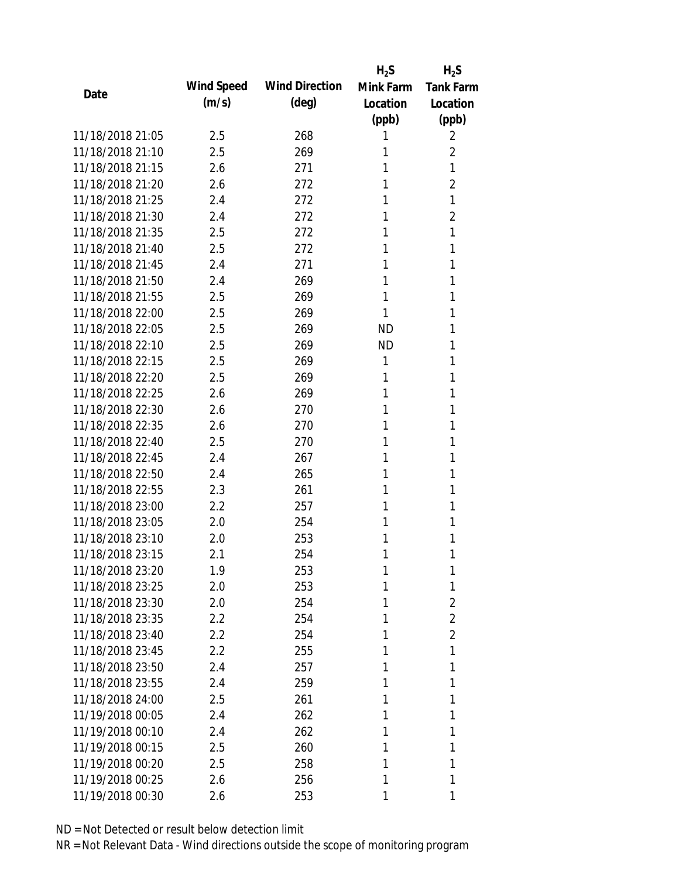|                  |            |                       | $H_2S$    | $H_2S$           |
|------------------|------------|-----------------------|-----------|------------------|
|                  | Wind Speed | <b>Wind Direction</b> | Mink Farm | <b>Tank Farm</b> |
| Date             | (m/s)      | $(\text{deg})$        | Location  | Location         |
|                  |            |                       | (ppb)     | (ppb)            |
| 11/18/2018 21:05 | 2.5        | 268                   | 1         | 2                |
| 11/18/2018 21:10 | 2.5        | 269                   | 1         | $\overline{2}$   |
| 11/18/2018 21:15 | 2.6        | 271                   | 1         | 1                |
| 11/18/2018 21:20 | 2.6        | 272                   | 1         | $\overline{2}$   |
| 11/18/2018 21:25 | 2.4        | 272                   | 1         | 1                |
| 11/18/2018 21:30 | 2.4        | 272                   | 1         | 2                |
| 11/18/2018 21:35 | 2.5        | 272                   | 1         | 1                |
| 11/18/2018 21:40 | 2.5        | 272                   | 1         | 1                |
| 11/18/2018 21:45 | 2.4        | 271                   | 1         | 1                |
| 11/18/2018 21:50 | 2.4        | 269                   | 1         | 1                |
| 11/18/2018 21:55 | 2.5        | 269                   | 1         | 1                |
| 11/18/2018 22:00 | 2.5        | 269                   | 1         | 1                |
| 11/18/2018 22:05 | 2.5        | 269                   | <b>ND</b> | 1                |
| 11/18/2018 22:10 | 2.5        | 269                   | <b>ND</b> | 1                |
| 11/18/2018 22:15 | 2.5        | 269                   | 1         | 1                |
| 11/18/2018 22:20 | 2.5        | 269                   | 1         | 1                |
| 11/18/2018 22:25 | 2.6        | 269                   | 1         | 1                |
| 11/18/2018 22:30 | 2.6        | 270                   | 1         | 1                |
| 11/18/2018 22:35 | 2.6        | 270                   | 1         | 1                |
| 11/18/2018 22:40 | 2.5        | 270                   | 1         | 1                |
| 11/18/2018 22:45 | 2.4        | 267                   | 1         | 1                |
| 11/18/2018 22:50 | 2.4        | 265                   | 1         | 1                |
| 11/18/2018 22:55 | 2.3        | 261                   | 1         | 1                |
| 11/18/2018 23:00 | 2.2        | 257                   | 1         | 1                |
| 11/18/2018 23:05 | 2.0        | 254                   | 1         | 1                |
| 11/18/2018 23:10 | 2.0        | 253                   | 1         | 1                |
| 11/18/2018 23:15 | 2.1        | 254                   | 1         | 1                |
| 11/18/2018 23:20 | 1.9        | 253                   | 1         | 1                |
| 11/18/2018 23:25 | 2.0        | 253                   | 1         | 1                |
| 11/18/2018 23:30 | 2.0        | 254                   | 1         | 2                |
| 11/18/2018 23:35 | 2.2        | 254                   | 1         | $\overline{2}$   |
| 11/18/2018 23:40 | 2.2        | 254                   | 1         | $\overline{2}$   |
| 11/18/2018 23:45 | 2.2        | 255                   | 1         | 1                |
| 11/18/2018 23:50 | 2.4        | 257                   | 1         | 1                |
| 11/18/2018 23:55 | 2.4        | 259                   | 1         | 1                |
| 11/18/2018 24:00 | 2.5        | 261                   | 1         | 1                |
| 11/19/2018 00:05 | 2.4        | 262                   | 1         | 1                |
| 11/19/2018 00:10 | 2.4        | 262                   | 1         | 1                |
| 11/19/2018 00:15 | 2.5        | 260                   | 1         | 1                |
| 11/19/2018 00:20 | 2.5        | 258                   | 1         | 1                |
| 11/19/2018 00:25 | 2.6        | 256                   | 1         | 1                |
| 11/19/2018 00:30 | 2.6        | 253                   | 1         | 1                |
|                  |            |                       |           |                  |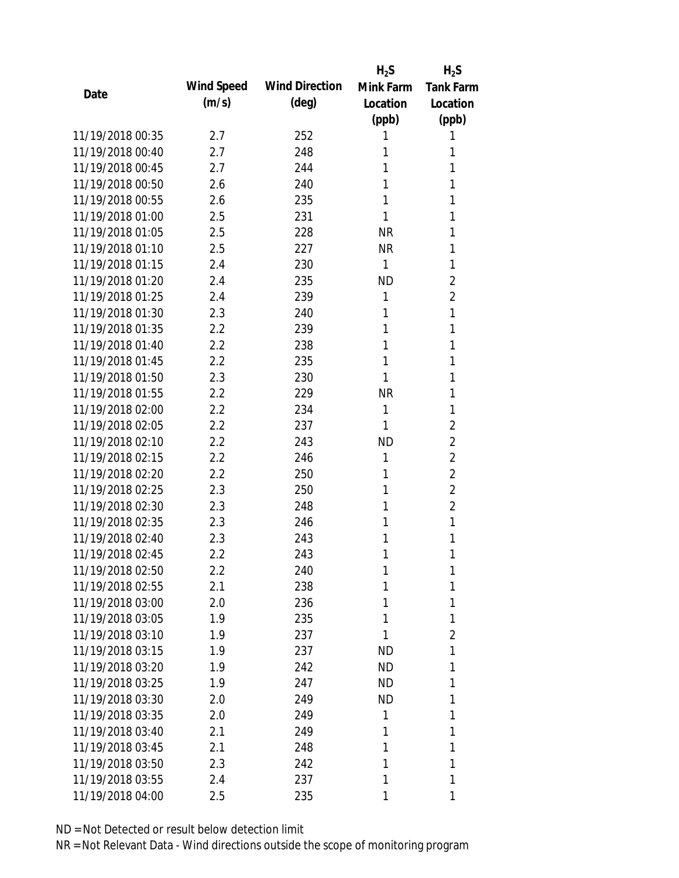|                  |            |                       | $H_2S$    | $H_2S$           |
|------------------|------------|-----------------------|-----------|------------------|
|                  | Wind Speed | <b>Wind Direction</b> | Mink Farm | <b>Tank Farm</b> |
| Date             | (m/s)      | $(\text{deg})$        | Location  | Location         |
|                  |            |                       | (ppb)     | (ppb)            |
| 11/19/2018 00:35 | 2.7        | 252                   | 1         | 1                |
| 11/19/2018 00:40 | 2.7        | 248                   | 1         | 1                |
| 11/19/2018 00:45 | 2.7        | 244                   | 1         | 1                |
| 11/19/2018 00:50 | 2.6        | 240                   | 1         | 1                |
| 11/19/2018 00:55 | 2.6        | 235                   | 1         | 1                |
| 11/19/2018 01:00 | 2.5        | 231                   | 1         | 1                |
| 11/19/2018 01:05 | 2.5        | 228                   | <b>NR</b> | 1                |
| 11/19/2018 01:10 | 2.5        | 227                   | <b>NR</b> | 1                |
| 11/19/2018 01:15 | 2.4        | 230                   | 1         | 1                |
| 11/19/2018 01:20 | 2.4        | 235                   | <b>ND</b> | 2                |
| 11/19/2018 01:25 | 2.4        | 239                   | 1         | $\overline{2}$   |
| 11/19/2018 01:30 | 2.3        | 240                   | 1         | 1                |
| 11/19/2018 01:35 | 2.2        | 239                   | 1         | 1                |
| 11/19/2018 01:40 | 2.2        | 238                   | 1         | 1                |
| 11/19/2018 01:45 | 2.2        | 235                   | 1         | 1                |
| 11/19/2018 01:50 | 2.3        | 230                   | 1         | 1                |
| 11/19/2018 01:55 | 2.2        | 229                   | <b>NR</b> | 1                |
| 11/19/2018 02:00 | 2.2        | 234                   | 1         | 1                |
| 11/19/2018 02:05 | 2.2        | 237                   | 1         | $\overline{2}$   |
| 11/19/2018 02:10 | 2.2        | 243                   | <b>ND</b> | $\overline{2}$   |
| 11/19/2018 02:15 | 2.2        | 246                   | 1         | 2                |
| 11/19/2018 02:20 | 2.2        | 250                   | 1         | $\overline{2}$   |
| 11/19/2018 02:25 | 2.3        | 250                   | 1         | $\overline{2}$   |
| 11/19/2018 02:30 | 2.3        | 248                   | 1         | $\overline{2}$   |
| 11/19/2018 02:35 | 2.3        | 246                   | 1         | 1                |
| 11/19/2018 02:40 | 2.3        | 243                   | 1         | 1                |
| 11/19/2018 02:45 | 2.2        | 243                   | 1         | 1                |
| 11/19/2018 02:50 | 2.2        | 240                   | 1         | 1                |
| 11/19/2018 02:55 | 2.1        | 238                   | 1         | 1                |
| 11/19/2018 03:00 | 2.0        | 236                   | 1         | 1                |
| 11/19/2018 03:05 | 1.9        | 235                   | 1         | 1                |
| 11/19/2018 03:10 | 1.9        | 237                   | 1         | 2                |
| 11/19/2018 03:15 | 1.9        | 237                   | <b>ND</b> | 1                |
| 11/19/2018 03:20 | 1.9        | 242                   | <b>ND</b> | 1                |
| 11/19/2018 03:25 | 1.9        | 247                   | ND.       | 1                |
| 11/19/2018 03:30 | 2.0        | 249                   | <b>ND</b> | 1                |
| 11/19/2018 03:35 | 2.0        | 249                   | 1         | 1                |
| 11/19/2018 03:40 | 2.1        | 249                   | 1         | 1                |
| 11/19/2018 03:45 | 2.1        | 248                   | 1         | 1                |
| 11/19/2018 03:50 | 2.3        | 242                   | 1         | 1                |
| 11/19/2018 03:55 | 2.4        | 237                   | 1         | 1                |
| 11/19/2018 04:00 | 2.5        | 235                   | 1         | 1                |
|                  |            |                       |           |                  |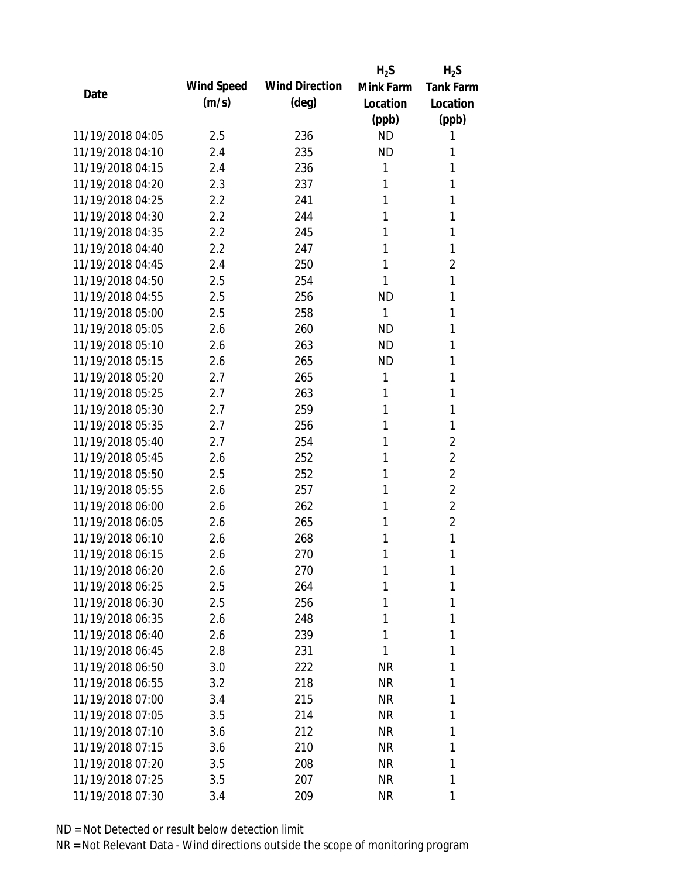|                  |            |                       | $H_2S$    | $H_2S$           |
|------------------|------------|-----------------------|-----------|------------------|
| Date             | Wind Speed | <b>Wind Direction</b> | Mink Farm | <b>Tank Farm</b> |
|                  | (m/s)      | $(\text{deg})$        | Location  | Location         |
|                  |            |                       | (ppb)     | (ppb)            |
| 11/19/2018 04:05 | 2.5        | 236                   | <b>ND</b> | 1                |
| 11/19/2018 04:10 | 2.4        | 235                   | <b>ND</b> | 1                |
| 11/19/2018 04:15 | 2.4        | 236                   | 1         | 1                |
| 11/19/2018 04:20 | 2.3        | 237                   | 1         | 1                |
| 11/19/2018 04:25 | 2.2        | 241                   | 1         | 1                |
| 11/19/2018 04:30 | 2.2        | 244                   | 1         | 1                |
| 11/19/2018 04:35 | 2.2        | 245                   | 1         | 1                |
| 11/19/2018 04:40 | 2.2        | 247                   | 1         | 1                |
| 11/19/2018 04:45 | 2.4        | 250                   | 1         | $\overline{2}$   |
| 11/19/2018 04:50 | 2.5        | 254                   | 1         | 1                |
| 11/19/2018 04:55 | 2.5        | 256                   | <b>ND</b> | 1                |
| 11/19/2018 05:00 | 2.5        | 258                   | 1         | 1                |
| 11/19/2018 05:05 | 2.6        | 260                   | <b>ND</b> | 1                |
| 11/19/2018 05:10 | 2.6        | 263                   | <b>ND</b> | 1                |
| 11/19/2018 05:15 | 2.6        | 265                   | <b>ND</b> | 1                |
| 11/19/2018 05:20 | 2.7        | 265                   | 1         | 1                |
| 11/19/2018 05:25 | 2.7        | 263                   | 1         | 1                |
| 11/19/2018 05:30 | 2.7        | 259                   | 1         | 1                |
| 11/19/2018 05:35 | 2.7        | 256                   | 1         | 1                |
| 11/19/2018 05:40 | 2.7        | 254                   | 1         | $\overline{2}$   |
| 11/19/2018 05:45 | 2.6        | 252                   | 1         | $\overline{2}$   |
| 11/19/2018 05:50 | 2.5        | 252                   | 1         | $\overline{2}$   |
| 11/19/2018 05:55 | 2.6        | 257                   | 1         | $\overline{2}$   |
| 11/19/2018 06:00 | 2.6        | 262                   | 1         | $\overline{2}$   |
| 11/19/2018 06:05 | 2.6        | 265                   | 1         | $\overline{2}$   |
| 11/19/2018 06:10 | 2.6        | 268                   | 1         | 1                |
| 11/19/2018 06:15 | 2.6        | 270                   | 1         | 1                |
| 11/19/2018 06:20 | 2.6        | 270                   | 1         | 1                |
| 11/19/2018 06:25 | 2.5        | 264                   | 1         | 1                |
| 11/19/2018 06:30 | 2.5        | 256                   | 1         | 1                |
| 11/19/2018 06:35 | 2.6        | 248                   | 1         | 1                |
| 11/19/2018 06:40 | 2.6        | 239                   | 1         | 1                |
| 11/19/2018 06:45 | 2.8        | 231                   | 1         | 1                |
| 11/19/2018 06:50 | 3.0        | 222                   | <b>NR</b> | 1                |
| 11/19/2018 06:55 | 3.2        | 218                   | <b>NR</b> | 1                |
| 11/19/2018 07:00 | 3.4        | 215                   | NR        | 1                |
| 11/19/2018 07:05 | 3.5        | 214                   | NR        | 1                |
| 11/19/2018 07:10 | 3.6        | 212                   | NR        | 1                |
| 11/19/2018 07:15 | 3.6        | 210                   | NR        | 1                |
| 11/19/2018 07:20 | 3.5        | 208                   | <b>NR</b> | 1                |
| 11/19/2018 07:25 | 3.5        | 207                   | <b>NR</b> | 1                |
| 11/19/2018 07:30 | 3.4        | 209                   | <b>NR</b> | 1                |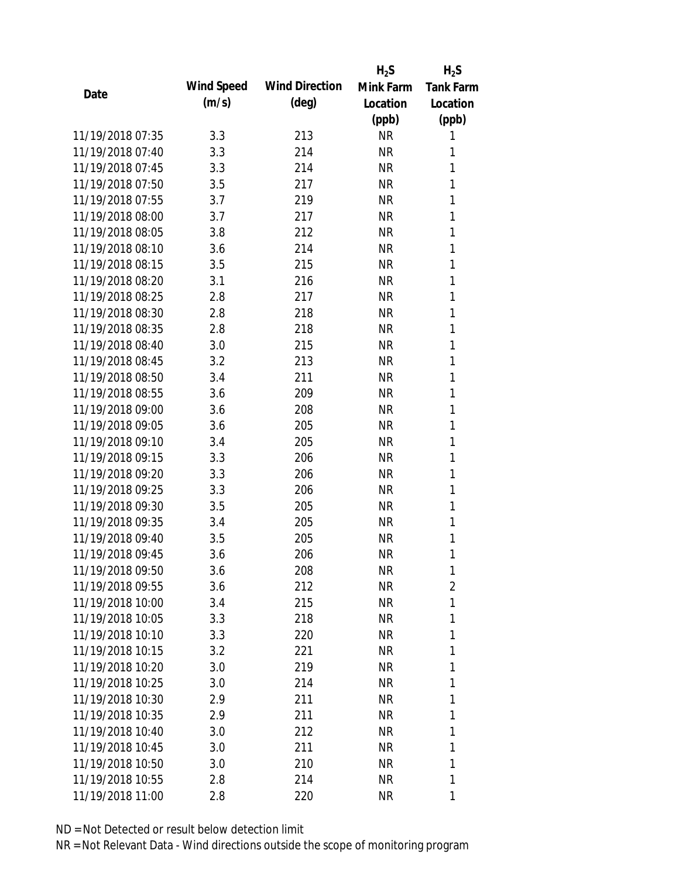|                  |            |                       | $H_2S$    | $H_2S$           |
|------------------|------------|-----------------------|-----------|------------------|
|                  | Wind Speed | <b>Wind Direction</b> | Mink Farm | <b>Tank Farm</b> |
| Date             | (m/s)      | $(\text{deg})$        | Location  | Location         |
|                  |            |                       | (ppb)     | (ppb)            |
| 11/19/2018 07:35 | 3.3        | 213                   | <b>NR</b> | 1                |
| 11/19/2018 07:40 | 3.3        | 214                   | <b>NR</b> | 1                |
| 11/19/2018 07:45 | 3.3        | 214                   | <b>NR</b> | 1                |
| 11/19/2018 07:50 | 3.5        | 217                   | <b>NR</b> | 1                |
| 11/19/2018 07:55 | 3.7        | 219                   | <b>NR</b> | 1                |
| 11/19/2018 08:00 | 3.7        | 217                   | <b>NR</b> | 1                |
| 11/19/2018 08:05 | 3.8        | 212                   | <b>NR</b> | 1                |
| 11/19/2018 08:10 | 3.6        | 214                   | <b>NR</b> | 1                |
| 11/19/2018 08:15 | 3.5        | 215                   | <b>NR</b> | 1                |
| 11/19/2018 08:20 | 3.1        | 216                   | <b>NR</b> | 1                |
| 11/19/2018 08:25 | 2.8        | 217                   | <b>NR</b> | 1                |
| 11/19/2018 08:30 | 2.8        | 218                   | <b>NR</b> | 1                |
| 11/19/2018 08:35 | 2.8        | 218                   | <b>NR</b> | 1                |
| 11/19/2018 08:40 | 3.0        | 215                   | <b>NR</b> | 1                |
| 11/19/2018 08:45 | 3.2        | 213                   | <b>NR</b> | 1                |
| 11/19/2018 08:50 | 3.4        | 211                   | <b>NR</b> | 1                |
| 11/19/2018 08:55 | 3.6        | 209                   | <b>NR</b> | 1                |
| 11/19/2018 09:00 | 3.6        | 208                   | <b>NR</b> | 1                |
| 11/19/2018 09:05 | 3.6        | 205                   | <b>NR</b> | 1                |
| 11/19/2018 09:10 | 3.4        | 205                   | <b>NR</b> | 1                |
| 11/19/2018 09:15 | 3.3        | 206                   | <b>NR</b> | 1                |
| 11/19/2018 09:20 | 3.3        | 206                   | <b>NR</b> | 1                |
| 11/19/2018 09:25 | 3.3        | 206                   | <b>NR</b> | 1                |
| 11/19/2018 09:30 | 3.5        | 205                   | <b>NR</b> | 1                |
| 11/19/2018 09:35 | 3.4        | 205                   | <b>NR</b> | 1                |
| 11/19/2018 09:40 | 3.5        | 205                   | <b>NR</b> | 1                |
| 11/19/2018 09:45 | 3.6        | 206                   | <b>NR</b> | 1                |
| 11/19/2018 09:50 | 3.6        | 208                   | <b>NR</b> | 1                |
| 11/19/2018 09:55 | 3.6        | 212                   | <b>NR</b> | 2                |
| 11/19/2018 10:00 | 3.4        | 215                   | <b>NR</b> | 1                |
| 11/19/2018 10:05 | 3.3        | 218                   | <b>NR</b> | 1                |
| 11/19/2018 10:10 | 3.3        | 220                   | <b>NR</b> | 1                |
| 11/19/2018 10:15 | 3.2        | 221                   | <b>NR</b> | 1                |
| 11/19/2018 10:20 | 3.0        | 219                   | <b>NR</b> | 1                |
| 11/19/2018 10:25 | 3.0        | 214                   | <b>NR</b> | 1                |
| 11/19/2018 10:30 | 2.9        | 211                   | <b>NR</b> | 1                |
| 11/19/2018 10:35 | 2.9        | 211                   | <b>NR</b> | 1                |
| 11/19/2018 10:40 | 3.0        | 212                   | <b>NR</b> | 1                |
| 11/19/2018 10:45 | 3.0        | 211                   | <b>NR</b> | 1                |
| 11/19/2018 10:50 | 3.0        | 210                   | <b>NR</b> | 1                |
| 11/19/2018 10:55 | 2.8        | 214                   | <b>NR</b> | 1                |
|                  |            |                       |           |                  |
| 11/19/2018 11:00 | 2.8        | 220                   | <b>NR</b> | 1                |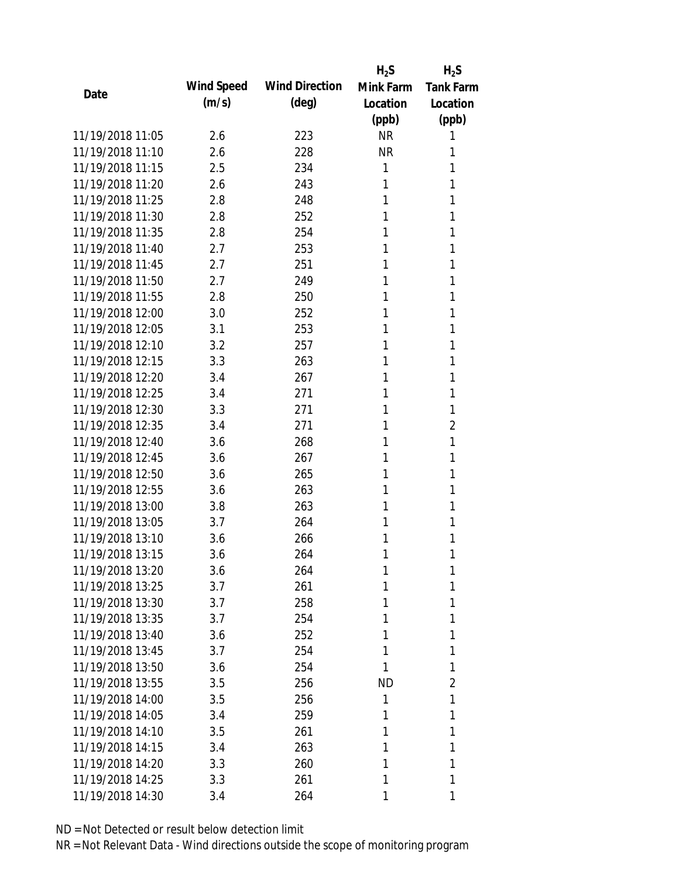|                  |            |                       | $H_2S$    | $H_2S$           |
|------------------|------------|-----------------------|-----------|------------------|
| Date             | Wind Speed | <b>Wind Direction</b> | Mink Farm | <b>Tank Farm</b> |
|                  | (m/s)      | $(\text{deg})$        | Location  | Location         |
|                  |            |                       | (ppb)     | (ppb)            |
| 11/19/2018 11:05 | 2.6        | 223                   | <b>NR</b> | 1                |
| 11/19/2018 11:10 | 2.6        | 228                   | <b>NR</b> | 1                |
| 11/19/2018 11:15 | 2.5        | 234                   | 1         | 1                |
| 11/19/2018 11:20 | 2.6        | 243                   | 1         | 1                |
| 11/19/2018 11:25 | 2.8        | 248                   | 1         | 1                |
| 11/19/2018 11:30 | 2.8        | 252                   | 1         | 1                |
| 11/19/2018 11:35 | 2.8        | 254                   | 1         | 1                |
| 11/19/2018 11:40 | 2.7        | 253                   | 1         | 1                |
| 11/19/2018 11:45 | 2.7        | 251                   | 1         | 1                |
| 11/19/2018 11:50 | 2.7        | 249                   | 1         | 1                |
| 11/19/2018 11:55 | 2.8        | 250                   | 1         | 1                |
| 11/19/2018 12:00 | 3.0        | 252                   | 1         | 1                |
| 11/19/2018 12:05 | 3.1        | 253                   | 1         | 1                |
| 11/19/2018 12:10 | 3.2        | 257                   | 1         | 1                |
| 11/19/2018 12:15 | 3.3        | 263                   | 1         | 1                |
| 11/19/2018 12:20 | 3.4        | 267                   | 1         | 1                |
| 11/19/2018 12:25 | 3.4        | 271                   | 1         | 1                |
| 11/19/2018 12:30 | 3.3        | 271                   | 1         | 1                |
| 11/19/2018 12:35 | 3.4        | 271                   | 1         | $\overline{2}$   |
| 11/19/2018 12:40 | 3.6        | 268                   | 1         | 1                |
| 11/19/2018 12:45 | 3.6        | 267                   | 1         | 1                |
| 11/19/2018 12:50 | 3.6        | 265                   | 1         | 1                |
| 11/19/2018 12:55 | 3.6        | 263                   | 1         | 1                |
| 11/19/2018 13:00 | 3.8        | 263                   | 1         | 1                |
| 11/19/2018 13:05 | 3.7        | 264                   | 1         | 1                |
| 11/19/2018 13:10 | 3.6        | 266                   | 1         | 1                |
| 11/19/2018 13:15 | 3.6        | 264                   | 1         | 1                |
| 11/19/2018 13:20 | 3.6        | 264                   | 1         | 1                |
| 11/19/2018 13:25 | 3.7        | 261                   | 1         | 1                |
| 11/19/2018 13:30 | 3.7        | 258                   | 1         | 1                |
| 11/19/2018 13:35 | 3.7        | 254                   | 1         | 1                |
| 11/19/2018 13:40 | 3.6        | 252                   | 1         | 1                |
| 11/19/2018 13:45 | 3.7        | 254                   | 1         | 1                |
| 11/19/2018 13:50 | 3.6        | 254                   | 1         | 1                |
| 11/19/2018 13:55 | 3.5        | 256                   | ND        | 2                |
| 11/19/2018 14:00 | 3.5        | 256                   | 1         | 1                |
| 11/19/2018 14:05 | 3.4        | 259                   | 1         | 1                |
| 11/19/2018 14:10 | 3.5        | 261                   | 1         | 1                |
| 11/19/2018 14:15 | 3.4        | 263                   | 1         | 1                |
| 11/19/2018 14:20 | 3.3        | 260                   | 1         | 1                |
| 11/19/2018 14:25 | 3.3        | 261                   | 1         | 1                |
| 11/19/2018 14:30 | 3.4        | 264                   | 1         | 1                |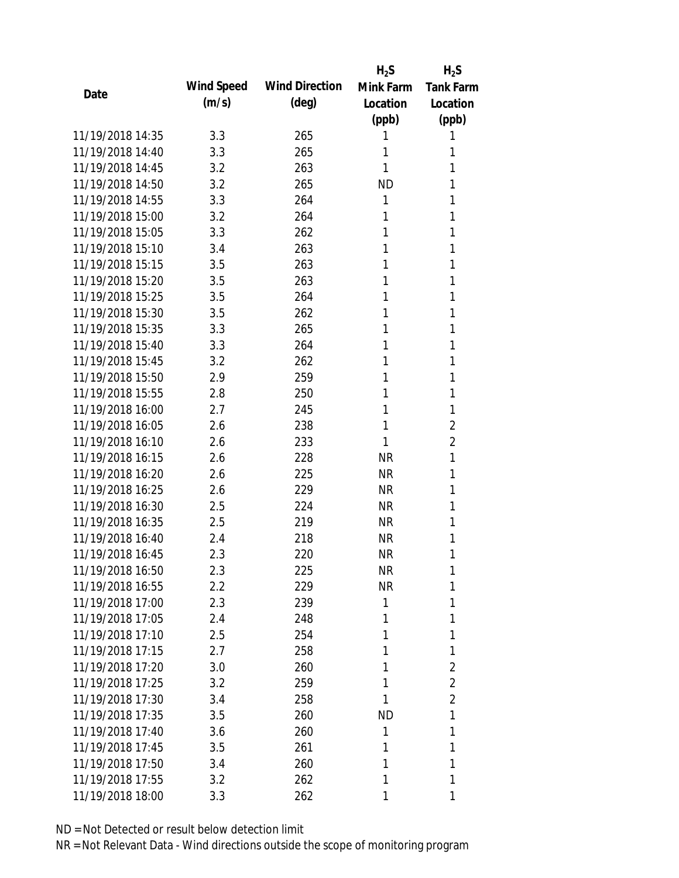|                  |            |                       | $H_2S$    | $H_2S$           |
|------------------|------------|-----------------------|-----------|------------------|
| Date             | Wind Speed | <b>Wind Direction</b> | Mink Farm | <b>Tank Farm</b> |
|                  | (m/s)      | $(\text{deg})$        | Location  | Location         |
|                  |            |                       | (ppb)     | (ppb)            |
| 11/19/2018 14:35 | 3.3        | 265                   | 1         | 1                |
| 11/19/2018 14:40 | 3.3        | 265                   | 1         | 1                |
| 11/19/2018 14:45 | 3.2        | 263                   | 1         | 1                |
| 11/19/2018 14:50 | 3.2        | 265                   | <b>ND</b> | 1                |
| 11/19/2018 14:55 | 3.3        | 264                   | 1         | 1                |
| 11/19/2018 15:00 | 3.2        | 264                   | 1         | 1                |
| 11/19/2018 15:05 | 3.3        | 262                   | 1         | 1                |
| 11/19/2018 15:10 | 3.4        | 263                   | 1         | 1                |
| 11/19/2018 15:15 | 3.5        | 263                   | 1         | 1                |
| 11/19/2018 15:20 | 3.5        | 263                   | 1         | 1                |
| 11/19/2018 15:25 | 3.5        | 264                   | 1         | 1                |
| 11/19/2018 15:30 | 3.5        | 262                   | 1         | 1                |
| 11/19/2018 15:35 | 3.3        | 265                   | 1         | 1                |
| 11/19/2018 15:40 | 3.3        | 264                   | 1         | 1                |
| 11/19/2018 15:45 | 3.2        | 262                   | 1         | 1                |
| 11/19/2018 15:50 | 2.9        | 259                   | 1         | 1                |
| 11/19/2018 15:55 | 2.8        | 250                   | 1         | 1                |
| 11/19/2018 16:00 | 2.7        | 245                   | 1         | 1                |
| 11/19/2018 16:05 | 2.6        | 238                   | 1         | $\overline{2}$   |
| 11/19/2018 16:10 | 2.6        | 233                   | 1         | 2                |
| 11/19/2018 16:15 | 2.6        | 228                   | <b>NR</b> | 1                |
| 11/19/2018 16:20 | 2.6        | 225                   | <b>NR</b> | 1                |
| 11/19/2018 16:25 | 2.6        | 229                   | <b>NR</b> | 1                |
| 11/19/2018 16:30 | 2.5        | 224                   | <b>NR</b> | 1                |
| 11/19/2018 16:35 | 2.5        | 219                   | <b>NR</b> | 1                |
| 11/19/2018 16:40 | 2.4        | 218                   | <b>NR</b> | 1                |
| 11/19/2018 16:45 | 2.3        | 220                   | <b>NR</b> | 1                |
| 11/19/2018 16:50 | 2.3        | 225                   | <b>NR</b> | 1                |
| 11/19/2018 16:55 | 2.2        | 229                   | <b>NR</b> | 1                |
| 11/19/2018 17:00 | 2.3        | 239                   | 1         | 1                |
| 11/19/2018 17:05 | 2.4        | 248                   | 1         | 1                |
| 11/19/2018 17:10 | 2.5        | 254                   | 1         | 1                |
| 11/19/2018 17:15 | 2.7        | 258                   | 1         | 1                |
| 11/19/2018 17:20 | 3.0        | 260                   | 1         | 2                |
| 11/19/2018 17:25 | 3.2        | 259                   | 1         | $\overline{2}$   |
| 11/19/2018 17:30 | 3.4        | 258                   | 1         | $\overline{2}$   |
| 11/19/2018 17:35 | 3.5        | 260                   | ND        | 1                |
| 11/19/2018 17:40 | 3.6        | 260                   | 1         | 1                |
| 11/19/2018 17:45 | 3.5        | 261                   | 1         | 1                |
| 11/19/2018 17:50 | 3.4        | 260                   | 1         | 1                |
| 11/19/2018 17:55 | 3.2        | 262                   | 1         | 1                |
| 11/19/2018 18:00 | 3.3        | 262                   | 1         | 1                |
|                  |            |                       |           |                  |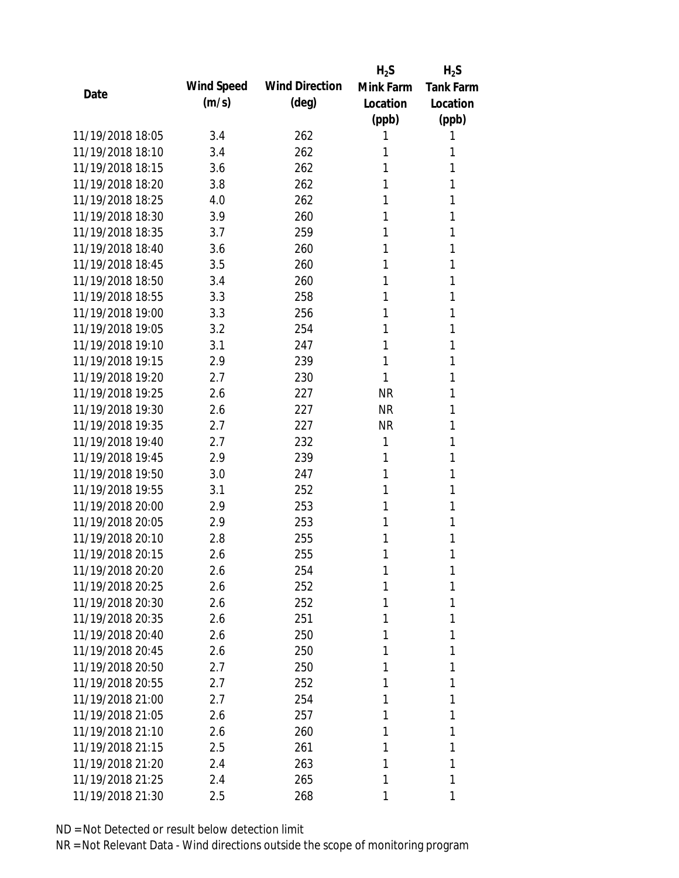|                  |            |                       | $H_2S$    | $H_2S$           |
|------------------|------------|-----------------------|-----------|------------------|
| Date             | Wind Speed | <b>Wind Direction</b> | Mink Farm | <b>Tank Farm</b> |
|                  | (m/s)      | $(\text{deg})$        | Location  | Location         |
|                  |            |                       | (ppb)     | (ppb)            |
| 11/19/2018 18:05 | 3.4        | 262                   | 1         | 1                |
| 11/19/2018 18:10 | 3.4        | 262                   | 1         | 1                |
| 11/19/2018 18:15 | 3.6        | 262                   | 1         | 1                |
| 11/19/2018 18:20 | 3.8        | 262                   | 1         | 1                |
| 11/19/2018 18:25 | 4.0        | 262                   | 1         | 1                |
| 11/19/2018 18:30 | 3.9        | 260                   | 1         | 1                |
| 11/19/2018 18:35 | 3.7        | 259                   | 1         | 1                |
| 11/19/2018 18:40 | 3.6        | 260                   | 1         | 1                |
| 11/19/2018 18:45 | 3.5        | 260                   | 1         | 1                |
| 11/19/2018 18:50 | 3.4        | 260                   | 1         | 1                |
| 11/19/2018 18:55 | 3.3        | 258                   | 1         | 1                |
| 11/19/2018 19:00 | 3.3        | 256                   | 1         | 1                |
| 11/19/2018 19:05 | 3.2        | 254                   | 1         | 1                |
| 11/19/2018 19:10 | 3.1        | 247                   | 1         | 1                |
| 11/19/2018 19:15 | 2.9        | 239                   | 1         | 1                |
| 11/19/2018 19:20 | 2.7        | 230                   | 1         | 1                |
| 11/19/2018 19:25 | 2.6        | 227                   | <b>NR</b> | 1                |
| 11/19/2018 19:30 | 2.6        | 227                   | <b>NR</b> | 1                |
| 11/19/2018 19:35 | 2.7        | 227                   | <b>NR</b> | 1                |
| 11/19/2018 19:40 | 2.7        | 232                   | 1         | 1                |
| 11/19/2018 19:45 | 2.9        | 239                   | 1         | 1                |
| 11/19/2018 19:50 | 3.0        | 247                   | 1         | 1                |
| 11/19/2018 19:55 | 3.1        | 252                   | 1         | 1                |
| 11/19/2018 20:00 | 2.9        | 253                   | 1         | 1                |
| 11/19/2018 20:05 | 2.9        | 253                   | 1         | 1                |
| 11/19/2018 20:10 | 2.8        | 255                   | 1         | 1                |
| 11/19/2018 20:15 | 2.6        | 255                   | 1         | 1                |
| 11/19/2018 20:20 | 2.6        | 254                   | 1         | 1                |
| 11/19/2018 20:25 | 2.6        | 252                   | 1         | 1                |
| 11/19/2018 20:30 | 2.6        | 252                   | 1         | 1                |
| 11/19/2018 20:35 | 2.6        | 251                   | 1         | 1                |
| 11/19/2018 20:40 | 2.6        | 250                   | 1         | 1                |
| 11/19/2018 20:45 | 2.6        | 250                   | 1         | 1                |
| 11/19/2018 20:50 | 2.7        | 250                   | 1         | 1                |
| 11/19/2018 20:55 | 2.7        | 252                   | 1         | 1                |
| 11/19/2018 21:00 | 2.7        | 254                   | 1         | 1                |
| 11/19/2018 21:05 | 2.6        | 257                   | 1         | 1                |
| 11/19/2018 21:10 | 2.6        | 260                   | 1         | 1                |
| 11/19/2018 21:15 | 2.5        | 261                   | 1         | 1                |
| 11/19/2018 21:20 | 2.4        | 263                   | 1         | 1                |
| 11/19/2018 21:25 | 2.4        | 265                   | 1         | 1                |
| 11/19/2018 21:30 | 2.5        | 268                   | 1         | 1                |
|                  |            |                       |           |                  |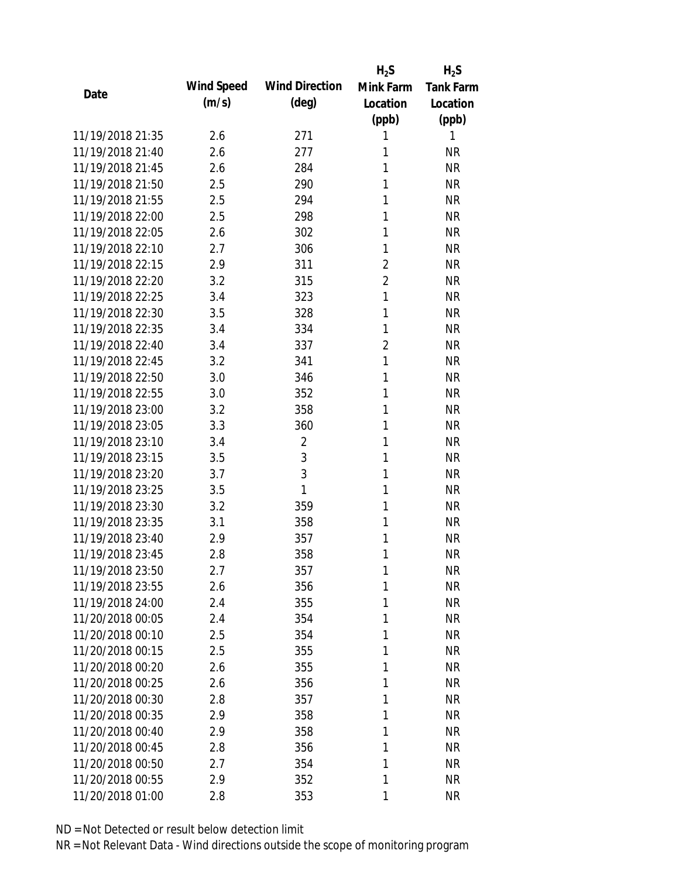|                  |            |                       | $H_2S$         | $H_2S$           |
|------------------|------------|-----------------------|----------------|------------------|
| Date             | Wind Speed | <b>Wind Direction</b> | Mink Farm      | <b>Tank Farm</b> |
|                  | (m/s)      | $(\text{deg})$        | Location       | Location         |
|                  |            |                       | (ppb)          | (ppb)            |
| 11/19/2018 21:35 | 2.6        | 271                   | 1              | 1                |
| 11/19/2018 21:40 | 2.6        | 277                   | 1              | <b>NR</b>        |
| 11/19/2018 21:45 | 2.6        | 284                   | 1              | <b>NR</b>        |
| 11/19/2018 21:50 | 2.5        | 290                   | 1              | <b>NR</b>        |
| 11/19/2018 21:55 | 2.5        | 294                   | 1              | <b>NR</b>        |
| 11/19/2018 22:00 | 2.5        | 298                   | 1              | <b>NR</b>        |
| 11/19/2018 22:05 | 2.6        | 302                   | 1              | <b>NR</b>        |
| 11/19/2018 22:10 | 2.7        | 306                   | 1              | <b>NR</b>        |
| 11/19/2018 22:15 | 2.9        | 311                   | $\overline{2}$ | <b>NR</b>        |
| 11/19/2018 22:20 | 3.2        | 315                   | $\overline{2}$ | <b>NR</b>        |
| 11/19/2018 22:25 | 3.4        | 323                   | 1              | <b>NR</b>        |
| 11/19/2018 22:30 | 3.5        | 328                   | 1              | <b>NR</b>        |
| 11/19/2018 22:35 | 3.4        | 334                   | 1              | <b>NR</b>        |
| 11/19/2018 22:40 | 3.4        | 337                   | $\overline{2}$ | <b>NR</b>        |
| 11/19/2018 22:45 | 3.2        | 341                   | 1              | <b>NR</b>        |
| 11/19/2018 22:50 | 3.0        | 346                   | 1              | <b>NR</b>        |
| 11/19/2018 22:55 | 3.0        | 352                   | 1              | <b>NR</b>        |
| 11/19/2018 23:00 | 3.2        | 358                   | 1              | <b>NR</b>        |
| 11/19/2018 23:05 | 3.3        | 360                   | 1              | <b>NR</b>        |
| 11/19/2018 23:10 | 3.4        | $\overline{2}$        | 1              | <b>NR</b>        |
| 11/19/2018 23:15 | 3.5        | $\mathfrak{Z}$        | 1              | <b>NR</b>        |
| 11/19/2018 23:20 | 3.7        | 3                     | 1              | <b>NR</b>        |
| 11/19/2018 23:25 | 3.5        | 1                     | 1              | <b>NR</b>        |
| 11/19/2018 23:30 | 3.2        | 359                   | 1              | <b>NR</b>        |
| 11/19/2018 23:35 | 3.1        | 358                   | 1              | <b>NR</b>        |
| 11/19/2018 23:40 | 2.9        | 357                   | 1              | <b>NR</b>        |
| 11/19/2018 23:45 | 2.8        | 358                   | 1              | <b>NR</b>        |
| 11/19/2018 23:50 | 2.7        | 357                   | 1              | <b>NR</b>        |
| 11/19/2018 23:55 | 2.6        | 356                   | 1              | <b>NR</b>        |
| 11/19/2018 24:00 | 2.4        | 355                   | 1              | <b>NR</b>        |
| 11/20/2018 00:05 | 2.4        | 354                   | 1              | <b>NR</b>        |
| 11/20/2018 00:10 | 2.5        | 354                   | 1              | <b>NR</b>        |
| 11/20/2018 00:15 | 2.5        | 355                   | 1              | <b>NR</b>        |
| 11/20/2018 00:20 | 2.6        | 355                   | 1              | <b>NR</b>        |
| 11/20/2018 00:25 | 2.6        | 356                   | 1              | <b>NR</b>        |
| 11/20/2018 00:30 | 2.8        | 357                   | 1              | <b>NR</b>        |
| 11/20/2018 00:35 | 2.9        | 358                   | 1              | <b>NR</b>        |
| 11/20/2018 00:40 | 2.9        | 358                   | 1              | <b>NR</b>        |
| 11/20/2018 00:45 |            |                       | 1              | <b>NR</b>        |
| 11/20/2018 00:50 | 2.8        | 356                   | 1              |                  |
|                  | 2.7        | 354                   |                | <b>NR</b>        |
| 11/20/2018 00:55 | 2.9        | 352                   | 1              | <b>NR</b>        |
| 11/20/2018 01:00 | 2.8        | 353                   | 1              | <b>NR</b>        |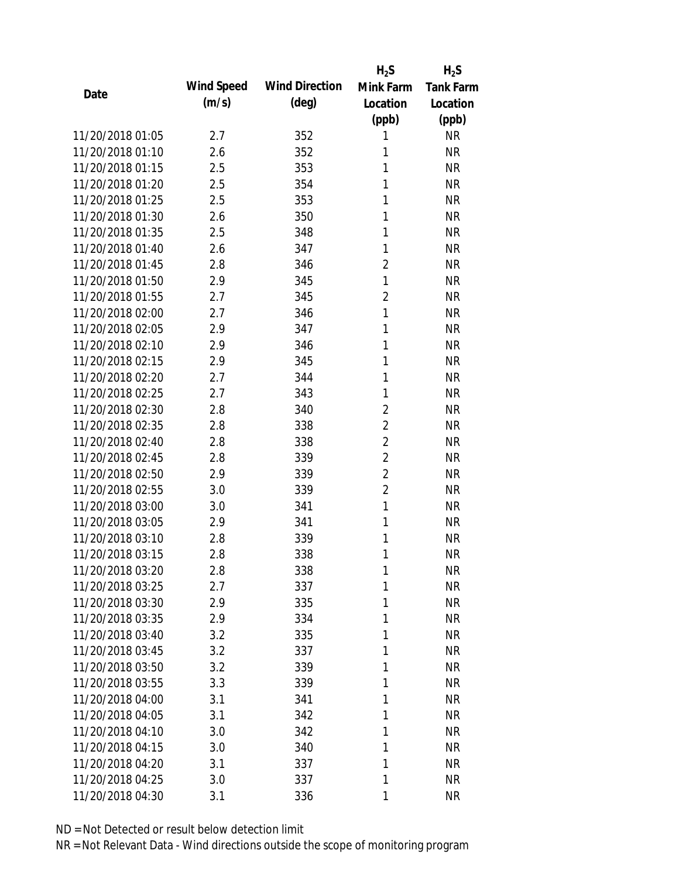|                  |            |                       | $H_2S$         | $H_2S$           |
|------------------|------------|-----------------------|----------------|------------------|
|                  | Wind Speed | <b>Wind Direction</b> | Mink Farm      | <b>Tank Farm</b> |
| Date             | (m/s)      | $(\text{deg})$        | Location       | Location         |
|                  |            |                       | (ppb)          | (ppb)            |
| 11/20/2018 01:05 | 2.7        | 352                   | 1              | <b>NR</b>        |
| 11/20/2018 01:10 | 2.6        | 352                   | 1              | <b>NR</b>        |
| 11/20/2018 01:15 | 2.5        | 353                   | 1              | <b>NR</b>        |
| 11/20/2018 01:20 | 2.5        | 354                   | 1              | <b>NR</b>        |
| 11/20/2018 01:25 | 2.5        | 353                   | 1              | <b>NR</b>        |
| 11/20/2018 01:30 | 2.6        | 350                   | 1              | <b>NR</b>        |
| 11/20/2018 01:35 | 2.5        | 348                   | 1              | <b>NR</b>        |
| 11/20/2018 01:40 | 2.6        | 347                   | 1              | <b>NR</b>        |
| 11/20/2018 01:45 | 2.8        | 346                   | $\overline{2}$ | <b>NR</b>        |
| 11/20/2018 01:50 | 2.9        | 345                   | 1              | <b>NR</b>        |
| 11/20/2018 01:55 | 2.7        | 345                   | $\overline{2}$ | <b>NR</b>        |
| 11/20/2018 02:00 | 2.7        | 346                   | 1              | <b>NR</b>        |
| 11/20/2018 02:05 | 2.9        | 347                   | 1              | <b>NR</b>        |
| 11/20/2018 02:10 | 2.9        | 346                   | 1              | <b>NR</b>        |
| 11/20/2018 02:15 | 2.9        | 345                   | 1              | <b>NR</b>        |
| 11/20/2018 02:20 | 2.7        | 344                   | 1              | <b>NR</b>        |
| 11/20/2018 02:25 | 2.7        | 343                   | 1              | <b>NR</b>        |
| 11/20/2018 02:30 | 2.8        | 340                   | $\overline{2}$ | <b>NR</b>        |
| 11/20/2018 02:35 | 2.8        | 338                   | $\overline{2}$ | <b>NR</b>        |
| 11/20/2018 02:40 | 2.8        | 338                   | $\overline{2}$ | <b>NR</b>        |
| 11/20/2018 02:45 | 2.8        | 339                   | $\overline{2}$ | <b>NR</b>        |
| 11/20/2018 02:50 | 2.9        | 339                   | $\overline{2}$ | <b>NR</b>        |
| 11/20/2018 02:55 | 3.0        | 339                   | $\overline{2}$ | <b>NR</b>        |
| 11/20/2018 03:00 | 3.0        | 341                   | $\mathbf{1}$   | <b>NR</b>        |
| 11/20/2018 03:05 | 2.9        | 341                   | 1              | <b>NR</b>        |
| 11/20/2018 03:10 | 2.8        | 339                   | 1              | <b>NR</b>        |
| 11/20/2018 03:15 | 2.8        | 338                   | 1              | <b>NR</b>        |
| 11/20/2018 03:20 | 2.8        | 338                   | 1              | <b>NR</b>        |
| 11/20/2018 03:25 | 2.7        | 337                   | 1              | <b>NR</b>        |
| 11/20/2018 03:30 | 2.9        | 335                   | 1              | <b>NR</b>        |
| 11/20/2018 03:35 | 2.9        | 334                   | 1              | <b>NR</b>        |
| 11/20/2018 03:40 | 3.2        | 335                   | 1              | <b>NR</b>        |
| 11/20/2018 03:45 | 3.2        | 337                   | 1              | <b>NR</b>        |
| 11/20/2018 03:50 | 3.2        | 339                   | 1              | <b>NR</b>        |
| 11/20/2018 03:55 | 3.3        | 339                   | 1              | <b>NR</b>        |
| 11/20/2018 04:00 | 3.1        | 341                   | 1              | <b>NR</b>        |
| 11/20/2018 04:05 | 3.1        | 342                   | 1              | <b>NR</b>        |
| 11/20/2018 04:10 | 3.0        | 342                   | 1              | <b>NR</b>        |
| 11/20/2018 04:15 | 3.0        | 340                   | 1              | <b>NR</b>        |
| 11/20/2018 04:20 | 3.1        | 337                   | 1              | <b>NR</b>        |
| 11/20/2018 04:25 | 3.0        | 337                   | 1              | <b>NR</b>        |
| 11/20/2018 04:30 | 3.1        | 336                   | 1              | <b>NR</b>        |
|                  |            |                       |                |                  |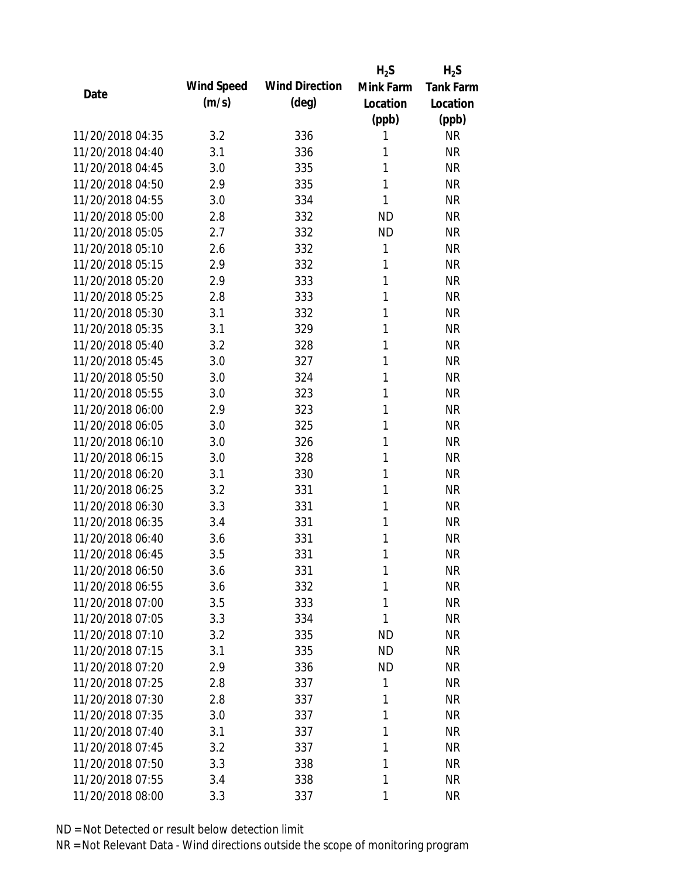|                  |            |                       | $H_2S$       | $H_2S$           |
|------------------|------------|-----------------------|--------------|------------------|
| Date             | Wind Speed | <b>Wind Direction</b> | Mink Farm    | <b>Tank Farm</b> |
|                  | (m/s)      | $(\text{deg})$        | Location     | Location         |
|                  |            |                       | (ppb)        | (ppb)            |
| 11/20/2018 04:35 | 3.2        | 336                   | 1            | <b>NR</b>        |
| 11/20/2018 04:40 | 3.1        | 336                   | 1            | <b>NR</b>        |
| 11/20/2018 04:45 | 3.0        | 335                   | 1            | <b>NR</b>        |
| 11/20/2018 04:50 | 2.9        | 335                   | $\mathbf{1}$ | <b>NR</b>        |
| 11/20/2018 04:55 | 3.0        | 334                   | 1            | <b>NR</b>        |
| 11/20/2018 05:00 | 2.8        | 332                   | <b>ND</b>    | <b>NR</b>        |
| 11/20/2018 05:05 | 2.7        | 332                   | <b>ND</b>    | <b>NR</b>        |
| 11/20/2018 05:10 | 2.6        | 332                   | 1            | <b>NR</b>        |
| 11/20/2018 05:15 | 2.9        | 332                   | 1            | <b>NR</b>        |
| 11/20/2018 05:20 | 2.9        | 333                   | 1            | <b>NR</b>        |
| 11/20/2018 05:25 | 2.8        | 333                   | 1            | <b>NR</b>        |
| 11/20/2018 05:30 | 3.1        | 332                   | 1            | <b>NR</b>        |
| 11/20/2018 05:35 | 3.1        | 329                   | 1            | <b>NR</b>        |
| 11/20/2018 05:40 | 3.2        | 328                   | 1            | <b>NR</b>        |
| 11/20/2018 05:45 | 3.0        | 327                   | 1            | <b>NR</b>        |
| 11/20/2018 05:50 | 3.0        | 324                   | 1            | <b>NR</b>        |
| 11/20/2018 05:55 | 3.0        | 323                   | 1            | <b>NR</b>        |
| 11/20/2018 06:00 | 2.9        | 323                   | 1            | <b>NR</b>        |
| 11/20/2018 06:05 | 3.0        | 325                   | 1            | <b>NR</b>        |
| 11/20/2018 06:10 | 3.0        | 326                   | 1            | <b>NR</b>        |
| 11/20/2018 06:15 | 3.0        | 328                   | 1            | <b>NR</b>        |
| 11/20/2018 06:20 | 3.1        | 330                   | 1            | <b>NR</b>        |
| 11/20/2018 06:25 | 3.2        | 331                   | 1            | <b>NR</b>        |
| 11/20/2018 06:30 | 3.3        | 331                   | 1            | <b>NR</b>        |
| 11/20/2018 06:35 | 3.4        | 331                   | 1            | <b>NR</b>        |
| 11/20/2018 06:40 | 3.6        | 331                   | 1            | <b>NR</b>        |
| 11/20/2018 06:45 | 3.5        | 331                   | 1            | <b>NR</b>        |
| 11/20/2018 06:50 | 3.6        | 331                   | 1            | <b>NR</b>        |
| 11/20/2018 06:55 | 3.6        | 332                   | 1            | <b>NR</b>        |
| 11/20/2018 07:00 | 3.5        | 333                   | 1            | <b>NR</b>        |
| 11/20/2018 07:05 | 3.3        | 334                   | 1            | <b>NR</b>        |
| 11/20/2018 07:10 | 3.2        | 335                   | <b>ND</b>    | <b>NR</b>        |
| 11/20/2018 07:15 | 3.1        | 335                   | <b>ND</b>    | <b>NR</b>        |
| 11/20/2018 07:20 | 2.9        | 336                   | <b>ND</b>    | <b>NR</b>        |
| 11/20/2018 07:25 | 2.8        | 337                   | 1            | <b>NR</b>        |
| 11/20/2018 07:30 | 2.8        | 337                   | 1            | <b>NR</b>        |
| 11/20/2018 07:35 | 3.0        | 337                   | 1            | <b>NR</b>        |
| 11/20/2018 07:40 | 3.1        | 337                   | 1            | <b>NR</b>        |
| 11/20/2018 07:45 | 3.2        | 337                   | 1            | <b>NR</b>        |
| 11/20/2018 07:50 | 3.3        | 338                   | 1            | <b>NR</b>        |
| 11/20/2018 07:55 | 3.4        | 338                   | 1            | <b>NR</b>        |
| 11/20/2018 08:00 | 3.3        | 337                   | 1            | <b>NR</b>        |
|                  |            |                       |              |                  |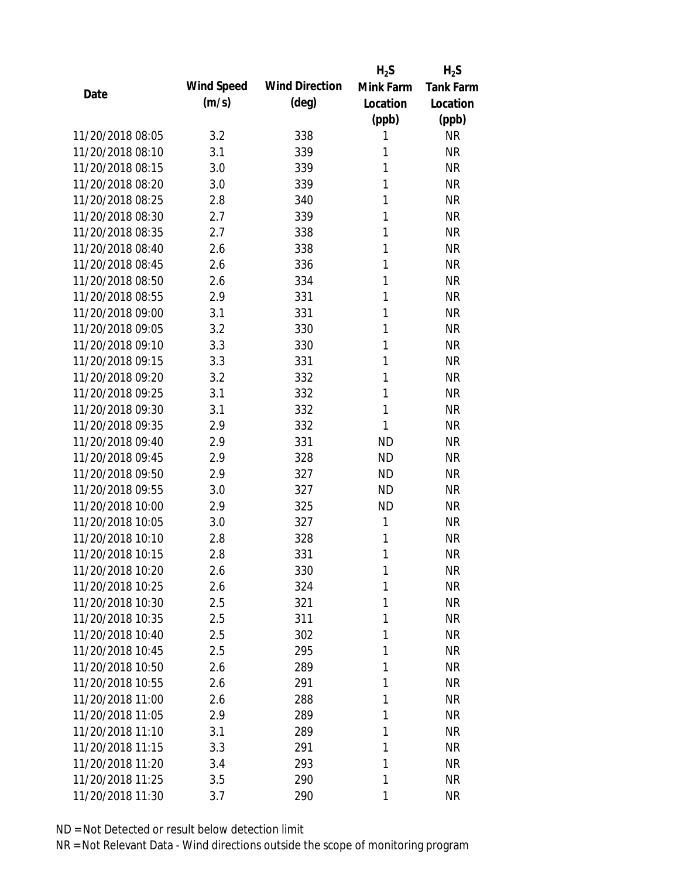|                  |            |                       | $H_2S$    | $H_2S$           |
|------------------|------------|-----------------------|-----------|------------------|
| Date             | Wind Speed | <b>Wind Direction</b> | Mink Farm | <b>Tank Farm</b> |
|                  | (m/s)      | $(\text{deg})$        | Location  | Location         |
|                  |            |                       | (ppb)     | (ppb)            |
| 11/20/2018 08:05 | 3.2        | 338                   | 1         | <b>NR</b>        |
| 11/20/2018 08:10 | 3.1        | 339                   | 1         | <b>NR</b>        |
| 11/20/2018 08:15 | 3.0        | 339                   | 1         | <b>NR</b>        |
| 11/20/2018 08:20 | 3.0        | 339                   | 1         | <b>NR</b>        |
| 11/20/2018 08:25 | 2.8        | 340                   | 1         | <b>NR</b>        |
| 11/20/2018 08:30 | 2.7        | 339                   | 1         | <b>NR</b>        |
| 11/20/2018 08:35 | 2.7        | 338                   | 1         | <b>NR</b>        |
| 11/20/2018 08:40 | 2.6        | 338                   | 1         | <b>NR</b>        |
| 11/20/2018 08:45 | 2.6        | 336                   | 1         | <b>NR</b>        |
| 11/20/2018 08:50 | 2.6        | 334                   | 1         | <b>NR</b>        |
| 11/20/2018 08:55 | 2.9        | 331                   | 1         | <b>NR</b>        |
| 11/20/2018 09:00 | 3.1        | 331                   | 1         | <b>NR</b>        |
| 11/20/2018 09:05 | 3.2        | 330                   | 1         | <b>NR</b>        |
| 11/20/2018 09:10 | 3.3        | 330                   | 1         | <b>NR</b>        |
| 11/20/2018 09:15 | 3.3        | 331                   | 1         | <b>NR</b>        |
| 11/20/2018 09:20 | 3.2        | 332                   | 1         | <b>NR</b>        |
| 11/20/2018 09:25 | 3.1        | 332                   | 1         | <b>NR</b>        |
| 11/20/2018 09:30 | 3.1        | 332                   | 1         | <b>NR</b>        |
| 11/20/2018 09:35 | 2.9        | 332                   | 1         | <b>NR</b>        |
| 11/20/2018 09:40 | 2.9        | 331                   | <b>ND</b> | <b>NR</b>        |
| 11/20/2018 09:45 | 2.9        | 328                   | <b>ND</b> | <b>NR</b>        |
| 11/20/2018 09:50 | 2.9        | 327                   | <b>ND</b> | <b>NR</b>        |
| 11/20/2018 09:55 | 3.0        | 327                   | <b>ND</b> | <b>NR</b>        |
| 11/20/2018 10:00 | 2.9        | 325                   | <b>ND</b> | <b>NR</b>        |
| 11/20/2018 10:05 | 3.0        | 327                   | 1         | <b>NR</b>        |
| 11/20/2018 10:10 | 2.8        | 328                   | 1         | <b>NR</b>        |
| 11/20/2018 10:15 | 2.8        | 331                   | 1         | <b>NR</b>        |
| 11/20/2018 10:20 | 2.6        | 330                   | 1         | <b>NR</b>        |
| 11/20/2018 10:25 | 2.6        | 324                   | 1         | <b>NR</b>        |
| 11/20/2018 10:30 | 2.5        | 321                   | 1         | <b>NR</b>        |
| 11/20/2018 10:35 | 2.5        | 311                   | 1         | <b>NR</b>        |
| 11/20/2018 10:40 | 2.5        | 302                   | 1         | <b>NR</b>        |
| 11/20/2018 10:45 | 2.5        | 295                   | 1         | <b>NR</b>        |
| 11/20/2018 10:50 | 2.6        | 289                   | 1         | <b>NR</b>        |
| 11/20/2018 10:55 | 2.6        | 291                   | 1         | <b>NR</b>        |
| 11/20/2018 11:00 | 2.6        | 288                   | 1         | <b>NR</b>        |
| 11/20/2018 11:05 | 2.9        | 289                   | 1         | <b>NR</b>        |
| 11/20/2018 11:10 | 3.1        | 289                   | 1         | <b>NR</b>        |
| 11/20/2018 11:15 | 3.3        | 291                   | 1         | <b>NR</b>        |
| 11/20/2018 11:20 | 3.4        | 293                   | 1         | <b>NR</b>        |
| 11/20/2018 11:25 | 3.5        | 290                   | 1         | <b>NR</b>        |
| 11/20/2018 11:30 | 3.7        | 290                   | 1         | <b>NR</b>        |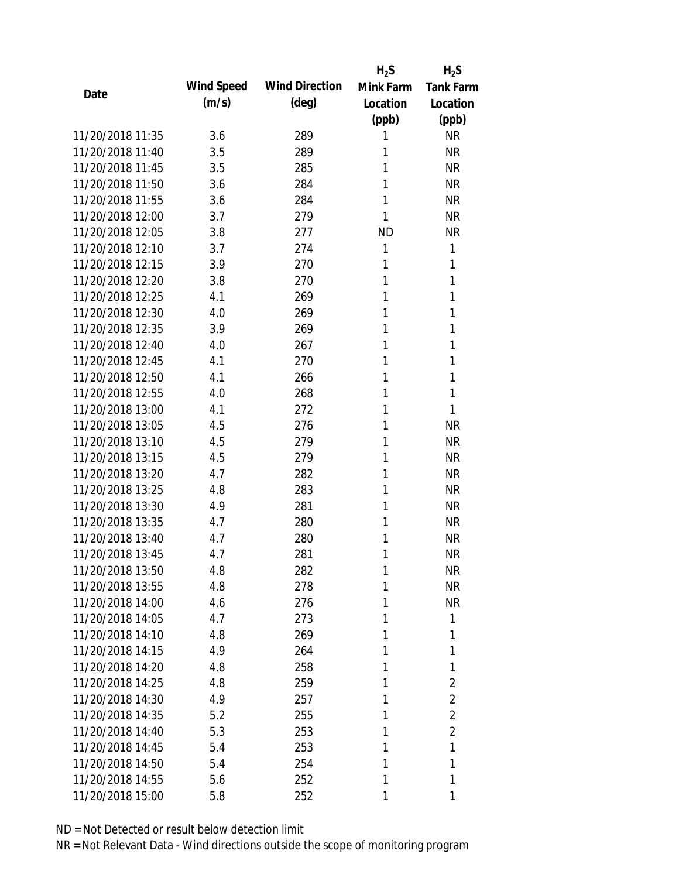|                  |            |                       | $H_2S$    | $H_2S$           |
|------------------|------------|-----------------------|-----------|------------------|
|                  | Wind Speed | <b>Wind Direction</b> | Mink Farm | <b>Tank Farm</b> |
| Date             | (m/s)      | $(\text{deg})$        | Location  | Location         |
|                  |            |                       | (ppb)     | (ppb)            |
| 11/20/2018 11:35 | 3.6        | 289                   | 1         | <b>NR</b>        |
| 11/20/2018 11:40 | 3.5        | 289                   | 1         | <b>NR</b>        |
| 11/20/2018 11:45 | 3.5        | 285                   | 1         | <b>NR</b>        |
| 11/20/2018 11:50 | 3.6        | 284                   | 1         | <b>NR</b>        |
| 11/20/2018 11:55 | 3.6        | 284                   | 1         | <b>NR</b>        |
| 11/20/2018 12:00 | 3.7        | 279                   | 1         | <b>NR</b>        |
| 11/20/2018 12:05 | 3.8        | 277                   | <b>ND</b> | <b>NR</b>        |
| 11/20/2018 12:10 | 3.7        | 274                   | 1         | 1                |
| 11/20/2018 12:15 | 3.9        | 270                   | 1         | 1                |
| 11/20/2018 12:20 | 3.8        | 270                   | 1         | 1                |
| 11/20/2018 12:25 | 4.1        | 269                   | 1         | 1                |
| 11/20/2018 12:30 | 4.0        | 269                   | 1         | 1                |
| 11/20/2018 12:35 | 3.9        | 269                   | 1         | 1                |
| 11/20/2018 12:40 | 4.0        | 267                   | 1         | 1                |
| 11/20/2018 12:45 | 4.1        | 270                   | 1         | 1                |
| 11/20/2018 12:50 | 4.1        | 266                   | 1         | 1                |
| 11/20/2018 12:55 | 4.0        | 268                   | 1         | 1                |
| 11/20/2018 13:00 | 4.1        | 272                   | 1         | 1                |
| 11/20/2018 13:05 | 4.5        | 276                   | 1         | <b>NR</b>        |
| 11/20/2018 13:10 | 4.5        | 279                   | 1         | <b>NR</b>        |
| 11/20/2018 13:15 | 4.5        | 279                   | 1         | <b>NR</b>        |
| 11/20/2018 13:20 | 4.7        | 282                   | 1         | <b>NR</b>        |
| 11/20/2018 13:25 | 4.8        | 283                   | 1         | <b>NR</b>        |
| 11/20/2018 13:30 | 4.9        | 281                   | 1         | <b>NR</b>        |
| 11/20/2018 13:35 | 4.7        | 280                   | 1         | <b>NR</b>        |
| 11/20/2018 13:40 | 4.7        | 280                   | 1         | <b>NR</b>        |
| 11/20/2018 13:45 | 4.7        | 281                   | 1         | <b>NR</b>        |
| 11/20/2018 13:50 | 4.8        | 282                   | 1         | <b>NR</b>        |
| 11/20/2018 13:55 | 4.8        | 278                   | 1         | <b>NR</b>        |
| 11/20/2018 14:00 | 4.6        | 276                   | 1         | <b>NR</b>        |
| 11/20/2018 14:05 | 4.7        | 273                   | 1         | 1                |
| 11/20/2018 14:10 | 4.8        | 269                   | 1         | 1                |
| 11/20/2018 14:15 | 4.9        | 264                   | 1         | 1                |
| 11/20/2018 14:20 | 4.8        | 258                   | 1         | 1                |
| 11/20/2018 14:25 | 4.8        | 259                   | 1         | $\overline{2}$   |
| 11/20/2018 14:30 | 4.9        | 257                   | 1         | 2                |
| 11/20/2018 14:35 | 5.2        | 255                   | 1         | $\overline{2}$   |
| 11/20/2018 14:40 | 5.3        | 253                   | 1         | 2                |
| 11/20/2018 14:45 | 5.4        | 253                   | 1         | 1                |
| 11/20/2018 14:50 | 5.4        | 254                   | 1         | 1                |
| 11/20/2018 14:55 | 5.6        | 252                   | 1         | 1                |
| 11/20/2018 15:00 | 5.8        | 252                   | 1         | 1                |
|                  |            |                       |           |                  |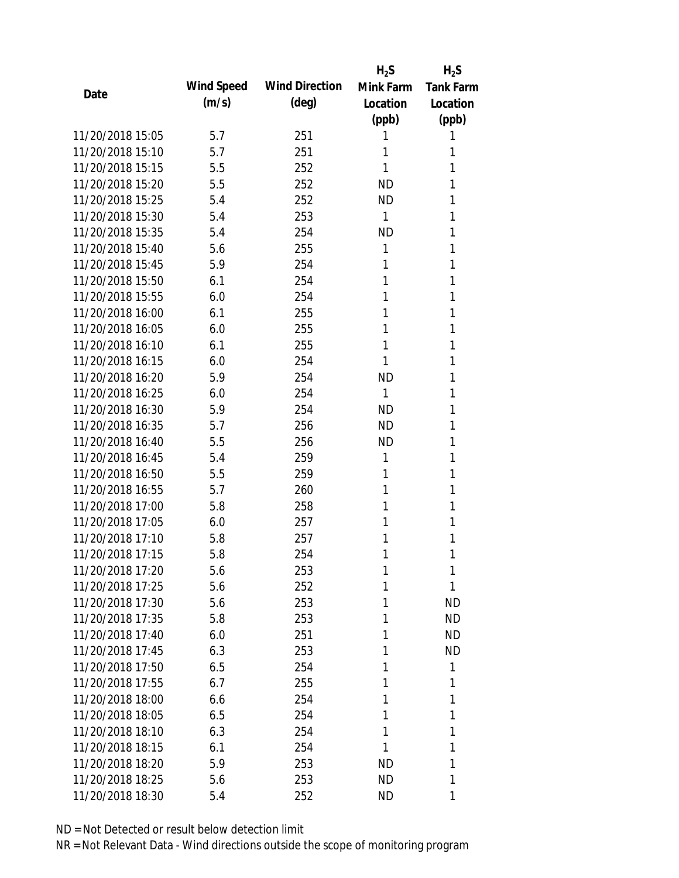|                  |            |                       | $H_2S$       | $H_2S$           |
|------------------|------------|-----------------------|--------------|------------------|
| Date             | Wind Speed | <b>Wind Direction</b> | Mink Farm    | <b>Tank Farm</b> |
|                  | (m/s)      | $(\text{deg})$        | Location     | Location         |
|                  |            |                       | (ppb)        | (ppb)            |
| 11/20/2018 15:05 | 5.7        | 251                   | 1            | 1                |
| 11/20/2018 15:10 | 5.7        | 251                   | 1            | 1                |
| 11/20/2018 15:15 | 5.5        | 252                   | 1            | 1                |
| 11/20/2018 15:20 | 5.5        | 252                   | <b>ND</b>    | 1                |
| 11/20/2018 15:25 | 5.4        | 252                   | <b>ND</b>    | 1                |
| 11/20/2018 15:30 | 5.4        | 253                   | 1            | 1                |
| 11/20/2018 15:35 | 5.4        | 254                   | <b>ND</b>    | 1                |
| 11/20/2018 15:40 | 5.6        | 255                   | 1            | 1                |
| 11/20/2018 15:45 | 5.9        | 254                   | 1            | 1                |
| 11/20/2018 15:50 | 6.1        | 254                   | 1            | 1                |
| 11/20/2018 15:55 | 6.0        | 254                   | 1            | 1                |
| 11/20/2018 16:00 | 6.1        | 255                   | 1            | 1                |
| 11/20/2018 16:05 | 6.0        | 255                   | 1            | 1                |
| 11/20/2018 16:10 | 6.1        | 255                   | 1            | 1                |
| 11/20/2018 16:15 | 6.0        | 254                   | 1            | 1                |
| 11/20/2018 16:20 | 5.9        | 254                   | <b>ND</b>    | 1                |
| 11/20/2018 16:25 | 6.0        | 254                   | $\mathbf{1}$ | 1                |
| 11/20/2018 16:30 | 5.9        | 254                   | <b>ND</b>    | 1                |
| 11/20/2018 16:35 | 5.7        | 256                   | <b>ND</b>    | 1                |
| 11/20/2018 16:40 | 5.5        | 256                   | <b>ND</b>    | 1                |
| 11/20/2018 16:45 | 5.4        | 259                   | 1            | 1                |
| 11/20/2018 16:50 | 5.5        | 259                   | 1            | 1                |
| 11/20/2018 16:55 | 5.7        | 260                   | 1            | 1                |
| 11/20/2018 17:00 | 5.8        | 258                   | 1            | 1                |
| 11/20/2018 17:05 | 6.0        | 257                   | 1            | 1                |
| 11/20/2018 17:10 | 5.8        | 257                   | 1            | 1                |
| 11/20/2018 17:15 | 5.8        | 254                   | 1            | 1                |
| 11/20/2018 17:20 | 5.6        | 253                   | 1            | 1                |
| 11/20/2018 17:25 | 5.6        | 252                   | 1            | 1                |
| 11/20/2018 17:30 | 5.6        | 253                   | 1            | <b>ND</b>        |
| 11/20/2018 17:35 | 5.8        | 253                   | 1            | <b>ND</b>        |
| 11/20/2018 17:40 | 6.0        | 251                   | 1            | <b>ND</b>        |
| 11/20/2018 17:45 | 6.3        | 253                   | 1            | <b>ND</b>        |
| 11/20/2018 17:50 | 6.5        | 254                   | 1            | 1                |
| 11/20/2018 17:55 | 6.7        | 255                   | 1            | 1                |
| 11/20/2018 18:00 | 6.6        | 254                   | 1            | 1                |
| 11/20/2018 18:05 | 6.5        | 254                   | 1            | 1                |
| 11/20/2018 18:10 | 6.3        | 254                   | 1            | 1                |
| 11/20/2018 18:15 | 6.1        | 254                   | 1            | 1                |
| 11/20/2018 18:20 | 5.9        | 253                   | <b>ND</b>    | 1                |
| 11/20/2018 18:25 | 5.6        | 253                   | <b>ND</b>    | 1                |
| 11/20/2018 18:30 | 5.4        | 252                   | <b>ND</b>    | 1                |
|                  |            |                       |              |                  |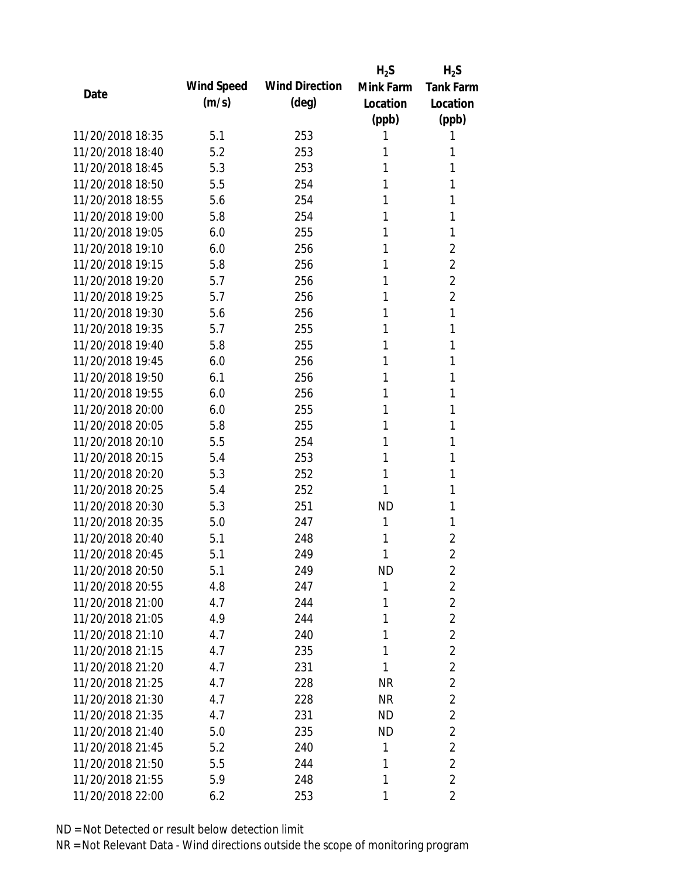|                  |            |                       | $H_2S$    | $H_2S$           |
|------------------|------------|-----------------------|-----------|------------------|
|                  | Wind Speed | <b>Wind Direction</b> | Mink Farm | <b>Tank Farm</b> |
| Date             | (m/s)      | $(\text{deg})$        | Location  | Location         |
|                  |            |                       | (ppb)     | (ppb)            |
| 11/20/2018 18:35 | 5.1        | 253                   | 1         | 1                |
| 11/20/2018 18:40 | 5.2        | 253                   | 1         | 1                |
| 11/20/2018 18:45 | 5.3        | 253                   | 1         | 1                |
| 11/20/2018 18:50 | 5.5        | 254                   | 1         | 1                |
| 11/20/2018 18:55 | 5.6        | 254                   | 1         | 1                |
| 11/20/2018 19:00 | 5.8        | 254                   | 1         | 1                |
| 11/20/2018 19:05 | 6.0        | 255                   | 1         | 1                |
| 11/20/2018 19:10 | 6.0        | 256                   | 1         | $\overline{2}$   |
| 11/20/2018 19:15 | 5.8        | 256                   | 1         | $\overline{2}$   |
| 11/20/2018 19:20 | 5.7        | 256                   | 1         | $\overline{2}$   |
| 11/20/2018 19:25 | 5.7        | 256                   | 1         | $\overline{2}$   |
| 11/20/2018 19:30 | 5.6        | 256                   | 1         | 1                |
| 11/20/2018 19:35 | 5.7        | 255                   | 1         | 1                |
| 11/20/2018 19:40 | 5.8        | 255                   | 1         | 1                |
| 11/20/2018 19:45 | 6.0        | 256                   | 1         | 1                |
| 11/20/2018 19:50 | 6.1        | 256                   | 1         | 1                |
| 11/20/2018 19:55 | 6.0        | 256                   | 1         | 1                |
| 11/20/2018 20:00 | 6.0        | 255                   | 1         | 1                |
| 11/20/2018 20:05 | 5.8        | 255                   | 1         | 1                |
| 11/20/2018 20:10 | 5.5        | 254                   | 1         | 1                |
| 11/20/2018 20:15 | 5.4        | 253                   | 1         | 1                |
| 11/20/2018 20:20 | 5.3        | 252                   | 1         | 1                |
| 11/20/2018 20:25 | 5.4        | 252                   | 1         | 1                |
| 11/20/2018 20:30 | 5.3        | 251                   | <b>ND</b> | 1                |
| 11/20/2018 20:35 | 5.0        | 247                   | 1         | 1                |
| 11/20/2018 20:40 | 5.1        | 248                   | 1         | $\overline{2}$   |
| 11/20/2018 20:45 | 5.1        | 249                   | 1         | $\overline{2}$   |
| 11/20/2018 20:50 | 5.1        | 249                   | <b>ND</b> | $\overline{2}$   |
| 11/20/2018 20:55 | 4.8        | 247                   | 1         | $\overline{2}$   |
| 11/20/2018 21:00 | 4.7        | 244                   | 1         | $\overline{2}$   |
| 11/20/2018 21:05 | 4.9        | 244                   | 1         | $\overline{2}$   |
| 11/20/2018 21:10 | 4.7        | 240                   | 1         | $\overline{2}$   |
| 11/20/2018 21:15 | 4.7        | 235                   | 1         | $\overline{2}$   |
| 11/20/2018 21:20 | 4.7        | 231                   | 1         | $\overline{2}$   |
| 11/20/2018 21:25 | 4.7        | 228                   | <b>NR</b> | $\overline{2}$   |
| 11/20/2018 21:30 | 4.7        | 228                   | <b>NR</b> | $\overline{2}$   |
| 11/20/2018 21:35 | 4.7        | 231                   | ND        | $\overline{2}$   |
| 11/20/2018 21:40 | 5.0        | 235                   | <b>ND</b> | $\overline{2}$   |
| 11/20/2018 21:45 | 5.2        | 240                   | 1         | $\overline{2}$   |
| 11/20/2018 21:50 | 5.5        | 244                   | 1         | $\overline{2}$   |
| 11/20/2018 21:55 | 5.9        | 248                   | 1         | $\overline{2}$   |
| 11/20/2018 22:00 | 6.2        | 253                   | 1         | $\overline{2}$   |
|                  |            |                       |           |                  |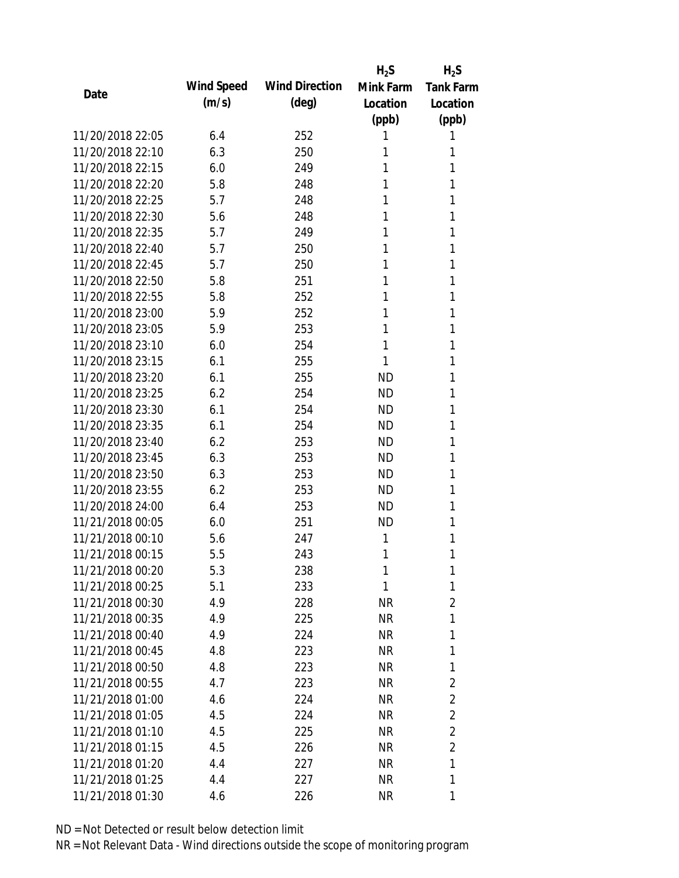|                  |            |                       | $H_2S$    | $H_2S$           |
|------------------|------------|-----------------------|-----------|------------------|
|                  | Wind Speed | <b>Wind Direction</b> | Mink Farm | <b>Tank Farm</b> |
| Date             | (m/s)      | $(\text{deg})$        | Location  | Location         |
|                  |            |                       | (ppb)     | (ppb)            |
| 11/20/2018 22:05 | 6.4        | 252                   | 1         | 1                |
| 11/20/2018 22:10 | 6.3        | 250                   | 1         | 1                |
| 11/20/2018 22:15 | 6.0        | 249                   | 1         | 1                |
| 11/20/2018 22:20 | 5.8        | 248                   | 1         | 1                |
| 11/20/2018 22:25 | 5.7        | 248                   | 1         | 1                |
| 11/20/2018 22:30 | 5.6        | 248                   | 1         | 1                |
| 11/20/2018 22:35 | 5.7        | 249                   | 1         | 1                |
| 11/20/2018 22:40 | 5.7        | 250                   | 1         | 1                |
| 11/20/2018 22:45 | 5.7        | 250                   | 1         | 1                |
| 11/20/2018 22:50 | 5.8        | 251                   | 1         | 1                |
| 11/20/2018 22:55 | 5.8        | 252                   | 1         | 1                |
| 11/20/2018 23:00 | 5.9        | 252                   | 1         | 1                |
| 11/20/2018 23:05 | 5.9        | 253                   | 1         | 1                |
| 11/20/2018 23:10 | 6.0        | 254                   | 1         | 1                |
| 11/20/2018 23:15 | 6.1        | 255                   | 1         | 1                |
| 11/20/2018 23:20 | 6.1        | 255                   | <b>ND</b> | 1                |
| 11/20/2018 23:25 | 6.2        | 254                   | <b>ND</b> | 1                |
| 11/20/2018 23:30 | 6.1        | 254                   | <b>ND</b> | 1                |
| 11/20/2018 23:35 | 6.1        | 254                   | <b>ND</b> | 1                |
| 11/20/2018 23:40 | 6.2        | 253                   | <b>ND</b> | 1                |
| 11/20/2018 23:45 | 6.3        | 253                   | <b>ND</b> | 1                |
| 11/20/2018 23:50 | 6.3        | 253                   | <b>ND</b> | 1                |
| 11/20/2018 23:55 | 6.2        | 253                   | ND        | 1                |
| 11/20/2018 24:00 | 6.4        | 253                   | <b>ND</b> | 1                |
| 11/21/2018 00:05 | 6.0        | 251                   | ND        | 1                |
| 11/21/2018 00:10 | 5.6        | 247                   | 1         | 1                |
| 11/21/2018 00:15 | 5.5        | 243                   | 1         | 1                |
| 11/21/2018 00:20 | 5.3        | 238                   | 1         | 1                |
| 11/21/2018 00:25 | 5.1        | 233                   | 1         | 1                |
| 11/21/2018 00:30 | 4.9        | 228                   | <b>NR</b> | $\overline{2}$   |
| 11/21/2018 00:35 | 4.9        | 225                   | <b>NR</b> | 1                |
| 11/21/2018 00:40 | 4.9        | 224                   | <b>NR</b> | 1                |
| 11/21/2018 00:45 | 4.8        | 223                   | <b>NR</b> | 1                |
| 11/21/2018 00:50 | 4.8        | 223                   | <b>NR</b> | 1                |
| 11/21/2018 00:55 | 4.7        | 223                   | <b>NR</b> | $\overline{2}$   |
| 11/21/2018 01:00 | 4.6        | 224                   | <b>NR</b> | $\overline{2}$   |
| 11/21/2018 01:05 | 4.5        | 224                   | <b>NR</b> | $\overline{2}$   |
| 11/21/2018 01:10 | 4.5        | 225                   | NR        | $\overline{2}$   |
| 11/21/2018 01:15 | 4.5        | 226                   | <b>NR</b> | $\overline{2}$   |
| 11/21/2018 01:20 | 4.4        | 227                   | <b>NR</b> | 1                |
| 11/21/2018 01:25 | 4.4        | 227                   | <b>NR</b> | 1                |
| 11/21/2018 01:30 | 4.6        | 226                   | <b>NR</b> | 1                |
|                  |            |                       |           |                  |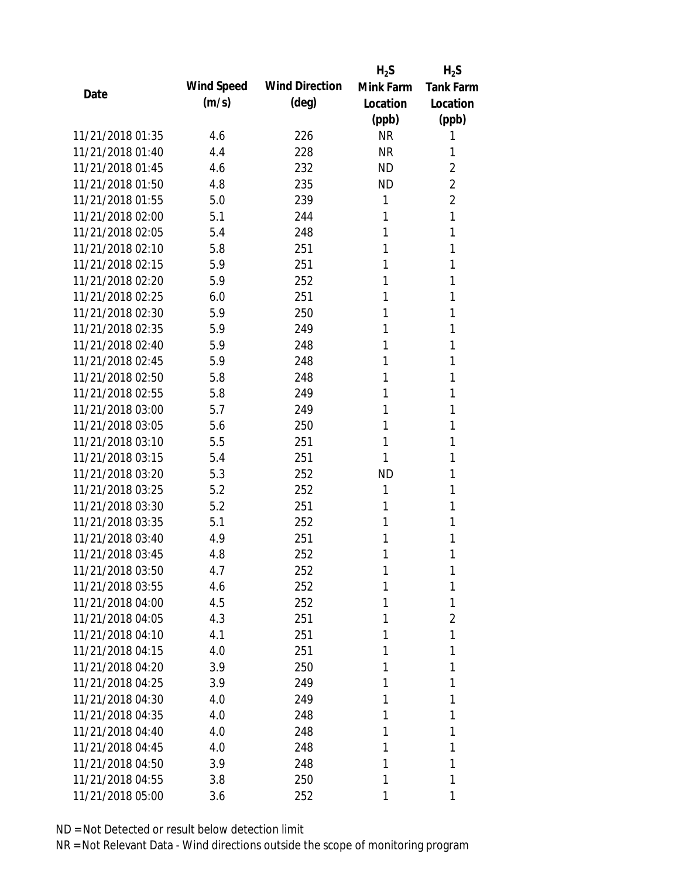|                  |            |                       | $H_2S$    | $H_2S$           |
|------------------|------------|-----------------------|-----------|------------------|
|                  | Wind Speed | <b>Wind Direction</b> | Mink Farm | <b>Tank Farm</b> |
| Date             | (m/s)      | $(\text{deg})$        | Location  | Location         |
|                  |            |                       | (ppb)     | (ppb)            |
| 11/21/2018 01:35 | 4.6        | 226                   | <b>NR</b> | 1                |
| 11/21/2018 01:40 | 4.4        | 228                   | <b>NR</b> | 1                |
| 11/21/2018 01:45 | 4.6        | 232                   | <b>ND</b> | $\overline{2}$   |
| 11/21/2018 01:50 | 4.8        | 235                   | <b>ND</b> | $\overline{2}$   |
| 11/21/2018 01:55 | 5.0        | 239                   | 1         | $\overline{2}$   |
| 11/21/2018 02:00 | 5.1        | 244                   | 1         | 1                |
| 11/21/2018 02:05 | 5.4        | 248                   | 1         | 1                |
| 11/21/2018 02:10 | 5.8        | 251                   | 1         | 1                |
| 11/21/2018 02:15 | 5.9        | 251                   | 1         | 1                |
| 11/21/2018 02:20 | 5.9        | 252                   | 1         | 1                |
| 11/21/2018 02:25 | 6.0        | 251                   | 1         | 1                |
| 11/21/2018 02:30 | 5.9        | 250                   | 1         | 1                |
| 11/21/2018 02:35 | 5.9        | 249                   | 1         | 1                |
| 11/21/2018 02:40 | 5.9        | 248                   | 1         | 1                |
| 11/21/2018 02:45 | 5.9        | 248                   | 1         | 1                |
| 11/21/2018 02:50 | 5.8        | 248                   | 1         | 1                |
| 11/21/2018 02:55 | 5.8        | 249                   | 1         | 1                |
| 11/21/2018 03:00 | 5.7        | 249                   | 1         | 1                |
| 11/21/2018 03:05 | 5.6        | 250                   | 1         | 1                |
| 11/21/2018 03:10 | 5.5        | 251                   | 1         | 1                |
| 11/21/2018 03:15 | 5.4        | 251                   | 1         | 1                |
| 11/21/2018 03:20 | 5.3        | 252                   | <b>ND</b> | 1                |
| 11/21/2018 03:25 | 5.2        | 252                   | 1         | 1                |
| 11/21/2018 03:30 | 5.2        | 251                   | 1         | 1                |
| 11/21/2018 03:35 | 5.1        | 252                   | 1         | 1                |
| 11/21/2018 03:40 | 4.9        | 251                   | 1         | 1                |
| 11/21/2018 03:45 | 4.8        | 252                   | 1         | 1                |
| 11/21/2018 03:50 | 4.7        | 252                   | 1         | 1                |
| 11/21/2018 03:55 | 4.6        | 252                   | 1         | 1                |
| 11/21/2018 04:00 | 4.5        | 252                   | 1         | 1                |
| 11/21/2018 04:05 | 4.3        | 251                   | 1         | 2                |
| 11/21/2018 04:10 | 4.1        | 251                   | 1         | 1                |
| 11/21/2018 04:15 | 4.0        | 251                   | 1         | 1                |
| 11/21/2018 04:20 | 3.9        | 250                   | 1         | 1                |
| 11/21/2018 04:25 | 3.9        | 249                   | 1         | 1                |
| 11/21/2018 04:30 | 4.0        | 249                   | 1         | 1                |
| 11/21/2018 04:35 | 4.0        | 248                   | 1         | 1                |
| 11/21/2018 04:40 | 4.0        | 248                   | 1         | 1                |
| 11/21/2018 04:45 | 4.0        | 248                   | 1         | 1                |
| 11/21/2018 04:50 | 3.9        | 248                   | 1         | 1                |
| 11/21/2018 04:55 | 3.8        | 250                   | 1         | 1                |
| 11/21/2018 05:00 | 3.6        | 252                   | 1         | 1                |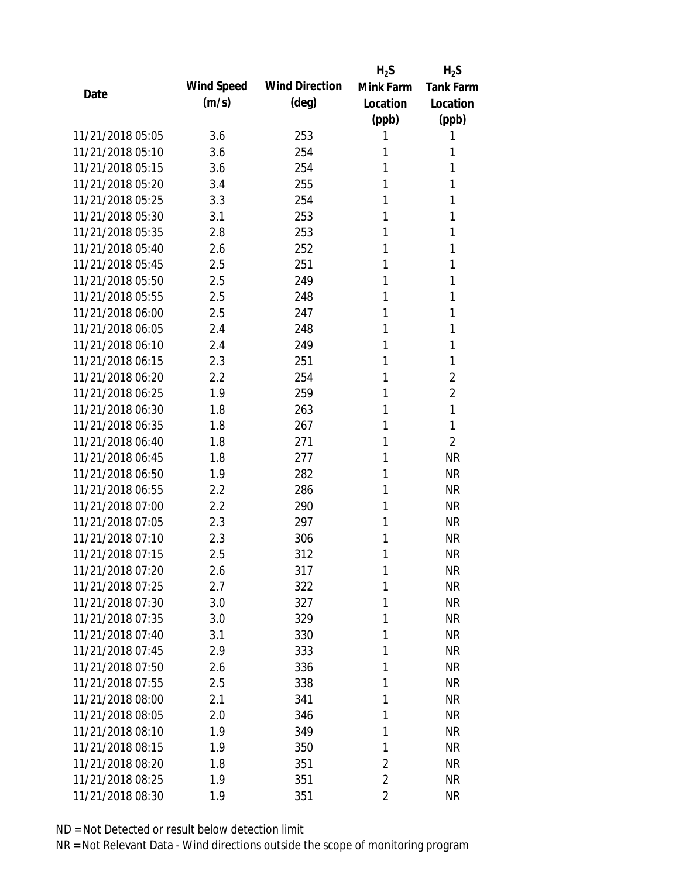|                  |            |                       | $H_2S$         | $H_2S$           |
|------------------|------------|-----------------------|----------------|------------------|
| Date             | Wind Speed | <b>Wind Direction</b> | Mink Farm      | <b>Tank Farm</b> |
|                  | (m/s)      | $(\text{deg})$        | Location       | Location         |
|                  |            |                       | (ppb)          | (ppb)            |
| 11/21/2018 05:05 | 3.6        | 253                   | 1              | 1                |
| 11/21/2018 05:10 | 3.6        | 254                   | 1              | 1                |
| 11/21/2018 05:15 | 3.6        | 254                   | 1              | 1                |
| 11/21/2018 05:20 | 3.4        | 255                   | 1              | 1                |
| 11/21/2018 05:25 | 3.3        | 254                   | 1              | 1                |
| 11/21/2018 05:30 | 3.1        | 253                   | 1              | 1                |
| 11/21/2018 05:35 | 2.8        | 253                   | 1              | 1                |
| 11/21/2018 05:40 | 2.6        | 252                   | 1              | 1                |
| 11/21/2018 05:45 | 2.5        | 251                   | 1              | 1                |
| 11/21/2018 05:50 | 2.5        | 249                   | 1              | 1                |
| 11/21/2018 05:55 | 2.5        | 248                   | 1              | 1                |
| 11/21/2018 06:00 | 2.5        | 247                   | 1              | 1                |
| 11/21/2018 06:05 | 2.4        | 248                   | 1              | 1                |
| 11/21/2018 06:10 | 2.4        | 249                   | 1              | 1                |
| 11/21/2018 06:15 | 2.3        | 251                   | 1              | 1                |
| 11/21/2018 06:20 | 2.2        | 254                   | 1              | $\overline{2}$   |
| 11/21/2018 06:25 | 1.9        | 259                   | 1              | $\overline{2}$   |
| 11/21/2018 06:30 | 1.8        | 263                   | 1              | 1                |
| 11/21/2018 06:35 | 1.8        | 267                   | 1              | 1                |
| 11/21/2018 06:40 | 1.8        | 271                   | 1              | $\overline{2}$   |
| 11/21/2018 06:45 | 1.8        | 277                   | 1              | <b>NR</b>        |
| 11/21/2018 06:50 | 1.9        | 282                   | 1              | <b>NR</b>        |
| 11/21/2018 06:55 | 2.2        | 286                   | 1              | <b>NR</b>        |
| 11/21/2018 07:00 | 2.2        | 290                   | 1              | <b>NR</b>        |
| 11/21/2018 07:05 | 2.3        | 297                   | 1              | <b>NR</b>        |
| 11/21/2018 07:10 | 2.3        | 306                   | 1              | <b>NR</b>        |
| 11/21/2018 07:15 | 2.5        | 312                   | 1              | <b>NR</b>        |
| 11/21/2018 07:20 | 2.6        | 317                   | 1              | <b>NR</b>        |
| 11/21/2018 07:25 | 2.7        | 322                   | 1              | <b>NR</b>        |
| 11/21/2018 07:30 | 3.0        | 327                   | 1              | <b>NR</b>        |
| 11/21/2018 07:35 | 3.0        | 329                   | 1              | <b>NR</b>        |
| 11/21/2018 07:40 | 3.1        | 330                   | 1              | <b>NR</b>        |
| 11/21/2018 07:45 | 2.9        | 333                   | 1              | <b>NR</b>        |
| 11/21/2018 07:50 | 2.6        | 336                   | 1              | <b>NR</b>        |
| 11/21/2018 07:55 | 2.5        | 338                   | 1              | <b>NR</b>        |
| 11/21/2018 08:00 | 2.1        | 341                   | 1              | <b>NR</b>        |
| 11/21/2018 08:05 | 2.0        | 346                   | 1              | <b>NR</b>        |
| 11/21/2018 08:10 | 1.9        | 349                   | 1              | <b>NR</b>        |
| 11/21/2018 08:15 | 1.9        | 350                   | 1              | <b>NR</b>        |
| 11/21/2018 08:20 | 1.8        | 351                   | $\overline{2}$ | <b>NR</b>        |
| 11/21/2018 08:25 | 1.9        | 351                   | $\overline{2}$ | <b>NR</b>        |
| 11/21/2018 08:30 | 1.9        | 351                   | $\overline{2}$ | <b>NR</b>        |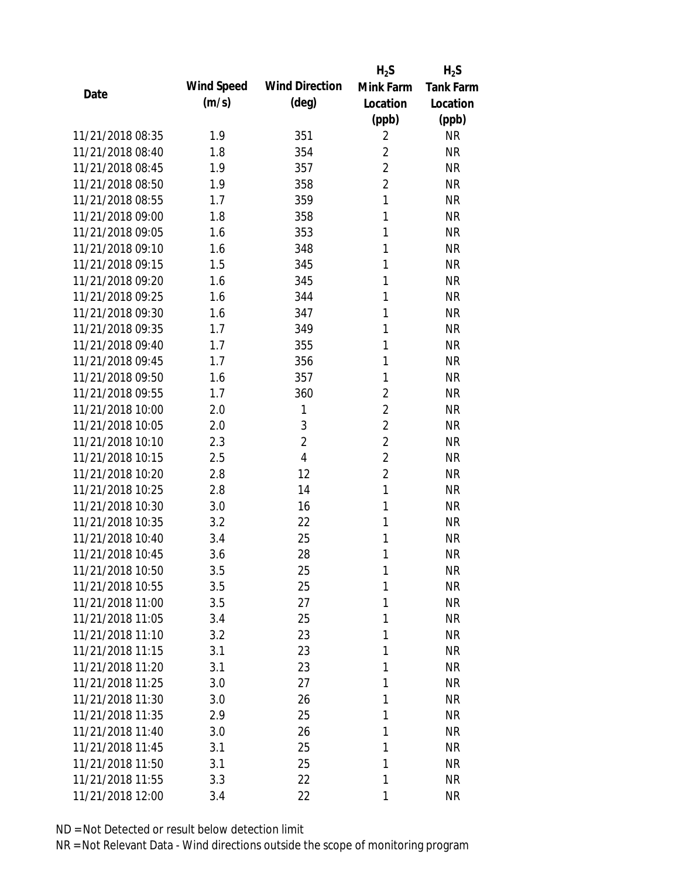|                  |            |                       | $H_2S$         | $H_2S$           |
|------------------|------------|-----------------------|----------------|------------------|
| Date             | Wind Speed | <b>Wind Direction</b> | Mink Farm      | <b>Tank Farm</b> |
|                  | (m/s)      | $(\text{deg})$        | Location       | Location         |
|                  |            |                       | (ppb)          | (ppb)            |
| 11/21/2018 08:35 | 1.9        | 351                   | $\overline{2}$ | <b>NR</b>        |
| 11/21/2018 08:40 | 1.8        | 354                   | $\overline{2}$ | <b>NR</b>        |
| 11/21/2018 08:45 | 1.9        | 357                   | $\overline{2}$ | <b>NR</b>        |
| 11/21/2018 08:50 | 1.9        | 358                   | $\overline{2}$ | <b>NR</b>        |
| 11/21/2018 08:55 | 1.7        | 359                   | $\mathbf{1}$   | <b>NR</b>        |
| 11/21/2018 09:00 | 1.8        | 358                   | 1              | <b>NR</b>        |
| 11/21/2018 09:05 | 1.6        | 353                   | 1              | <b>NR</b>        |
| 11/21/2018 09:10 | 1.6        | 348                   | 1              | <b>NR</b>        |
| 11/21/2018 09:15 | 1.5        | 345                   | 1              | <b>NR</b>        |
| 11/21/2018 09:20 | 1.6        | 345                   | 1              | <b>NR</b>        |
| 11/21/2018 09:25 | 1.6        | 344                   | 1              | <b>NR</b>        |
| 11/21/2018 09:30 | 1.6        | 347                   | 1              | <b>NR</b>        |
| 11/21/2018 09:35 | 1.7        | 349                   | 1              | <b>NR</b>        |
| 11/21/2018 09:40 | 1.7        | 355                   | 1              | <b>NR</b>        |
| 11/21/2018 09:45 | 1.7        | 356                   | 1              | <b>NR</b>        |
| 11/21/2018 09:50 | 1.6        | 357                   | 1              | <b>NR</b>        |
| 11/21/2018 09:55 | 1.7        | 360                   | $\overline{2}$ | <b>NR</b>        |
| 11/21/2018 10:00 | 2.0        | 1                     | $\overline{2}$ | <b>NR</b>        |
| 11/21/2018 10:05 | 2.0        | 3                     | $\overline{2}$ | <b>NR</b>        |
| 11/21/2018 10:10 | 2.3        | $\overline{2}$        | $\overline{2}$ | <b>NR</b>        |
| 11/21/2018 10:15 | 2.5        | $\overline{4}$        | $\overline{2}$ | <b>NR</b>        |
| 11/21/2018 10:20 | 2.8        | 12                    | $\overline{2}$ | <b>NR</b>        |
| 11/21/2018 10:25 | 2.8        | 14                    | $\mathbf{1}$   | <b>NR</b>        |
| 11/21/2018 10:30 | 3.0        | 16                    | 1              | <b>NR</b>        |
| 11/21/2018 10:35 | 3.2        | 22                    | 1              | <b>NR</b>        |
| 11/21/2018 10:40 | 3.4        | 25                    | 1              | <b>NR</b>        |
| 11/21/2018 10:45 | 3.6        | 28                    | 1              | <b>NR</b>        |
| 11/21/2018 10:50 | 3.5        | 25                    | 1              | <b>NR</b>        |
| 11/21/2018 10:55 | 3.5        | 25                    | 1              | <b>NR</b>        |
| 11/21/2018 11:00 | 3.5        | 27                    | 1              | <b>NR</b>        |
| 11/21/2018 11:05 | 3.4        | 25                    | 1              | <b>NR</b>        |
| 11/21/2018 11:10 | 3.2        | 23                    | 1              | <b>NR</b>        |
| 11/21/2018 11:15 | 3.1        | 23                    | 1              | <b>NR</b>        |
| 11/21/2018 11:20 | 3.1        | 23                    | 1              | <b>NR</b>        |
| 11/21/2018 11:25 | 3.0        | 27                    | 1              | NR               |
| 11/21/2018 11:30 | 3.0        | 26                    | 1              | <b>NR</b>        |
| 11/21/2018 11:35 | 2.9        | 25                    | 1              | <b>NR</b>        |
| 11/21/2018 11:40 | 3.0        | 26                    | 1              | <b>NR</b>        |
| 11/21/2018 11:45 | 3.1        | 25                    | 1              | <b>NR</b>        |
| 11/21/2018 11:50 | 3.1        | 25                    | 1              | <b>NR</b>        |
| 11/21/2018 11:55 | 3.3        | 22                    | 1              | <b>NR</b>        |
| 11/21/2018 12:00 | 3.4        | 22                    | 1              | <b>NR</b>        |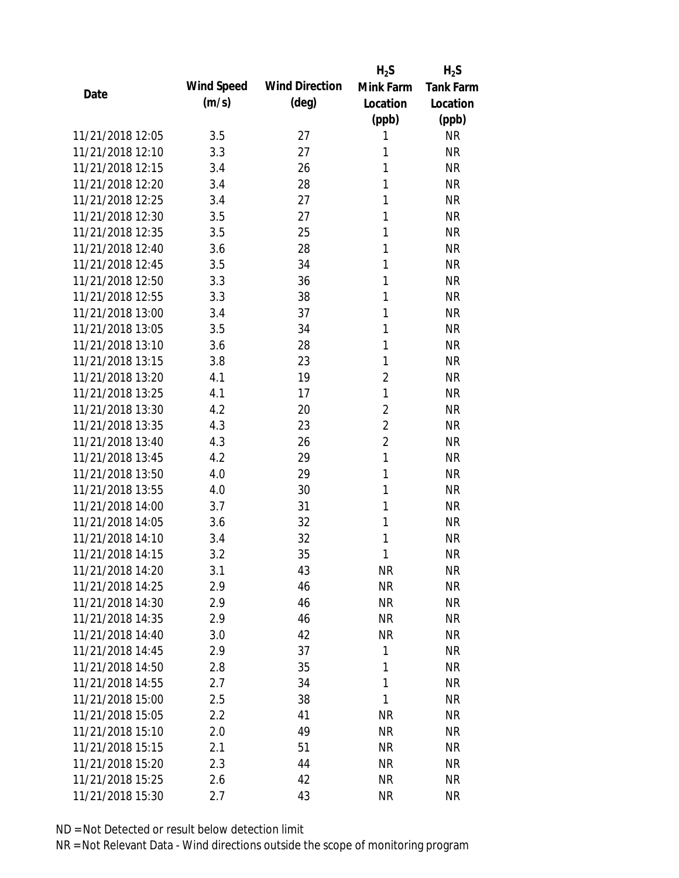|                  |            |                       | $H_2S$         | $H_2S$           |
|------------------|------------|-----------------------|----------------|------------------|
| Date             | Wind Speed | <b>Wind Direction</b> | Mink Farm      | <b>Tank Farm</b> |
|                  | (m/s)      | $(\text{deg})$        | Location       | Location         |
|                  |            |                       | (ppb)          | (ppb)            |
| 11/21/2018 12:05 | 3.5        | 27                    | 1              | <b>NR</b>        |
| 11/21/2018 12:10 | 3.3        | 27                    | 1              | <b>NR</b>        |
| 11/21/2018 12:15 | 3.4        | 26                    | 1              | <b>NR</b>        |
| 11/21/2018 12:20 | 3.4        | 28                    | 1              | <b>NR</b>        |
| 11/21/2018 12:25 | 3.4        | 27                    | 1              | <b>NR</b>        |
| 11/21/2018 12:30 | 3.5        | 27                    | 1              | <b>NR</b>        |
| 11/21/2018 12:35 | 3.5        | 25                    | 1              | <b>NR</b>        |
| 11/21/2018 12:40 | 3.6        | 28                    | 1              | <b>NR</b>        |
| 11/21/2018 12:45 | 3.5        | 34                    | 1              | <b>NR</b>        |
| 11/21/2018 12:50 | 3.3        | 36                    | 1              | <b>NR</b>        |
| 11/21/2018 12:55 | 3.3        | 38                    | 1              | <b>NR</b>        |
| 11/21/2018 13:00 | 3.4        | 37                    | 1              | <b>NR</b>        |
| 11/21/2018 13:05 | 3.5        | 34                    | 1              | <b>NR</b>        |
| 11/21/2018 13:10 | 3.6        | 28                    | 1              | <b>NR</b>        |
| 11/21/2018 13:15 | 3.8        | 23                    | 1              | <b>NR</b>        |
| 11/21/2018 13:20 | 4.1        | 19                    | $\overline{2}$ | <b>NR</b>        |
| 11/21/2018 13:25 | 4.1        | 17                    | 1              | <b>NR</b>        |
| 11/21/2018 13:30 | 4.2        | 20                    | $\overline{2}$ | <b>NR</b>        |
| 11/21/2018 13:35 | 4.3        | 23                    | $\overline{2}$ | <b>NR</b>        |
| 11/21/2018 13:40 | 4.3        | 26                    | $\overline{2}$ | <b>NR</b>        |
| 11/21/2018 13:45 | 4.2        | 29                    | $\mathbf{1}$   | <b>NR</b>        |
| 11/21/2018 13:50 | 4.0        | 29                    | 1              | <b>NR</b>        |
| 11/21/2018 13:55 | 4.0        | 30                    | 1              | <b>NR</b>        |
| 11/21/2018 14:00 | 3.7        | 31                    | 1              | <b>NR</b>        |
| 11/21/2018 14:05 | 3.6        | 32                    | 1              | <b>NR</b>        |
| 11/21/2018 14:10 | 3.4        | 32                    | 1              | <b>NR</b>        |
| 11/21/2018 14:15 | 3.2        | 35                    | 1              | <b>NR</b>        |
| 11/21/2018 14:20 | 3.1        | 43                    | <b>NR</b>      | <b>NR</b>        |
| 11/21/2018 14:25 | 2.9        | 46                    | <b>NR</b>      | <b>NR</b>        |
| 11/21/2018 14:30 | 2.9        | 46                    | NR             | <b>NR</b>        |
| 11/21/2018 14:35 | 2.9        | 46                    | <b>NR</b>      | <b>NR</b>        |
| 11/21/2018 14:40 | 3.0        | 42                    | <b>NR</b>      | <b>NR</b>        |
| 11/21/2018 14:45 | 2.9        | 37                    | 1              | <b>NR</b>        |
| 11/21/2018 14:50 | 2.8        | 35                    | 1              | <b>NR</b>        |
| 11/21/2018 14:55 | 2.7        | 34                    | $\mathbf{1}$   | <b>NR</b>        |
| 11/21/2018 15:00 | 2.5        | 38                    | 1              | <b>NR</b>        |
| 11/21/2018 15:05 | 2.2        | 41                    | <b>NR</b>      | <b>NR</b>        |
| 11/21/2018 15:10 | 2.0        | 49                    | <b>NR</b>      | <b>NR</b>        |
| 11/21/2018 15:15 | 2.1        | 51                    | <b>NR</b>      | <b>NR</b>        |
| 11/21/2018 15:20 | 2.3        | 44                    | <b>NR</b>      | <b>NR</b>        |
| 11/21/2018 15:25 | 2.6        | 42                    | <b>NR</b>      | <b>NR</b>        |
| 11/21/2018 15:30 | 2.7        | 43                    | <b>NR</b>      | <b>NR</b>        |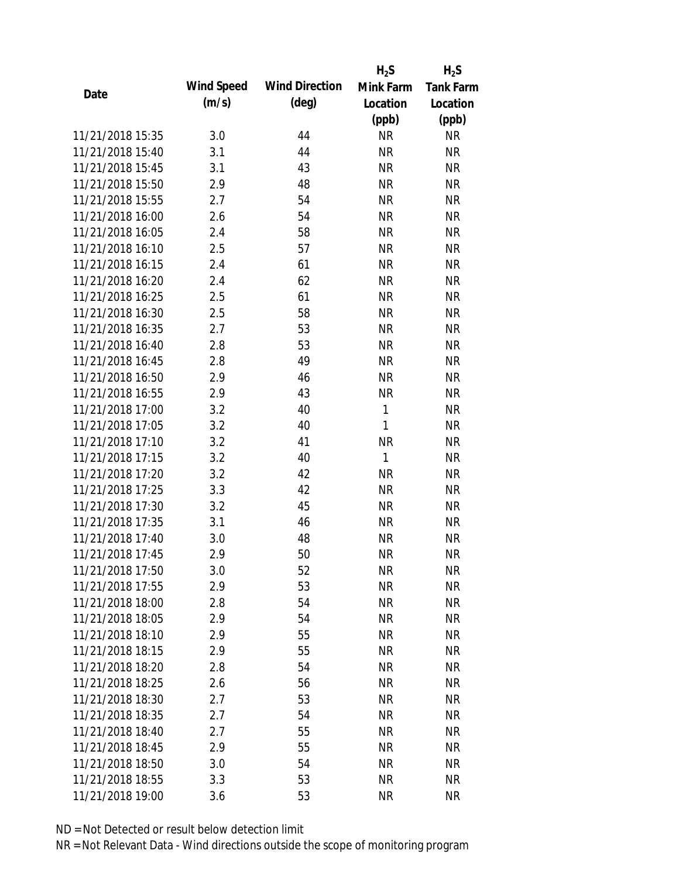|                  |            |                       | $H_2S$       | $H_2S$           |
|------------------|------------|-----------------------|--------------|------------------|
| Date             | Wind Speed | <b>Wind Direction</b> | Mink Farm    | <b>Tank Farm</b> |
|                  | (m/s)      | $(\text{deg})$        | Location     | Location         |
|                  |            |                       | (ppb)        | (ppb)            |
| 11/21/2018 15:35 | 3.0        | 44                    | <b>NR</b>    | <b>NR</b>        |
| 11/21/2018 15:40 | 3.1        | 44                    | <b>NR</b>    | <b>NR</b>        |
| 11/21/2018 15:45 | 3.1        | 43                    | <b>NR</b>    | <b>NR</b>        |
| 11/21/2018 15:50 | 2.9        | 48                    | <b>NR</b>    | <b>NR</b>        |
| 11/21/2018 15:55 | 2.7        | 54                    | <b>NR</b>    | <b>NR</b>        |
| 11/21/2018 16:00 | 2.6        | 54                    | <b>NR</b>    | <b>NR</b>        |
| 11/21/2018 16:05 | 2.4        | 58                    | <b>NR</b>    | <b>NR</b>        |
| 11/21/2018 16:10 | 2.5        | 57                    | <b>NR</b>    | <b>NR</b>        |
| 11/21/2018 16:15 | 2.4        | 61                    | <b>NR</b>    | <b>NR</b>        |
| 11/21/2018 16:20 | 2.4        | 62                    | <b>NR</b>    | <b>NR</b>        |
| 11/21/2018 16:25 | 2.5        | 61                    | <b>NR</b>    | <b>NR</b>        |
| 11/21/2018 16:30 | 2.5        | 58                    | <b>NR</b>    | <b>NR</b>        |
| 11/21/2018 16:35 | 2.7        | 53                    | <b>NR</b>    | <b>NR</b>        |
| 11/21/2018 16:40 | 2.8        | 53                    | <b>NR</b>    | <b>NR</b>        |
| 11/21/2018 16:45 | 2.8        | 49                    | <b>NR</b>    | <b>NR</b>        |
| 11/21/2018 16:50 | 2.9        | 46                    | <b>NR</b>    | <b>NR</b>        |
| 11/21/2018 16:55 | 2.9        | 43                    | <b>NR</b>    | <b>NR</b>        |
| 11/21/2018 17:00 | 3.2        | 40                    | $\mathbf{1}$ | <b>NR</b>        |
| 11/21/2018 17:05 | 3.2        | 40                    | $\mathbf{1}$ | <b>NR</b>        |
| 11/21/2018 17:10 | 3.2        | 41                    | <b>NR</b>    | <b>NR</b>        |
| 11/21/2018 17:15 | 3.2        | 40                    | 1            | <b>NR</b>        |
| 11/21/2018 17:20 | 3.2        | 42                    | <b>NR</b>    | <b>NR</b>        |
| 11/21/2018 17:25 | 3.3        | 42                    | <b>NR</b>    | <b>NR</b>        |
| 11/21/2018 17:30 | 3.2        | 45                    | <b>NR</b>    | <b>NR</b>        |
| 11/21/2018 17:35 | 3.1        | 46                    | <b>NR</b>    | <b>NR</b>        |
| 11/21/2018 17:40 | 3.0        | 48                    | <b>NR</b>    | <b>NR</b>        |
| 11/21/2018 17:45 | 2.9        | 50                    | <b>NR</b>    | <b>NR</b>        |
| 11/21/2018 17:50 | 3.0        | 52                    | <b>NR</b>    | <b>NR</b>        |
| 11/21/2018 17:55 | 2.9        | 53                    | <b>NR</b>    | <b>NR</b>        |
| 11/21/2018 18:00 | 2.8        | 54                    | <b>NR</b>    | <b>NR</b>        |
| 11/21/2018 18:05 | 2.9        | 54                    | <b>NR</b>    | <b>NR</b>        |
| 11/21/2018 18:10 | 2.9        | 55                    | <b>NR</b>    | <b>NR</b>        |
| 11/21/2018 18:15 | 2.9        | 55                    | <b>NR</b>    | <b>NR</b>        |
| 11/21/2018 18:20 | 2.8        | 54                    | <b>NR</b>    | <b>NR</b>        |
| 11/21/2018 18:25 | 2.6        | 56                    | <b>NR</b>    | NR               |
| 11/21/2018 18:30 | 2.7        | 53                    | <b>NR</b>    | <b>NR</b>        |
| 11/21/2018 18:35 | 2.7        | 54                    | <b>NR</b>    | NR               |
| 11/21/2018 18:40 | 2.7        | 55                    | NR           | <b>NR</b>        |
| 11/21/2018 18:45 | 2.9        | 55                    | <b>NR</b>    | NR               |
| 11/21/2018 18:50 | 3.0        | 54                    | <b>NR</b>    | <b>NR</b>        |
| 11/21/2018 18:55 | 3.3        | 53                    | <b>NR</b>    | <b>NR</b>        |
| 11/21/2018 19:00 | 3.6        | 53                    | <b>NR</b>    | <b>NR</b>        |
|                  |            |                       |              |                  |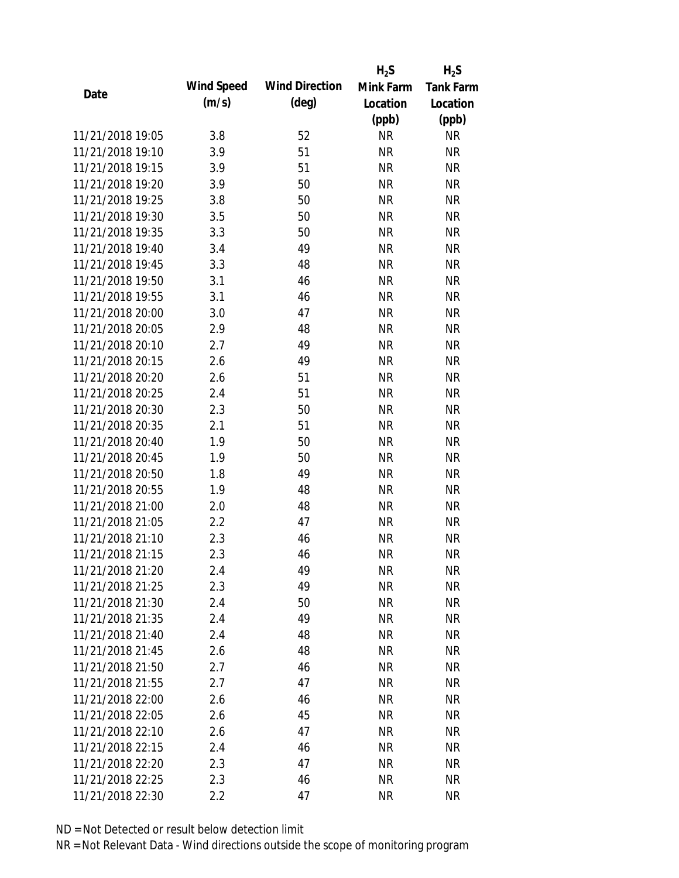|                  |            |                       | $H_2S$    | $H_2S$           |
|------------------|------------|-----------------------|-----------|------------------|
|                  | Wind Speed | <b>Wind Direction</b> | Mink Farm | <b>Tank Farm</b> |
| Date             | (m/s)      | $(\text{deg})$        | Location  | Location         |
|                  |            |                       | (ppb)     | (ppb)            |
| 11/21/2018 19:05 | 3.8        | 52                    | <b>NR</b> | <b>NR</b>        |
| 11/21/2018 19:10 | 3.9        | 51                    | <b>NR</b> | <b>NR</b>        |
| 11/21/2018 19:15 | 3.9        | 51                    | <b>NR</b> | <b>NR</b>        |
| 11/21/2018 19:20 | 3.9        | 50                    | <b>NR</b> | <b>NR</b>        |
| 11/21/2018 19:25 | 3.8        | 50                    | <b>NR</b> | <b>NR</b>        |
| 11/21/2018 19:30 | 3.5        | 50                    | <b>NR</b> | <b>NR</b>        |
| 11/21/2018 19:35 | 3.3        | 50                    | <b>NR</b> | <b>NR</b>        |
| 11/21/2018 19:40 | 3.4        | 49                    | <b>NR</b> | <b>NR</b>        |
| 11/21/2018 19:45 | 3.3        | 48                    | <b>NR</b> | <b>NR</b>        |
| 11/21/2018 19:50 | 3.1        | 46                    | <b>NR</b> | <b>NR</b>        |
| 11/21/2018 19:55 | 3.1        | 46                    | <b>NR</b> | <b>NR</b>        |
| 11/21/2018 20:00 | 3.0        | 47                    | <b>NR</b> | <b>NR</b>        |
| 11/21/2018 20:05 | 2.9        | 48                    | <b>NR</b> | <b>NR</b>        |
| 11/21/2018 20:10 | 2.7        | 49                    | <b>NR</b> | <b>NR</b>        |
| 11/21/2018 20:15 | 2.6        | 49                    | <b>NR</b> | <b>NR</b>        |
| 11/21/2018 20:20 | 2.6        | 51                    | <b>NR</b> | <b>NR</b>        |
| 11/21/2018 20:25 | 2.4        | 51                    | <b>NR</b> | <b>NR</b>        |
| 11/21/2018 20:30 | 2.3        | 50                    | <b>NR</b> | <b>NR</b>        |
| 11/21/2018 20:35 | 2.1        | 51                    | <b>NR</b> | <b>NR</b>        |
| 11/21/2018 20:40 | 1.9        | 50                    | <b>NR</b> | <b>NR</b>        |
| 11/21/2018 20:45 | 1.9        | 50                    | <b>NR</b> | <b>NR</b>        |
| 11/21/2018 20:50 | 1.8        | 49                    | <b>NR</b> | <b>NR</b>        |
| 11/21/2018 20:55 | 1.9        | 48                    | <b>NR</b> | <b>NR</b>        |
| 11/21/2018 21:00 | 2.0        | 48                    | <b>NR</b> | <b>NR</b>        |
| 11/21/2018 21:05 | 2.2        | 47                    | <b>NR</b> | <b>NR</b>        |
| 11/21/2018 21:10 | 2.3        | 46                    | <b>NR</b> | <b>NR</b>        |
| 11/21/2018 21:15 | 2.3        | 46                    | <b>NR</b> | <b>NR</b>        |
| 11/21/2018 21:20 | 2.4        | 49                    | <b>NR</b> | <b>NR</b>        |
| 11/21/2018 21:25 | 2.3        | 49                    | <b>NR</b> | <b>NR</b>        |
| 11/21/2018 21:30 | 2.4        | 50                    | <b>NR</b> | <b>NR</b>        |
| 11/21/2018 21:35 | 2.4        | 49                    | <b>NR</b> | <b>NR</b>        |
| 11/21/2018 21:40 | 2.4        | 48                    | <b>NR</b> | <b>NR</b>        |
| 11/21/2018 21:45 | 2.6        | 48                    | <b>NR</b> | <b>NR</b>        |
| 11/21/2018 21:50 | 2.7        | 46                    | <b>NR</b> | <b>NR</b>        |
| 11/21/2018 21:55 | 2.7        | 47                    | <b>NR</b> | <b>NR</b>        |
| 11/21/2018 22:00 | 2.6        | 46                    | <b>NR</b> | <b>NR</b>        |
| 11/21/2018 22:05 | 2.6        | 45                    | <b>NR</b> | <b>NR</b>        |
| 11/21/2018 22:10 | 2.6        | 47                    | <b>NR</b> | <b>NR</b>        |
| 11/21/2018 22:15 | 2.4        | 46                    | <b>NR</b> | <b>NR</b>        |
| 11/21/2018 22:20 | 2.3        | 47                    | <b>NR</b> | <b>NR</b>        |
| 11/21/2018 22:25 | 2.3        | 46                    | <b>NR</b> | <b>NR</b>        |
| 11/21/2018 22:30 | 2.2        | 47                    | <b>NR</b> | <b>NR</b>        |
|                  |            |                       |           |                  |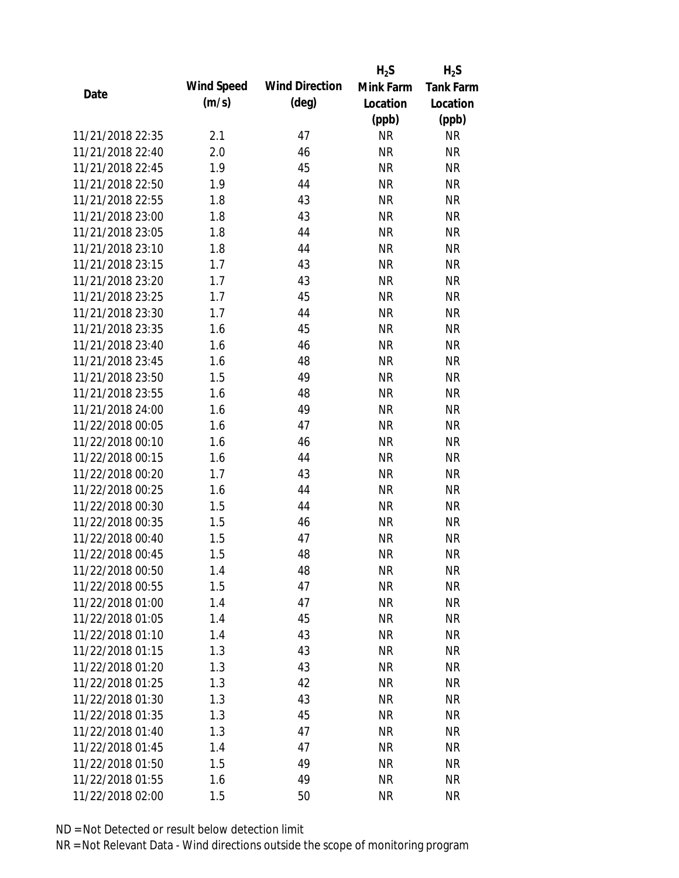|                  |            |                       | $H_2S$    | $H_2S$           |
|------------------|------------|-----------------------|-----------|------------------|
| Date             | Wind Speed | <b>Wind Direction</b> | Mink Farm | <b>Tank Farm</b> |
|                  | (m/s)      | $(\text{deg})$        | Location  | Location         |
|                  |            |                       | (ppb)     | (ppb)            |
| 11/21/2018 22:35 | 2.1        | 47                    | <b>NR</b> | <b>NR</b>        |
| 11/21/2018 22:40 | 2.0        | 46                    | <b>NR</b> | <b>NR</b>        |
| 11/21/2018 22:45 | 1.9        | 45                    | <b>NR</b> | <b>NR</b>        |
| 11/21/2018 22:50 | 1.9        | 44                    | <b>NR</b> | <b>NR</b>        |
| 11/21/2018 22:55 | 1.8        | 43                    | <b>NR</b> | <b>NR</b>        |
| 11/21/2018 23:00 | 1.8        | 43                    | <b>NR</b> | <b>NR</b>        |
| 11/21/2018 23:05 | 1.8        | 44                    | <b>NR</b> | <b>NR</b>        |
| 11/21/2018 23:10 | 1.8        | 44                    | <b>NR</b> | <b>NR</b>        |
| 11/21/2018 23:15 | 1.7        | 43                    | <b>NR</b> | <b>NR</b>        |
| 11/21/2018 23:20 | 1.7        | 43                    | <b>NR</b> | <b>NR</b>        |
| 11/21/2018 23:25 | 1.7        | 45                    | <b>NR</b> | <b>NR</b>        |
| 11/21/2018 23:30 | 1.7        | 44                    | <b>NR</b> | <b>NR</b>        |
| 11/21/2018 23:35 | 1.6        | 45                    | <b>NR</b> | <b>NR</b>        |
| 11/21/2018 23:40 | 1.6        | 46                    | <b>NR</b> | <b>NR</b>        |
| 11/21/2018 23:45 | 1.6        | 48                    | <b>NR</b> | <b>NR</b>        |
| 11/21/2018 23:50 | 1.5        | 49                    | <b>NR</b> | <b>NR</b>        |
| 11/21/2018 23:55 | 1.6        | 48                    | <b>NR</b> | <b>NR</b>        |
| 11/21/2018 24:00 | 1.6        | 49                    | <b>NR</b> | <b>NR</b>        |
| 11/22/2018 00:05 | 1.6        | 47                    | <b>NR</b> | <b>NR</b>        |
| 11/22/2018 00:10 | 1.6        | 46                    | <b>NR</b> | <b>NR</b>        |
| 11/22/2018 00:15 | 1.6        | 44                    | <b>NR</b> | <b>NR</b>        |
| 11/22/2018 00:20 | 1.7        | 43                    | <b>NR</b> | <b>NR</b>        |
| 11/22/2018 00:25 | 1.6        | 44                    | <b>NR</b> | <b>NR</b>        |
| 11/22/2018 00:30 | 1.5        | 44                    | <b>NR</b> | <b>NR</b>        |
| 11/22/2018 00:35 | 1.5        | 46                    | <b>NR</b> | <b>NR</b>        |
| 11/22/2018 00:40 | 1.5        | 47                    | <b>NR</b> | <b>NR</b>        |
| 11/22/2018 00:45 | 1.5        | 48                    | <b>NR</b> | <b>NR</b>        |
| 11/22/2018 00:50 | 1.4        | 48                    | <b>NR</b> | <b>NR</b>        |
| 11/22/2018 00:55 | 1.5        | 47                    | <b>NR</b> | <b>NR</b>        |
| 11/22/2018 01:00 | 1.4        | 47                    | <b>NR</b> | <b>NR</b>        |
| 11/22/2018 01:05 | 1.4        | 45                    | <b>NR</b> | <b>NR</b>        |
| 11/22/2018 01:10 | 1.4        | 43                    | <b>NR</b> | <b>NR</b>        |
| 11/22/2018 01:15 | 1.3        | 43                    | <b>NR</b> | <b>NR</b>        |
| 11/22/2018 01:20 | 1.3        | 43                    | <b>NR</b> | <b>NR</b>        |
| 11/22/2018 01:25 | 1.3        | 42                    | <b>NR</b> | <b>NR</b>        |
| 11/22/2018 01:30 | 1.3        | 43                    | <b>NR</b> | <b>NR</b>        |
| 11/22/2018 01:35 | 1.3        | 45                    | <b>NR</b> | <b>NR</b>        |
| 11/22/2018 01:40 | 1.3        | 47                    | NR        | <b>NR</b>        |
| 11/22/2018 01:45 | 1.4        | 47                    | <b>NR</b> | <b>NR</b>        |
| 11/22/2018 01:50 | 1.5        | 49                    | <b>NR</b> | <b>NR</b>        |
| 11/22/2018 01:55 |            | 49                    | <b>NR</b> |                  |
|                  | 1.6        |                       |           | <b>NR</b>        |
| 11/22/2018 02:00 | 1.5        | 50                    | <b>NR</b> | <b>NR</b>        |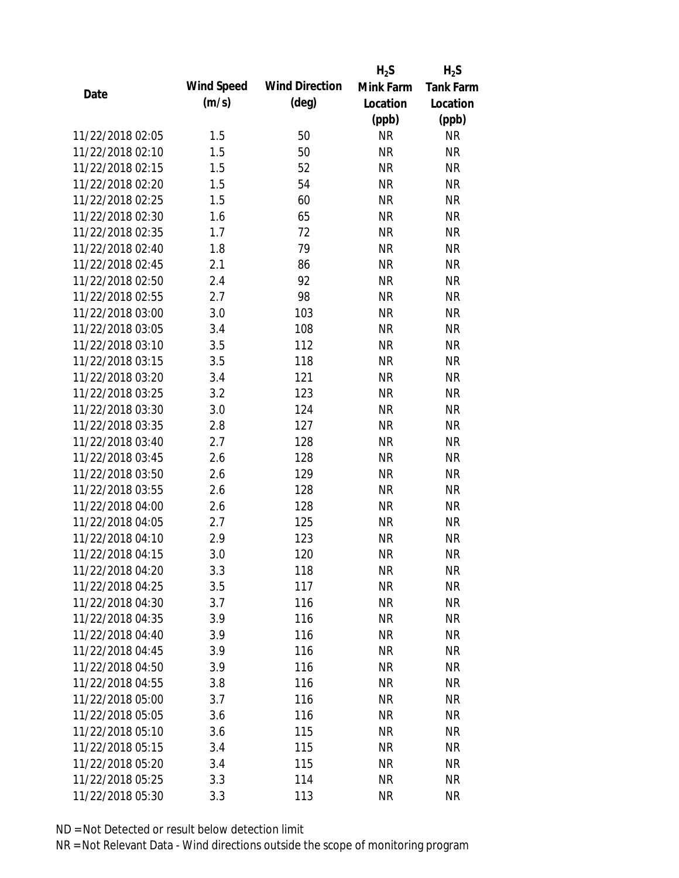|                  |            |                       | $H_2S$    | $H_2S$           |
|------------------|------------|-----------------------|-----------|------------------|
| Date             | Wind Speed | <b>Wind Direction</b> | Mink Farm | <b>Tank Farm</b> |
|                  | (m/s)      | $(\text{deg})$        | Location  | Location         |
|                  |            |                       | (ppb)     | (ppb)            |
| 11/22/2018 02:05 | 1.5        | 50                    | <b>NR</b> | <b>NR</b>        |
| 11/22/2018 02:10 | 1.5        | 50                    | <b>NR</b> | <b>NR</b>        |
| 11/22/2018 02:15 | 1.5        | 52                    | <b>NR</b> | <b>NR</b>        |
| 11/22/2018 02:20 | 1.5        | 54                    | <b>NR</b> | <b>NR</b>        |
| 11/22/2018 02:25 | 1.5        | 60                    | <b>NR</b> | <b>NR</b>        |
| 11/22/2018 02:30 | 1.6        | 65                    | <b>NR</b> | <b>NR</b>        |
| 11/22/2018 02:35 | 1.7        | 72                    | <b>NR</b> | <b>NR</b>        |
| 11/22/2018 02:40 | 1.8        | 79                    | <b>NR</b> | <b>NR</b>        |
| 11/22/2018 02:45 | 2.1        | 86                    | <b>NR</b> | <b>NR</b>        |
| 11/22/2018 02:50 | 2.4        | 92                    | <b>NR</b> | <b>NR</b>        |
| 11/22/2018 02:55 | 2.7        | 98                    | <b>NR</b> | <b>NR</b>        |
| 11/22/2018 03:00 | 3.0        | 103                   | <b>NR</b> | <b>NR</b>        |
| 11/22/2018 03:05 | 3.4        | 108                   | <b>NR</b> | <b>NR</b>        |
| 11/22/2018 03:10 | 3.5        | 112                   | <b>NR</b> | <b>NR</b>        |
| 11/22/2018 03:15 | 3.5        | 118                   | <b>NR</b> | <b>NR</b>        |
| 11/22/2018 03:20 | 3.4        | 121                   | <b>NR</b> | <b>NR</b>        |
| 11/22/2018 03:25 | 3.2        | 123                   | <b>NR</b> | <b>NR</b>        |
| 11/22/2018 03:30 | 3.0        | 124                   | <b>NR</b> | <b>NR</b>        |
| 11/22/2018 03:35 | 2.8        | 127                   | <b>NR</b> | <b>NR</b>        |
| 11/22/2018 03:40 | 2.7        | 128                   | <b>NR</b> | <b>NR</b>        |
| 11/22/2018 03:45 | 2.6        | 128                   | <b>NR</b> | <b>NR</b>        |
| 11/22/2018 03:50 | 2.6        | 129                   | <b>NR</b> | <b>NR</b>        |
| 11/22/2018 03:55 | 2.6        | 128                   | <b>NR</b> | <b>NR</b>        |
| 11/22/2018 04:00 | 2.6        | 128                   | <b>NR</b> | <b>NR</b>        |
| 11/22/2018 04:05 | 2.7        | 125                   | <b>NR</b> | <b>NR</b>        |
| 11/22/2018 04:10 | 2.9        | 123                   | <b>NR</b> | <b>NR</b>        |
| 11/22/2018 04:15 | 3.0        | 120                   | <b>NR</b> | <b>NR</b>        |
| 11/22/2018 04:20 | 3.3        | 118                   | <b>NR</b> | <b>NR</b>        |
| 11/22/2018 04:25 | 3.5        | 117                   | <b>NR</b> | <b>NR</b>        |
| 11/22/2018 04:30 | 3.7        | 116                   | <b>NR</b> | <b>NR</b>        |
| 11/22/2018 04:35 | 3.9        | 116                   | <b>NR</b> | <b>NR</b>        |
| 11/22/2018 04:40 | 3.9        | 116                   | <b>NR</b> | <b>NR</b>        |
| 11/22/2018 04:45 | 3.9        | 116                   | <b>NR</b> | <b>NR</b>        |
| 11/22/2018 04:50 | 3.9        | 116                   | <b>NR</b> | <b>NR</b>        |
| 11/22/2018 04:55 | 3.8        | 116                   | <b>NR</b> | <b>NR</b>        |
| 11/22/2018 05:00 | 3.7        | 116                   | <b>NR</b> | <b>NR</b>        |
| 11/22/2018 05:05 | 3.6        | 116                   | <b>NR</b> | <b>NR</b>        |
| 11/22/2018 05:10 | 3.6        | 115                   | NR        | <b>NR</b>        |
| 11/22/2018 05:15 | 3.4        | 115                   | <b>NR</b> | <b>NR</b>        |
| 11/22/2018 05:20 | 3.4        | 115                   | <b>NR</b> | <b>NR</b>        |
| 11/22/2018 05:25 | 3.3        | 114                   | <b>NR</b> | <b>NR</b>        |
| 11/22/2018 05:30 | 3.3        | 113                   | <b>NR</b> | <b>NR</b>        |
|                  |            |                       |           |                  |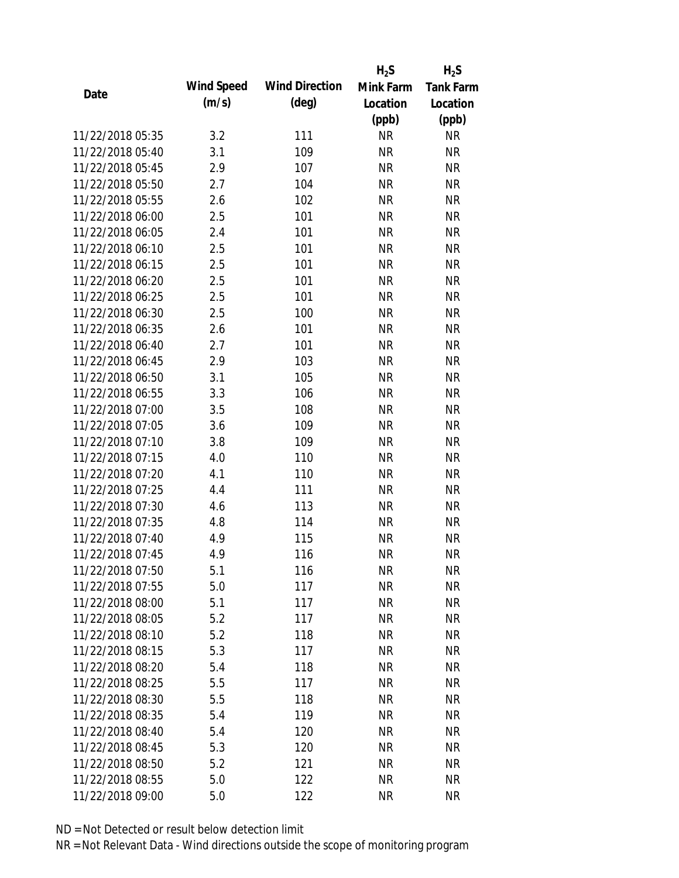|                  |            |                       | $H_2S$    | $H_2S$           |
|------------------|------------|-----------------------|-----------|------------------|
| Date             | Wind Speed | <b>Wind Direction</b> | Mink Farm | <b>Tank Farm</b> |
|                  | (m/s)      | $(\text{deg})$        | Location  | Location         |
|                  |            |                       | (ppb)     | (ppb)            |
| 11/22/2018 05:35 | 3.2        | 111                   | <b>NR</b> | <b>NR</b>        |
| 11/22/2018 05:40 | 3.1        | 109                   | <b>NR</b> | <b>NR</b>        |
| 11/22/2018 05:45 | 2.9        | 107                   | <b>NR</b> | <b>NR</b>        |
| 11/22/2018 05:50 | 2.7        | 104                   | <b>NR</b> | <b>NR</b>        |
| 11/22/2018 05:55 | 2.6        | 102                   | <b>NR</b> | <b>NR</b>        |
| 11/22/2018 06:00 | 2.5        | 101                   | <b>NR</b> | <b>NR</b>        |
| 11/22/2018 06:05 | 2.4        | 101                   | <b>NR</b> | <b>NR</b>        |
| 11/22/2018 06:10 | 2.5        | 101                   | <b>NR</b> | <b>NR</b>        |
| 11/22/2018 06:15 | 2.5        | 101                   | <b>NR</b> | <b>NR</b>        |
| 11/22/2018 06:20 | 2.5        | 101                   | <b>NR</b> | <b>NR</b>        |
| 11/22/2018 06:25 | 2.5        | 101                   | <b>NR</b> | <b>NR</b>        |
| 11/22/2018 06:30 | 2.5        | 100                   | <b>NR</b> | <b>NR</b>        |
| 11/22/2018 06:35 | 2.6        | 101                   | <b>NR</b> | <b>NR</b>        |
| 11/22/2018 06:40 | 2.7        | 101                   | <b>NR</b> | <b>NR</b>        |
| 11/22/2018 06:45 | 2.9        | 103                   | <b>NR</b> | <b>NR</b>        |
| 11/22/2018 06:50 | 3.1        | 105                   | <b>NR</b> | <b>NR</b>        |
| 11/22/2018 06:55 | 3.3        | 106                   | <b>NR</b> | <b>NR</b>        |
| 11/22/2018 07:00 | 3.5        | 108                   | <b>NR</b> | <b>NR</b>        |
| 11/22/2018 07:05 | 3.6        | 109                   | <b>NR</b> | <b>NR</b>        |
| 11/22/2018 07:10 | 3.8        | 109                   | <b>NR</b> | <b>NR</b>        |
| 11/22/2018 07:15 | 4.0        | 110                   | <b>NR</b> | <b>NR</b>        |
| 11/22/2018 07:20 | 4.1        | 110                   | <b>NR</b> | <b>NR</b>        |
| 11/22/2018 07:25 | 4.4        | 111                   | <b>NR</b> | <b>NR</b>        |
| 11/22/2018 07:30 | 4.6        | 113                   | <b>NR</b> | <b>NR</b>        |
| 11/22/2018 07:35 | 4.8        | 114                   | <b>NR</b> | <b>NR</b>        |
| 11/22/2018 07:40 | 4.9        | 115                   | <b>NR</b> | <b>NR</b>        |
| 11/22/2018 07:45 | 4.9        | 116                   | <b>NR</b> | <b>NR</b>        |
| 11/22/2018 07:50 | 5.1        | 116                   | <b>NR</b> | <b>NR</b>        |
| 11/22/2018 07:55 | 5.0        | 117                   | <b>NR</b> | <b>NR</b>        |
| 11/22/2018 08:00 | 5.1        | 117                   | <b>NR</b> | <b>NR</b>        |
| 11/22/2018 08:05 | 5.2        | 117                   | <b>NR</b> | <b>NR</b>        |
| 11/22/2018 08:10 | 5.2        | 118                   | <b>NR</b> | <b>NR</b>        |
| 11/22/2018 08:15 | 5.3        | 117                   | <b>NR</b> | <b>NR</b>        |
| 11/22/2018 08:20 | 5.4        | 118                   | <b>NR</b> | <b>NR</b>        |
| 11/22/2018 08:25 | 5.5        | 117                   | <b>NR</b> | <b>NR</b>        |
| 11/22/2018 08:30 | 5.5        | 118                   | <b>NR</b> | <b>NR</b>        |
| 11/22/2018 08:35 | 5.4        | 119                   | <b>NR</b> | <b>NR</b>        |
| 11/22/2018 08:40 | 5.4        | 120                   | NR        | <b>NR</b>        |
| 11/22/2018 08:45 | 5.3        | 120                   | <b>NR</b> | <b>NR</b>        |
| 11/22/2018 08:50 | 5.2        | 121                   | <b>NR</b> | <b>NR</b>        |
| 11/22/2018 08:55 | 5.0        | 122                   | <b>NR</b> | <b>NR</b>        |
| 11/22/2018 09:00 | 5.0        | 122                   | <b>NR</b> | <b>NR</b>        |
|                  |            |                       |           |                  |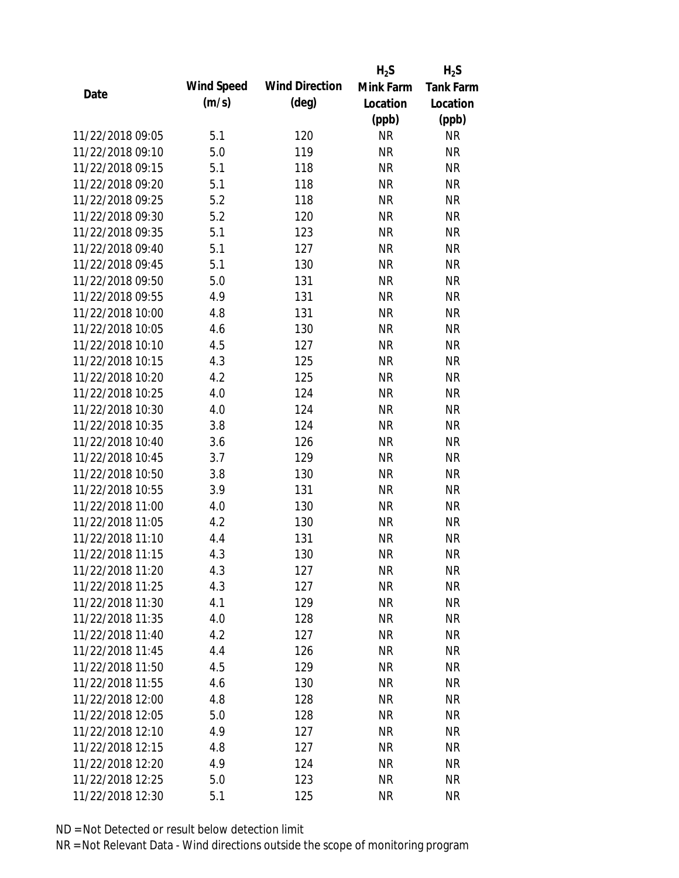|                  |            |                       | $H_2S$    | $H_2S$           |
|------------------|------------|-----------------------|-----------|------------------|
| Date             | Wind Speed | <b>Wind Direction</b> | Mink Farm | <b>Tank Farm</b> |
|                  | (m/s)      | $(\text{deg})$        | Location  | Location         |
|                  |            |                       | (ppb)     | (ppb)            |
| 11/22/2018 09:05 | 5.1        | 120                   | <b>NR</b> | <b>NR</b>        |
| 11/22/2018 09:10 | 5.0        | 119                   | <b>NR</b> | <b>NR</b>        |
| 11/22/2018 09:15 | 5.1        | 118                   | <b>NR</b> | <b>NR</b>        |
| 11/22/2018 09:20 | 5.1        | 118                   | <b>NR</b> | <b>NR</b>        |
| 11/22/2018 09:25 | 5.2        | 118                   | <b>NR</b> | <b>NR</b>        |
| 11/22/2018 09:30 | 5.2        | 120                   | <b>NR</b> | <b>NR</b>        |
| 11/22/2018 09:35 | 5.1        | 123                   | <b>NR</b> | <b>NR</b>        |
| 11/22/2018 09:40 | 5.1        | 127                   | <b>NR</b> | <b>NR</b>        |
| 11/22/2018 09:45 | 5.1        | 130                   | <b>NR</b> | <b>NR</b>        |
| 11/22/2018 09:50 | 5.0        | 131                   | <b>NR</b> | <b>NR</b>        |
| 11/22/2018 09:55 | 4.9        | 131                   | <b>NR</b> | <b>NR</b>        |
| 11/22/2018 10:00 | 4.8        | 131                   | <b>NR</b> | <b>NR</b>        |
| 11/22/2018 10:05 | 4.6        | 130                   | <b>NR</b> | <b>NR</b>        |
| 11/22/2018 10:10 | 4.5        | 127                   | <b>NR</b> | <b>NR</b>        |
| 11/22/2018 10:15 | 4.3        | 125                   | <b>NR</b> | <b>NR</b>        |
| 11/22/2018 10:20 | 4.2        | 125                   | <b>NR</b> | <b>NR</b>        |
| 11/22/2018 10:25 | 4.0        | 124                   | <b>NR</b> | <b>NR</b>        |
| 11/22/2018 10:30 | 4.0        | 124                   | <b>NR</b> | <b>NR</b>        |
| 11/22/2018 10:35 | 3.8        | 124                   | <b>NR</b> | <b>NR</b>        |
| 11/22/2018 10:40 | 3.6        | 126                   | <b>NR</b> | <b>NR</b>        |
| 11/22/2018 10:45 | 3.7        | 129                   | <b>NR</b> | <b>NR</b>        |
| 11/22/2018 10:50 | 3.8        | 130                   | <b>NR</b> | <b>NR</b>        |
| 11/22/2018 10:55 | 3.9        | 131                   | <b>NR</b> | <b>NR</b>        |
| 11/22/2018 11:00 | 4.0        | 130                   | <b>NR</b> | <b>NR</b>        |
| 11/22/2018 11:05 | 4.2        | 130                   | <b>NR</b> | <b>NR</b>        |
| 11/22/2018 11:10 | 4.4        | 131                   | <b>NR</b> | <b>NR</b>        |
| 11/22/2018 11:15 | 4.3        | 130                   | <b>NR</b> | <b>NR</b>        |
| 11/22/2018 11:20 | 4.3        | 127                   | <b>NR</b> | <b>NR</b>        |
| 11/22/2018 11:25 | 4.3        | 127                   | <b>NR</b> | <b>NR</b>        |
| 11/22/2018 11:30 | 4.1        | 129                   | <b>NR</b> | <b>NR</b>        |
| 11/22/2018 11:35 | 4.0        | 128                   | <b>NR</b> | <b>NR</b>        |
| 11/22/2018 11:40 | 4.2        | 127                   | <b>NR</b> | <b>NR</b>        |
| 11/22/2018 11:45 | 4.4        | 126                   | <b>NR</b> | <b>NR</b>        |
| 11/22/2018 11:50 | 4.5        | 129                   | <b>NR</b> | <b>NR</b>        |
| 11/22/2018 11:55 | 4.6        | 130                   | <b>NR</b> | <b>NR</b>        |
| 11/22/2018 12:00 | 4.8        | 128                   | <b>NR</b> | <b>NR</b>        |
| 11/22/2018 12:05 | 5.0        | 128                   | <b>NR</b> | <b>NR</b>        |
| 11/22/2018 12:10 | 4.9        | 127                   | NR        | <b>NR</b>        |
| 11/22/2018 12:15 | 4.8        | 127                   | <b>NR</b> | <b>NR</b>        |
| 11/22/2018 12:20 | 4.9        | 124                   | <b>NR</b> | <b>NR</b>        |
| 11/22/2018 12:25 | 5.0        |                       | <b>NR</b> |                  |
|                  |            | 123                   |           | <b>NR</b>        |
| 11/22/2018 12:30 | 5.1        | 125                   | <b>NR</b> | <b>NR</b>        |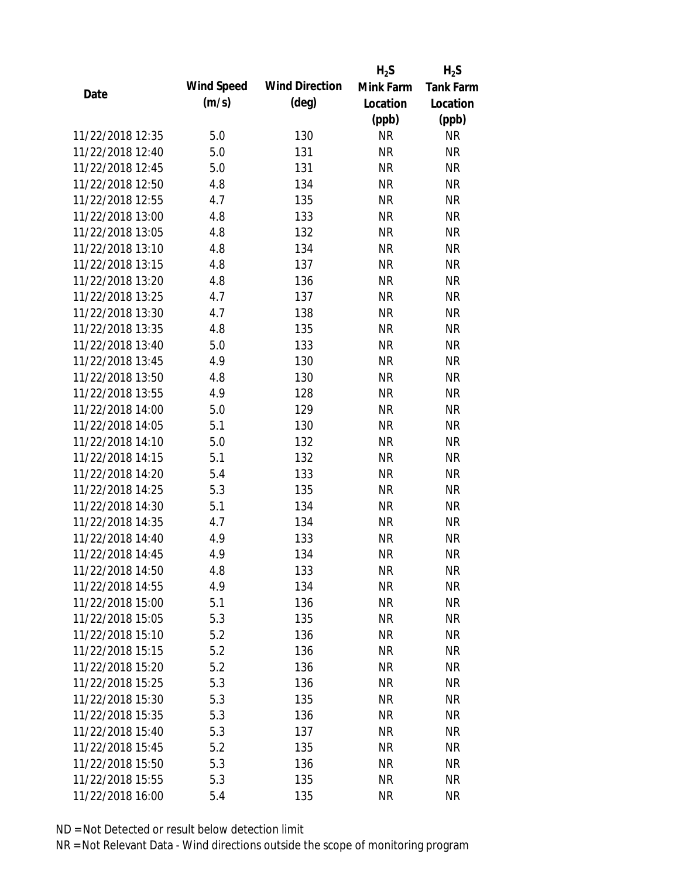|                  |            |                       | $H_2S$    | $H_2S$           |
|------------------|------------|-----------------------|-----------|------------------|
| Date             | Wind Speed | <b>Wind Direction</b> | Mink Farm | <b>Tank Farm</b> |
|                  | (m/s)      | $(\text{deg})$        | Location  | Location         |
|                  |            |                       | (ppb)     | (ppb)            |
| 11/22/2018 12:35 | 5.0        | 130                   | <b>NR</b> | <b>NR</b>        |
| 11/22/2018 12:40 | 5.0        | 131                   | <b>NR</b> | <b>NR</b>        |
| 11/22/2018 12:45 | 5.0        | 131                   | <b>NR</b> | <b>NR</b>        |
| 11/22/2018 12:50 | 4.8        | 134                   | <b>NR</b> | <b>NR</b>        |
| 11/22/2018 12:55 | 4.7        | 135                   | <b>NR</b> | <b>NR</b>        |
| 11/22/2018 13:00 | 4.8        | 133                   | <b>NR</b> | <b>NR</b>        |
| 11/22/2018 13:05 | 4.8        | 132                   | <b>NR</b> | <b>NR</b>        |
| 11/22/2018 13:10 | 4.8        | 134                   | <b>NR</b> | <b>NR</b>        |
| 11/22/2018 13:15 | 4.8        | 137                   | <b>NR</b> | <b>NR</b>        |
| 11/22/2018 13:20 | 4.8        | 136                   | <b>NR</b> | <b>NR</b>        |
| 11/22/2018 13:25 | 4.7        | 137                   | <b>NR</b> | <b>NR</b>        |
| 11/22/2018 13:30 | 4.7        | 138                   | <b>NR</b> | <b>NR</b>        |
| 11/22/2018 13:35 | 4.8        | 135                   | <b>NR</b> | <b>NR</b>        |
| 11/22/2018 13:40 | 5.0        | 133                   | <b>NR</b> | <b>NR</b>        |
| 11/22/2018 13:45 | 4.9        | 130                   | <b>NR</b> | <b>NR</b>        |
| 11/22/2018 13:50 | 4.8        | 130                   | <b>NR</b> | <b>NR</b>        |
| 11/22/2018 13:55 | 4.9        | 128                   | <b>NR</b> | <b>NR</b>        |
| 11/22/2018 14:00 | 5.0        | 129                   | <b>NR</b> | <b>NR</b>        |
| 11/22/2018 14:05 | 5.1        | 130                   | <b>NR</b> | <b>NR</b>        |
| 11/22/2018 14:10 | 5.0        | 132                   | <b>NR</b> | <b>NR</b>        |
| 11/22/2018 14:15 | 5.1        | 132                   | <b>NR</b> | <b>NR</b>        |
| 11/22/2018 14:20 | 5.4        | 133                   | <b>NR</b> | <b>NR</b>        |
| 11/22/2018 14:25 | 5.3        | 135                   | <b>NR</b> | <b>NR</b>        |
| 11/22/2018 14:30 | 5.1        | 134                   | <b>NR</b> | <b>NR</b>        |
| 11/22/2018 14:35 | 4.7        | 134                   | <b>NR</b> | <b>NR</b>        |
| 11/22/2018 14:40 | 4.9        | 133                   | <b>NR</b> | <b>NR</b>        |
| 11/22/2018 14:45 | 4.9        | 134                   | <b>NR</b> | <b>NR</b>        |
| 11/22/2018 14:50 | 4.8        | 133                   | <b>NR</b> | <b>NR</b>        |
| 11/22/2018 14:55 | 4.9        | 134                   | <b>NR</b> | <b>NR</b>        |
| 11/22/2018 15:00 | 5.1        | 136                   | <b>NR</b> | <b>NR</b>        |
| 11/22/2018 15:05 | 5.3        | 135                   | <b>NR</b> | <b>NR</b>        |
| 11/22/2018 15:10 | 5.2        | 136                   | <b>NR</b> | <b>NR</b>        |
| 11/22/2018 15:15 | 5.2        | 136                   | <b>NR</b> | <b>NR</b>        |
| 11/22/2018 15:20 | 5.2        | 136                   | <b>NR</b> | <b>NR</b>        |
| 11/22/2018 15:25 | 5.3        | 136                   | <b>NR</b> | <b>NR</b>        |
| 11/22/2018 15:30 | 5.3        | 135                   | <b>NR</b> | <b>NR</b>        |
| 11/22/2018 15:35 | 5.3        | 136                   | NR        | <b>NR</b>        |
| 11/22/2018 15:40 | 5.3        | 137                   | NR        | <b>NR</b>        |
| 11/22/2018 15:45 | 5.2        | 135                   | <b>NR</b> | <b>NR</b>        |
| 11/22/2018 15:50 | 5.3        | 136                   | <b>NR</b> | <b>NR</b>        |
| 11/22/2018 15:55 | 5.3        | 135                   | <b>NR</b> | <b>NR</b>        |
| 11/22/2018 16:00 | 5.4        | 135                   | <b>NR</b> | <b>NR</b>        |
|                  |            |                       |           |                  |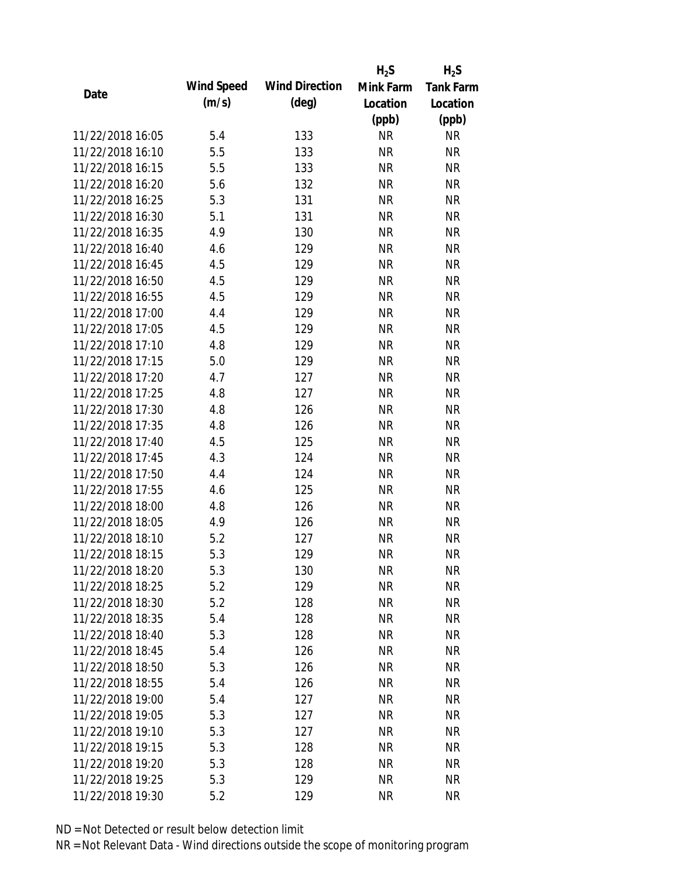|                  |            |                       | $H_2S$    | $H_2S$           |
|------------------|------------|-----------------------|-----------|------------------|
|                  | Wind Speed | <b>Wind Direction</b> | Mink Farm | <b>Tank Farm</b> |
| Date             | (m/s)      | $(\text{deg})$        | Location  | Location         |
|                  |            |                       | (ppb)     | (ppb)            |
| 11/22/2018 16:05 | 5.4        | 133                   | <b>NR</b> | <b>NR</b>        |
| 11/22/2018 16:10 | 5.5        | 133                   | <b>NR</b> | <b>NR</b>        |
| 11/22/2018 16:15 | 5.5        | 133                   | <b>NR</b> | <b>NR</b>        |
| 11/22/2018 16:20 | 5.6        | 132                   | <b>NR</b> | <b>NR</b>        |
| 11/22/2018 16:25 | 5.3        | 131                   | <b>NR</b> | <b>NR</b>        |
| 11/22/2018 16:30 | 5.1        | 131                   | <b>NR</b> | <b>NR</b>        |
| 11/22/2018 16:35 | 4.9        | 130                   | <b>NR</b> | <b>NR</b>        |
| 11/22/2018 16:40 | 4.6        | 129                   | <b>NR</b> | <b>NR</b>        |
| 11/22/2018 16:45 | 4.5        | 129                   | <b>NR</b> | <b>NR</b>        |
| 11/22/2018 16:50 | 4.5        | 129                   | <b>NR</b> | <b>NR</b>        |
| 11/22/2018 16:55 | 4.5        | 129                   | <b>NR</b> | <b>NR</b>        |
| 11/22/2018 17:00 | 4.4        | 129                   | <b>NR</b> | <b>NR</b>        |
| 11/22/2018 17:05 | 4.5        | 129                   | <b>NR</b> | <b>NR</b>        |
| 11/22/2018 17:10 | 4.8        | 129                   | <b>NR</b> | <b>NR</b>        |
| 11/22/2018 17:15 | 5.0        | 129                   | <b>NR</b> | <b>NR</b>        |
| 11/22/2018 17:20 | 4.7        | 127                   | <b>NR</b> | <b>NR</b>        |
| 11/22/2018 17:25 | 4.8        | 127                   | <b>NR</b> | <b>NR</b>        |
| 11/22/2018 17:30 | 4.8        | 126                   | <b>NR</b> | <b>NR</b>        |
| 11/22/2018 17:35 | 4.8        | 126                   | <b>NR</b> | <b>NR</b>        |
| 11/22/2018 17:40 | 4.5        | 125                   | <b>NR</b> | <b>NR</b>        |
| 11/22/2018 17:45 | 4.3        | 124                   | <b>NR</b> | <b>NR</b>        |
| 11/22/2018 17:50 | 4.4        | 124                   | <b>NR</b> | <b>NR</b>        |
| 11/22/2018 17:55 | 4.6        | 125                   | <b>NR</b> | <b>NR</b>        |
| 11/22/2018 18:00 | 4.8        | 126                   | <b>NR</b> | <b>NR</b>        |
| 11/22/2018 18:05 | 4.9        | 126                   | <b>NR</b> | <b>NR</b>        |
| 11/22/2018 18:10 | 5.2        | 127                   | <b>NR</b> | <b>NR</b>        |
| 11/22/2018 18:15 | 5.3        | 129                   | <b>NR</b> | <b>NR</b>        |
| 11/22/2018 18:20 | 5.3        | 130                   | <b>NR</b> | <b>NR</b>        |
| 11/22/2018 18:25 | 5.2        | 129                   | <b>NR</b> | <b>NR</b>        |
| 11/22/2018 18:30 | 5.2        | 128                   | <b>NR</b> | <b>NR</b>        |
| 11/22/2018 18:35 | 5.4        | 128                   | <b>NR</b> | <b>NR</b>        |
| 11/22/2018 18:40 | 5.3        | 128                   | <b>NR</b> | NR               |
| 11/22/2018 18:45 | 5.4        | 126                   | <b>NR</b> | <b>NR</b>        |
| 11/22/2018 18:50 | 5.3        | 126                   | <b>NR</b> | <b>NR</b>        |
| 11/22/2018 18:55 | 5.4        | 126                   | <b>NR</b> | <b>NR</b>        |
| 11/22/2018 19:00 | 5.4        | 127                   | NR        | <b>NR</b>        |
| 11/22/2018 19:05 | 5.3        | 127                   | <b>NR</b> | <b>NR</b>        |
| 11/22/2018 19:10 | 5.3        | 127                   | <b>NR</b> | <b>NR</b>        |
| 11/22/2018 19:15 | 5.3        | 128                   | <b>NR</b> | <b>NR</b>        |
| 11/22/2018 19:20 | 5.3        | 128                   | <b>NR</b> | NR               |
| 11/22/2018 19:25 | 5.3        | 129                   | <b>NR</b> | <b>NR</b>        |
| 11/22/2018 19:30 | 5.2        | 129                   | <b>NR</b> | <b>NR</b>        |
|                  |            |                       |           |                  |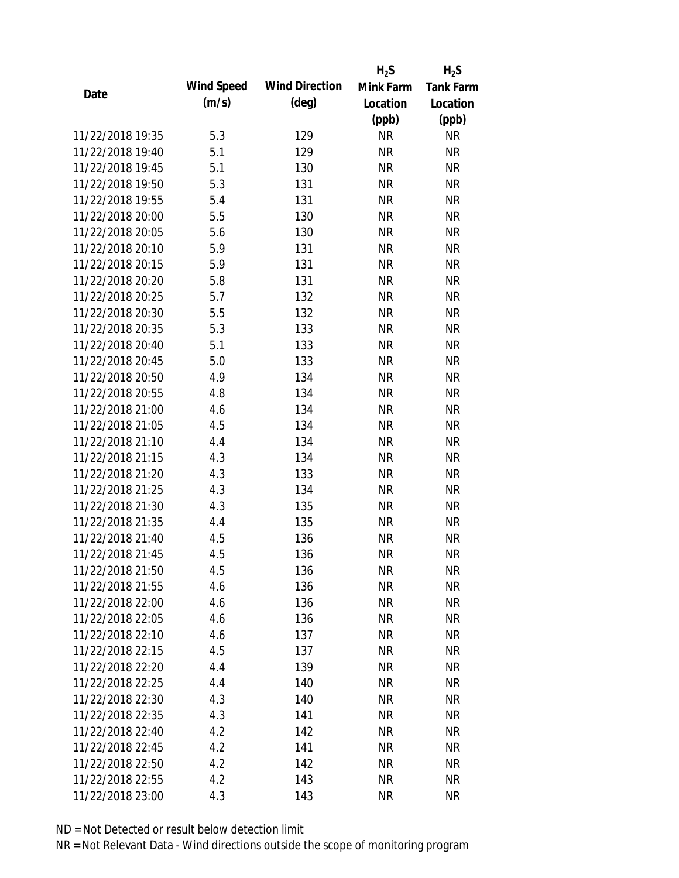|                  |            |                       | $H_2S$    | $H_2S$           |
|------------------|------------|-----------------------|-----------|------------------|
| Date             | Wind Speed | <b>Wind Direction</b> | Mink Farm | <b>Tank Farm</b> |
|                  | (m/s)      | $(\text{deg})$        | Location  | Location         |
|                  |            |                       | (ppb)     | (ppb)            |
| 11/22/2018 19:35 | 5.3        | 129                   | <b>NR</b> | <b>NR</b>        |
| 11/22/2018 19:40 | 5.1        | 129                   | <b>NR</b> | <b>NR</b>        |
| 11/22/2018 19:45 | 5.1        | 130                   | <b>NR</b> | <b>NR</b>        |
| 11/22/2018 19:50 | 5.3        | 131                   | <b>NR</b> | <b>NR</b>        |
| 11/22/2018 19:55 | 5.4        | 131                   | <b>NR</b> | <b>NR</b>        |
| 11/22/2018 20:00 | 5.5        | 130                   | <b>NR</b> | <b>NR</b>        |
| 11/22/2018 20:05 | 5.6        | 130                   | <b>NR</b> | <b>NR</b>        |
| 11/22/2018 20:10 | 5.9        | 131                   | <b>NR</b> | <b>NR</b>        |
| 11/22/2018 20:15 | 5.9        | 131                   | <b>NR</b> | <b>NR</b>        |
| 11/22/2018 20:20 | 5.8        | 131                   | <b>NR</b> | <b>NR</b>        |
| 11/22/2018 20:25 | 5.7        | 132                   | <b>NR</b> | <b>NR</b>        |
| 11/22/2018 20:30 | 5.5        | 132                   | <b>NR</b> | <b>NR</b>        |
| 11/22/2018 20:35 | 5.3        | 133                   | <b>NR</b> | <b>NR</b>        |
| 11/22/2018 20:40 | 5.1        | 133                   | <b>NR</b> | <b>NR</b>        |
| 11/22/2018 20:45 | 5.0        | 133                   | <b>NR</b> | <b>NR</b>        |
| 11/22/2018 20:50 | 4.9        | 134                   | <b>NR</b> | <b>NR</b>        |
| 11/22/2018 20:55 | 4.8        | 134                   | <b>NR</b> | <b>NR</b>        |
| 11/22/2018 21:00 | 4.6        | 134                   | <b>NR</b> | <b>NR</b>        |
| 11/22/2018 21:05 | 4.5        | 134                   | <b>NR</b> | <b>NR</b>        |
| 11/22/2018 21:10 | 4.4        | 134                   | <b>NR</b> | <b>NR</b>        |
| 11/22/2018 21:15 | 4.3        | 134                   | <b>NR</b> | <b>NR</b>        |
| 11/22/2018 21:20 | 4.3        | 133                   | <b>NR</b> | <b>NR</b>        |
| 11/22/2018 21:25 | 4.3        | 134                   | <b>NR</b> | <b>NR</b>        |
| 11/22/2018 21:30 | 4.3        | 135                   | <b>NR</b> | <b>NR</b>        |
| 11/22/2018 21:35 | 4.4        | 135                   | <b>NR</b> | <b>NR</b>        |
| 11/22/2018 21:40 | 4.5        | 136                   | <b>NR</b> | <b>NR</b>        |
| 11/22/2018 21:45 | 4.5        | 136                   | <b>NR</b> | <b>NR</b>        |
| 11/22/2018 21:50 | 4.5        | 136                   | <b>NR</b> | <b>NR</b>        |
| 11/22/2018 21:55 | 4.6        | 136                   | <b>NR</b> | <b>NR</b>        |
| 11/22/2018 22:00 | 4.6        | 136                   | <b>NR</b> | <b>NR</b>        |
| 11/22/2018 22:05 | 4.6        | 136                   | NR        | <b>NR</b>        |
| 11/22/2018 22:10 | 4.6        | 137                   | <b>NR</b> | <b>NR</b>        |
| 11/22/2018 22:15 | 4.5        | 137                   | <b>NR</b> | <b>NR</b>        |
| 11/22/2018 22:20 | 4.4        | 139                   | <b>NR</b> | <b>NR</b>        |
| 11/22/2018 22:25 | 4.4        | 140                   | <b>NR</b> | <b>NR</b>        |
| 11/22/2018 22:30 | 4.3        | 140                   | <b>NR</b> | <b>NR</b>        |
| 11/22/2018 22:35 | 4.3        | 141                   | <b>NR</b> | <b>NR</b>        |
| 11/22/2018 22:40 | 4.2        | 142                   | NR        | <b>NR</b>        |
| 11/22/2018 22:45 | 4.2        | 141                   | <b>NR</b> | <b>NR</b>        |
| 11/22/2018 22:50 | 4.2        | 142                   | <b>NR</b> | <b>NR</b>        |
| 11/22/2018 22:55 | 4.2        | 143                   | <b>NR</b> | <b>NR</b>        |
|                  | 4.3        |                       |           | <b>NR</b>        |
| 11/22/2018 23:00 |            | 143                   | <b>NR</b> |                  |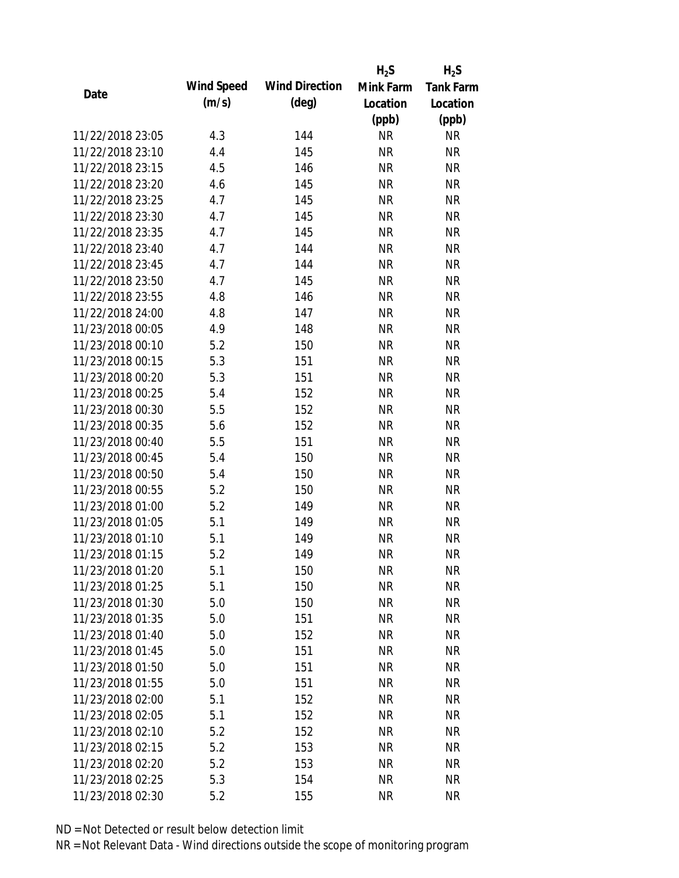|                  |            |                       | $H_2S$    | $H_2S$           |
|------------------|------------|-----------------------|-----------|------------------|
| Date             | Wind Speed | <b>Wind Direction</b> | Mink Farm | <b>Tank Farm</b> |
|                  | (m/s)      | $(\text{deg})$        | Location  | Location         |
|                  |            |                       | (ppb)     | (ppb)            |
| 11/22/2018 23:05 | 4.3        | 144                   | <b>NR</b> | <b>NR</b>        |
| 11/22/2018 23:10 | 4.4        | 145                   | <b>NR</b> | <b>NR</b>        |
| 11/22/2018 23:15 | 4.5        | 146                   | <b>NR</b> | <b>NR</b>        |
| 11/22/2018 23:20 | 4.6        | 145                   | <b>NR</b> | <b>NR</b>        |
| 11/22/2018 23:25 | 4.7        | 145                   | <b>NR</b> | <b>NR</b>        |
| 11/22/2018 23:30 | 4.7        | 145                   | <b>NR</b> | <b>NR</b>        |
| 11/22/2018 23:35 | 4.7        | 145                   | <b>NR</b> | <b>NR</b>        |
| 11/22/2018 23:40 | 4.7        | 144                   | <b>NR</b> | <b>NR</b>        |
| 11/22/2018 23:45 | 4.7        | 144                   | <b>NR</b> | <b>NR</b>        |
| 11/22/2018 23:50 | 4.7        | 145                   | <b>NR</b> | <b>NR</b>        |
| 11/22/2018 23:55 | 4.8        | 146                   | <b>NR</b> | <b>NR</b>        |
| 11/22/2018 24:00 | 4.8        | 147                   | <b>NR</b> | <b>NR</b>        |
| 11/23/2018 00:05 | 4.9        | 148                   | <b>NR</b> | <b>NR</b>        |
| 11/23/2018 00:10 | 5.2        | 150                   | <b>NR</b> | <b>NR</b>        |
| 11/23/2018 00:15 | 5.3        | 151                   | <b>NR</b> | <b>NR</b>        |
| 11/23/2018 00:20 | 5.3        | 151                   | <b>NR</b> | <b>NR</b>        |
| 11/23/2018 00:25 | 5.4        | 152                   | <b>NR</b> | <b>NR</b>        |
| 11/23/2018 00:30 | 5.5        | 152                   | <b>NR</b> | <b>NR</b>        |
| 11/23/2018 00:35 | 5.6        | 152                   | <b>NR</b> | <b>NR</b>        |
| 11/23/2018 00:40 | 5.5        | 151                   | <b>NR</b> | <b>NR</b>        |
| 11/23/2018 00:45 | 5.4        | 150                   | <b>NR</b> | <b>NR</b>        |
| 11/23/2018 00:50 | 5.4        | 150                   | <b>NR</b> | <b>NR</b>        |
| 11/23/2018 00:55 | 5.2        | 150                   | <b>NR</b> | <b>NR</b>        |
| 11/23/2018 01:00 | 5.2        | 149                   | <b>NR</b> | <b>NR</b>        |
| 11/23/2018 01:05 | 5.1        | 149                   | <b>NR</b> | <b>NR</b>        |
| 11/23/2018 01:10 | 5.1        | 149                   | <b>NR</b> | <b>NR</b>        |
| 11/23/2018 01:15 | 5.2        | 149                   | <b>NR</b> | <b>NR</b>        |
| 11/23/2018 01:20 | 5.1        | 150                   | <b>NR</b> | <b>NR</b>        |
| 11/23/2018 01:25 | 5.1        | 150                   | <b>NR</b> | <b>NR</b>        |
| 11/23/2018 01:30 | 5.0        | 150                   | <b>NR</b> | <b>NR</b>        |
| 11/23/2018 01:35 | 5.0        | 151                   | <b>NR</b> | <b>NR</b>        |
| 11/23/2018 01:40 | 5.0        | 152                   | <b>NR</b> | <b>NR</b>        |
| 11/23/2018 01:45 | 5.0        | 151                   | <b>NR</b> | <b>NR</b>        |
| 11/23/2018 01:50 | 5.0        | 151                   | <b>NR</b> | <b>NR</b>        |
| 11/23/2018 01:55 | 5.0        | 151                   | <b>NR</b> | <b>NR</b>        |
| 11/23/2018 02:00 | 5.1        | 152                   | <b>NR</b> | <b>NR</b>        |
| 11/23/2018 02:05 | 5.1        | 152                   | <b>NR</b> | <b>NR</b>        |
| 11/23/2018 02:10 | 5.2        | 152                   | NR        | <b>NR</b>        |
| 11/23/2018 02:15 | 5.2        | 153                   | <b>NR</b> | <b>NR</b>        |
| 11/23/2018 02:20 | 5.2        | 153                   | <b>NR</b> | <b>NR</b>        |
| 11/23/2018 02:25 | 5.3        | 154                   | <b>NR</b> | <b>NR</b>        |
| 11/23/2018 02:30 | 5.2        | 155                   | <b>NR</b> | <b>NR</b>        |
|                  |            |                       |           |                  |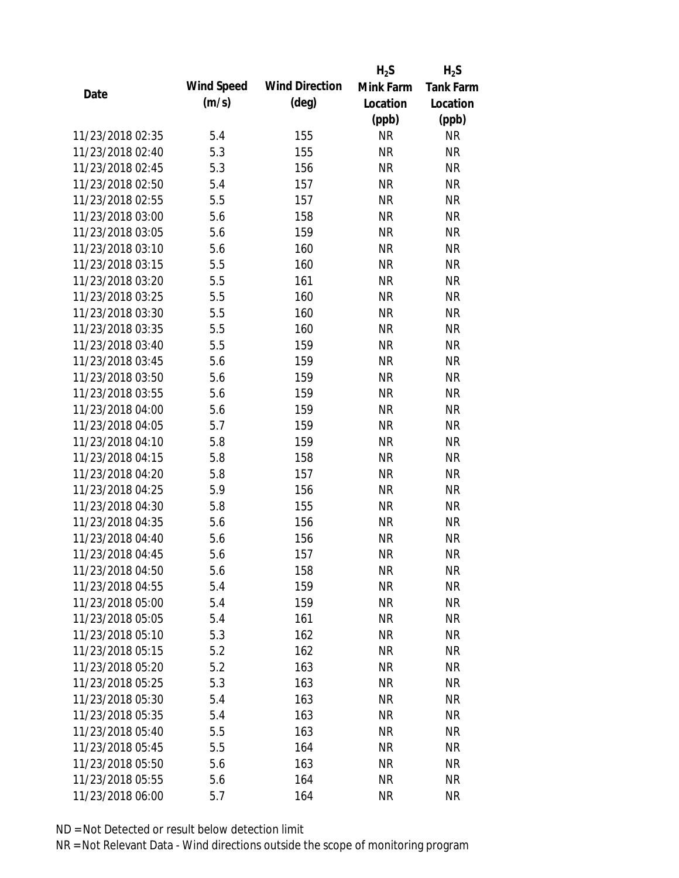|                  |            |                       | $H_2S$    | $H_2S$           |
|------------------|------------|-----------------------|-----------|------------------|
| Date             | Wind Speed | <b>Wind Direction</b> | Mink Farm | <b>Tank Farm</b> |
|                  | (m/s)      | $(\text{deg})$        | Location  | Location         |
|                  |            |                       | (ppb)     | (ppb)            |
| 11/23/2018 02:35 | 5.4        | 155                   | <b>NR</b> | NR               |
| 11/23/2018 02:40 | 5.3        | 155                   | <b>NR</b> | <b>NR</b>        |
| 11/23/2018 02:45 | 5.3        | 156                   | <b>NR</b> | <b>NR</b>        |
| 11/23/2018 02:50 | 5.4        | 157                   | <b>NR</b> | <b>NR</b>        |
| 11/23/2018 02:55 | 5.5        | 157                   | <b>NR</b> | <b>NR</b>        |
| 11/23/2018 03:00 | 5.6        | 158                   | <b>NR</b> | <b>NR</b>        |
| 11/23/2018 03:05 | 5.6        | 159                   | <b>NR</b> | <b>NR</b>        |
| 11/23/2018 03:10 | 5.6        | 160                   | <b>NR</b> | <b>NR</b>        |
| 11/23/2018 03:15 | 5.5        | 160                   | <b>NR</b> | <b>NR</b>        |
| 11/23/2018 03:20 | 5.5        | 161                   | <b>NR</b> | <b>NR</b>        |
| 11/23/2018 03:25 | 5.5        | 160                   | <b>NR</b> | <b>NR</b>        |
| 11/23/2018 03:30 | 5.5        | 160                   | <b>NR</b> | <b>NR</b>        |
| 11/23/2018 03:35 | 5.5        | 160                   | <b>NR</b> | <b>NR</b>        |
| 11/23/2018 03:40 | 5.5        | 159                   | <b>NR</b> | <b>NR</b>        |
| 11/23/2018 03:45 | 5.6        | 159                   | <b>NR</b> | <b>NR</b>        |
| 11/23/2018 03:50 | 5.6        | 159                   | <b>NR</b> | <b>NR</b>        |
| 11/23/2018 03:55 | 5.6        | 159                   | <b>NR</b> | <b>NR</b>        |
| 11/23/2018 04:00 | 5.6        | 159                   | <b>NR</b> | <b>NR</b>        |
| 11/23/2018 04:05 | 5.7        | 159                   | <b>NR</b> | <b>NR</b>        |
| 11/23/2018 04:10 | 5.8        | 159                   | <b>NR</b> | <b>NR</b>        |
| 11/23/2018 04:15 | 5.8        | 158                   | <b>NR</b> | <b>NR</b>        |
| 11/23/2018 04:20 | 5.8        | 157                   | <b>NR</b> | <b>NR</b>        |
| 11/23/2018 04:25 | 5.9        | 156                   | <b>NR</b> | <b>NR</b>        |
| 11/23/2018 04:30 | 5.8        | 155                   | <b>NR</b> | <b>NR</b>        |
| 11/23/2018 04:35 | 5.6        | 156                   | <b>NR</b> | <b>NR</b>        |
| 11/23/2018 04:40 | 5.6        | 156                   | <b>NR</b> | <b>NR</b>        |
| 11/23/2018 04:45 | 5.6        | 157                   | <b>NR</b> | <b>NR</b>        |
| 11/23/2018 04:50 | 5.6        | 158                   | <b>NR</b> | <b>NR</b>        |
| 11/23/2018 04:55 | 5.4        | 159                   | <b>NR</b> | <b>NR</b>        |
| 11/23/2018 05:00 | 5.4        | 159                   | <b>NR</b> | <b>NR</b>        |
| 11/23/2018 05:05 | 5.4        | 161                   | <b>NR</b> | <b>NR</b>        |
| 11/23/2018 05:10 | 5.3        | 162                   | <b>NR</b> | <b>NR</b>        |
| 11/23/2018 05:15 | 5.2        | 162                   | <b>NR</b> | <b>NR</b>        |
| 11/23/2018 05:20 | 5.2        | 163                   | <b>NR</b> | <b>NR</b>        |
| 11/23/2018 05:25 | 5.3        | 163                   | <b>NR</b> | <b>NR</b>        |
| 11/23/2018 05:30 | 5.4        | 163                   | <b>NR</b> | <b>NR</b>        |
| 11/23/2018 05:35 | 5.4        | 163                   | <b>NR</b> | <b>NR</b>        |
| 11/23/2018 05:40 | 5.5        | 163                   | NR        | <b>NR</b>        |
| 11/23/2018 05:45 | 5.5        | 164                   | <b>NR</b> | <b>NR</b>        |
| 11/23/2018 05:50 | 5.6        | 163                   | <b>NR</b> | <b>NR</b>        |
| 11/23/2018 05:55 | 5.6        | 164                   | <b>NR</b> | <b>NR</b>        |
| 11/23/2018 06:00 | 5.7        | 164                   | <b>NR</b> | <b>NR</b>        |
|                  |            |                       |           |                  |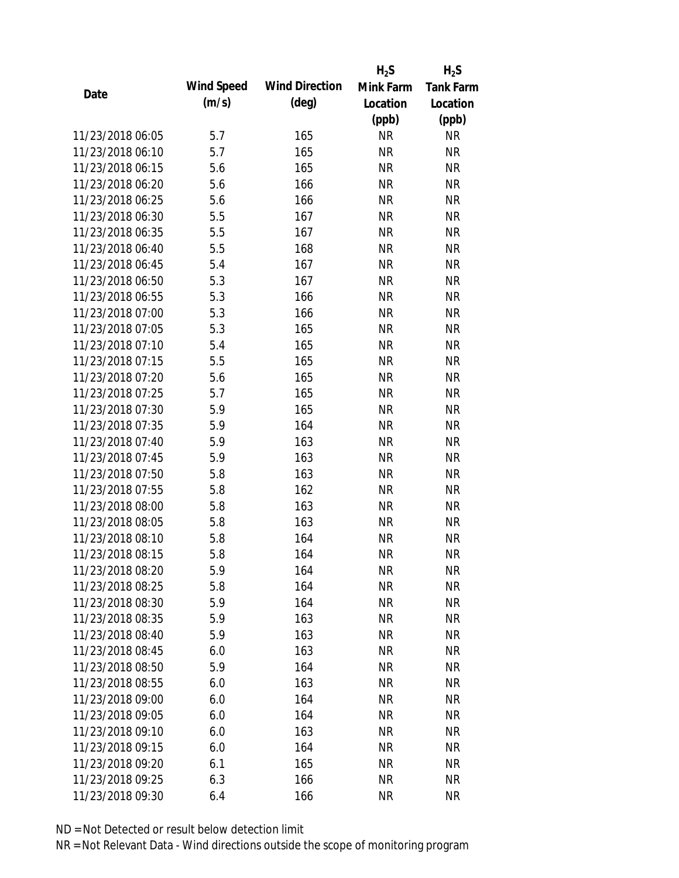|                  |            |                       | $H_2S$    | $H_2S$           |
|------------------|------------|-----------------------|-----------|------------------|
| Date             | Wind Speed | <b>Wind Direction</b> | Mink Farm | <b>Tank Farm</b> |
|                  | (m/s)      | $(\text{deg})$        | Location  | Location         |
|                  |            |                       | (ppb)     | (ppb)            |
| 11/23/2018 06:05 | 5.7        | 165                   | <b>NR</b> | NR               |
| 11/23/2018 06:10 | 5.7        | 165                   | <b>NR</b> | <b>NR</b>        |
| 11/23/2018 06:15 | 5.6        | 165                   | <b>NR</b> | <b>NR</b>        |
| 11/23/2018 06:20 | 5.6        | 166                   | <b>NR</b> | <b>NR</b>        |
| 11/23/2018 06:25 | 5.6        | 166                   | <b>NR</b> | <b>NR</b>        |
| 11/23/2018 06:30 | 5.5        | 167                   | <b>NR</b> | <b>NR</b>        |
| 11/23/2018 06:35 | 5.5        | 167                   | <b>NR</b> | <b>NR</b>        |
| 11/23/2018 06:40 | 5.5        | 168                   | <b>NR</b> | <b>NR</b>        |
| 11/23/2018 06:45 | 5.4        | 167                   | <b>NR</b> | <b>NR</b>        |
| 11/23/2018 06:50 | 5.3        | 167                   | <b>NR</b> | <b>NR</b>        |
| 11/23/2018 06:55 | 5.3        | 166                   | <b>NR</b> | <b>NR</b>        |
| 11/23/2018 07:00 | 5.3        | 166                   | <b>NR</b> | <b>NR</b>        |
| 11/23/2018 07:05 | 5.3        | 165                   | <b>NR</b> | <b>NR</b>        |
| 11/23/2018 07:10 | 5.4        | 165                   | <b>NR</b> | <b>NR</b>        |
| 11/23/2018 07:15 | 5.5        | 165                   | <b>NR</b> | <b>NR</b>        |
| 11/23/2018 07:20 | 5.6        | 165                   | <b>NR</b> | <b>NR</b>        |
| 11/23/2018 07:25 | 5.7        | 165                   | <b>NR</b> | <b>NR</b>        |
| 11/23/2018 07:30 | 5.9        | 165                   | <b>NR</b> | <b>NR</b>        |
| 11/23/2018 07:35 | 5.9        | 164                   | <b>NR</b> | <b>NR</b>        |
| 11/23/2018 07:40 | 5.9        | 163                   | <b>NR</b> | <b>NR</b>        |
| 11/23/2018 07:45 | 5.9        | 163                   | <b>NR</b> | <b>NR</b>        |
| 11/23/2018 07:50 | 5.8        | 163                   | <b>NR</b> | <b>NR</b>        |
| 11/23/2018 07:55 | 5.8        | 162                   | <b>NR</b> | <b>NR</b>        |
| 11/23/2018 08:00 | 5.8        | 163                   | <b>NR</b> | <b>NR</b>        |
| 11/23/2018 08:05 | 5.8        | 163                   | <b>NR</b> | <b>NR</b>        |
| 11/23/2018 08:10 | 5.8        | 164                   | <b>NR</b> | <b>NR</b>        |
| 11/23/2018 08:15 | 5.8        | 164                   | <b>NR</b> | <b>NR</b>        |
| 11/23/2018 08:20 | 5.9        | 164                   | <b>NR</b> | <b>NR</b>        |
| 11/23/2018 08:25 | 5.8        | 164                   | <b>NR</b> | <b>NR</b>        |
| 11/23/2018 08:30 | 5.9        | 164                   | <b>NR</b> | <b>NR</b>        |
| 11/23/2018 08:35 | 5.9        | 163                   | <b>NR</b> | <b>NR</b>        |
| 11/23/2018 08:40 | 5.9        | 163                   | <b>NR</b> | <b>NR</b>        |
| 11/23/2018 08:45 | 6.0        | 163                   | <b>NR</b> | <b>NR</b>        |
| 11/23/2018 08:50 | 5.9        | 164                   | <b>NR</b> | <b>NR</b>        |
| 11/23/2018 08:55 | 6.0        | 163                   | <b>NR</b> | <b>NR</b>        |
| 11/23/2018 09:00 | 6.0        | 164                   | <b>NR</b> | <b>NR</b>        |
| 11/23/2018 09:05 | 6.0        | 164                   | <b>NR</b> | <b>NR</b>        |
| 11/23/2018 09:10 | 6.0        | 163                   | NR        | <b>NR</b>        |
| 11/23/2018 09:15 | 6.0        | 164                   | <b>NR</b> | <b>NR</b>        |
| 11/23/2018 09:20 | 6.1        | 165                   | <b>NR</b> | <b>NR</b>        |
| 11/23/2018 09:25 | 6.3        | 166                   | <b>NR</b> | <b>NR</b>        |
| 11/23/2018 09:30 | 6.4        | 166                   | <b>NR</b> | <b>NR</b>        |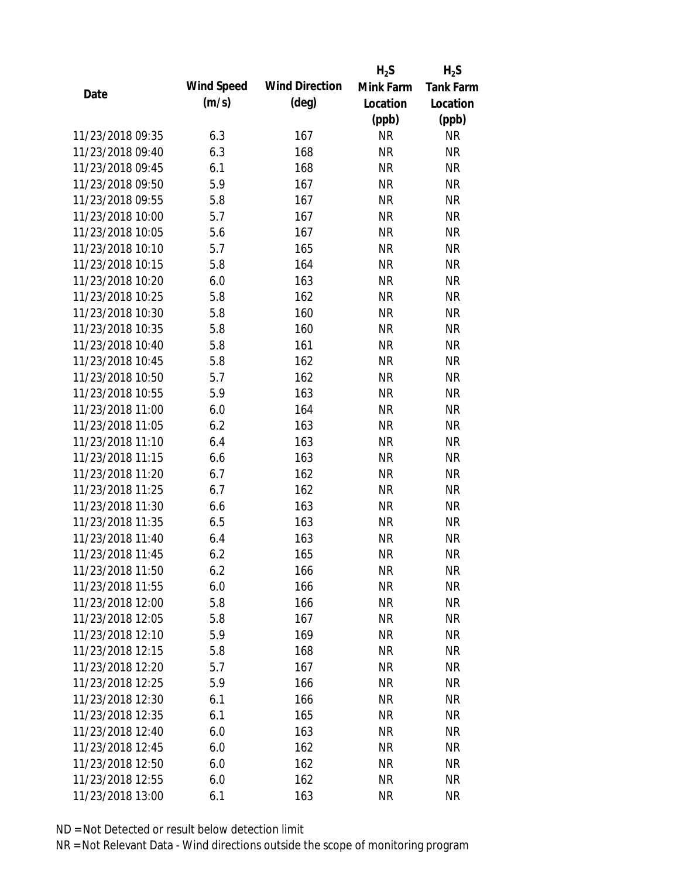|                  |            |                       | $H_2S$    | $H_2S$           |
|------------------|------------|-----------------------|-----------|------------------|
| Date             | Wind Speed | <b>Wind Direction</b> | Mink Farm | <b>Tank Farm</b> |
|                  | (m/s)      | $(\text{deg})$        | Location  | Location         |
|                  |            |                       | (ppb)     | (ppb)            |
| 11/23/2018 09:35 | 6.3        | 167                   | <b>NR</b> | NR               |
| 11/23/2018 09:40 | 6.3        | 168                   | <b>NR</b> | <b>NR</b>        |
| 11/23/2018 09:45 | 6.1        | 168                   | <b>NR</b> | <b>NR</b>        |
| 11/23/2018 09:50 | 5.9        | 167                   | <b>NR</b> | <b>NR</b>        |
| 11/23/2018 09:55 | 5.8        | 167                   | <b>NR</b> | <b>NR</b>        |
| 11/23/2018 10:00 | 5.7        | 167                   | <b>NR</b> | <b>NR</b>        |
| 11/23/2018 10:05 | 5.6        | 167                   | <b>NR</b> | <b>NR</b>        |
| 11/23/2018 10:10 | 5.7        | 165                   | <b>NR</b> | <b>NR</b>        |
| 11/23/2018 10:15 | 5.8        | 164                   | <b>NR</b> | <b>NR</b>        |
| 11/23/2018 10:20 | 6.0        | 163                   | <b>NR</b> | <b>NR</b>        |
| 11/23/2018 10:25 | 5.8        | 162                   | <b>NR</b> | <b>NR</b>        |
| 11/23/2018 10:30 | 5.8        | 160                   | <b>NR</b> | <b>NR</b>        |
| 11/23/2018 10:35 | 5.8        | 160                   | <b>NR</b> | <b>NR</b>        |
| 11/23/2018 10:40 | 5.8        | 161                   | <b>NR</b> | <b>NR</b>        |
| 11/23/2018 10:45 | 5.8        | 162                   | <b>NR</b> | <b>NR</b>        |
| 11/23/2018 10:50 | 5.7        | 162                   | <b>NR</b> | <b>NR</b>        |
| 11/23/2018 10:55 | 5.9        | 163                   | <b>NR</b> | <b>NR</b>        |
| 11/23/2018 11:00 | 6.0        | 164                   | <b>NR</b> | <b>NR</b>        |
| 11/23/2018 11:05 | 6.2        | 163                   | <b>NR</b> | <b>NR</b>        |
| 11/23/2018 11:10 | 6.4        | 163                   | <b>NR</b> | <b>NR</b>        |
| 11/23/2018 11:15 | 6.6        | 163                   | <b>NR</b> | <b>NR</b>        |
| 11/23/2018 11:20 | 6.7        | 162                   | <b>NR</b> | <b>NR</b>        |
| 11/23/2018 11:25 | 6.7        | 162                   | <b>NR</b> | <b>NR</b>        |
| 11/23/2018 11:30 | 6.6        | 163                   | <b>NR</b> | <b>NR</b>        |
| 11/23/2018 11:35 | 6.5        | 163                   | <b>NR</b> | <b>NR</b>        |
| 11/23/2018 11:40 | 6.4        | 163                   | <b>NR</b> | <b>NR</b>        |
| 11/23/2018 11:45 | 6.2        | 165                   | <b>NR</b> | <b>NR</b>        |
| 11/23/2018 11:50 | 6.2        | 166                   | <b>NR</b> | <b>NR</b>        |
| 11/23/2018 11:55 | 6.0        | 166                   | <b>NR</b> | <b>NR</b>        |
| 11/23/2018 12:00 | 5.8        | 166                   | <b>NR</b> | <b>NR</b>        |
| 11/23/2018 12:05 | 5.8        | 167                   | NR        | <b>NR</b>        |
| 11/23/2018 12:10 | 5.9        | 169                   | <b>NR</b> | <b>NR</b>        |
| 11/23/2018 12:15 | 5.8        | 168                   | <b>NR</b> | <b>NR</b>        |
| 11/23/2018 12:20 | 5.7        | 167                   | <b>NR</b> | <b>NR</b>        |
| 11/23/2018 12:25 | 5.9        | 166                   | <b>NR</b> | <b>NR</b>        |
| 11/23/2018 12:30 | 6.1        | 166                   | <b>NR</b> | <b>NR</b>        |
| 11/23/2018 12:35 | 6.1        | 165                   | <b>NR</b> | <b>NR</b>        |
| 11/23/2018 12:40 | 6.0        | 163                   | NR        | <b>NR</b>        |
| 11/23/2018 12:45 | 6.0        | 162                   | <b>NR</b> | NR               |
| 11/23/2018 12:50 | 6.0        | 162                   | <b>NR</b> | <b>NR</b>        |
| 11/23/2018 12:55 | 6.0        | 162                   | <b>NR</b> | <b>NR</b>        |
| 11/23/2018 13:00 | 6.1        | 163                   | <b>NR</b> | <b>NR</b>        |
|                  |            |                       |           |                  |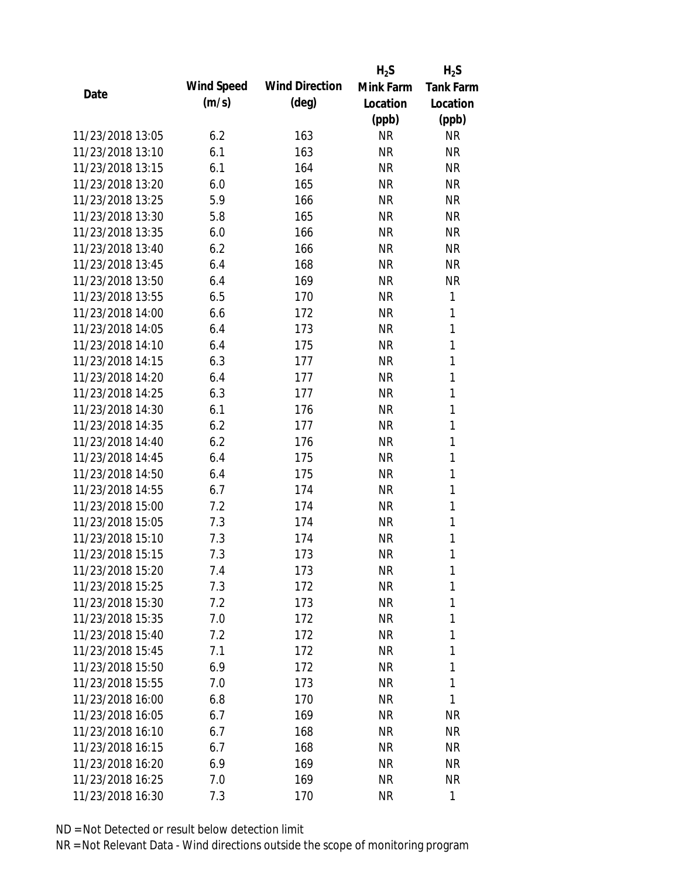|                  |            |                       | $H_2S$    | $H_2S$           |
|------------------|------------|-----------------------|-----------|------------------|
| Date             | Wind Speed | <b>Wind Direction</b> | Mink Farm | <b>Tank Farm</b> |
|                  | (m/s)      | $(\text{deg})$        | Location  | Location         |
|                  |            |                       | (ppb)     | (ppb)            |
| 11/23/2018 13:05 | 6.2        | 163                   | <b>NR</b> | <b>NR</b>        |
| 11/23/2018 13:10 | 6.1        | 163                   | <b>NR</b> | <b>NR</b>        |
| 11/23/2018 13:15 | 6.1        | 164                   | <b>NR</b> | <b>NR</b>        |
| 11/23/2018 13:20 | 6.0        | 165                   | <b>NR</b> | <b>NR</b>        |
| 11/23/2018 13:25 | 5.9        | 166                   | <b>NR</b> | <b>NR</b>        |
| 11/23/2018 13:30 | 5.8        | 165                   | <b>NR</b> | <b>NR</b>        |
| 11/23/2018 13:35 | 6.0        | 166                   | <b>NR</b> | <b>NR</b>        |
| 11/23/2018 13:40 | 6.2        | 166                   | <b>NR</b> | <b>NR</b>        |
| 11/23/2018 13:45 | 6.4        | 168                   | <b>NR</b> | <b>NR</b>        |
| 11/23/2018 13:50 | 6.4        | 169                   | <b>NR</b> | <b>NR</b>        |
| 11/23/2018 13:55 | 6.5        | 170                   | <b>NR</b> | 1                |
| 11/23/2018 14:00 | 6.6        | 172                   | <b>NR</b> | 1                |
| 11/23/2018 14:05 | 6.4        | 173                   | <b>NR</b> | 1                |
| 11/23/2018 14:10 | 6.4        | 175                   | <b>NR</b> | 1                |
| 11/23/2018 14:15 | 6.3        | 177                   | <b>NR</b> | $\mathbf{1}$     |
| 11/23/2018 14:20 | 6.4        | 177                   | <b>NR</b> | 1                |
| 11/23/2018 14:25 | 6.3        | 177                   | <b>NR</b> | 1                |
| 11/23/2018 14:30 | 6.1        | 176                   | <b>NR</b> | 1                |
| 11/23/2018 14:35 | 6.2        | 177                   | <b>NR</b> | $\mathbf{1}$     |
| 11/23/2018 14:40 | 6.2        | 176                   | <b>NR</b> | 1                |
| 11/23/2018 14:45 | 6.4        | 175                   | <b>NR</b> | 1                |
| 11/23/2018 14:50 | 6.4        | 175                   | <b>NR</b> | $\mathbf{1}$     |
| 11/23/2018 14:55 | 6.7        | 174                   | <b>NR</b> | 1                |
| 11/23/2018 15:00 | 7.2        | 174                   | <b>NR</b> | 1                |
| 11/23/2018 15:05 | 7.3        | 174                   | <b>NR</b> | 1                |
| 11/23/2018 15:10 | 7.3        | 174                   | <b>NR</b> | 1                |
| 11/23/2018 15:15 | 7.3        | 173                   | <b>NR</b> | 1                |
| 11/23/2018 15:20 | 7.4        | 173                   | <b>NR</b> | 1                |
| 11/23/2018 15:25 | 7.3        | 172                   | <b>NR</b> | 1                |
| 11/23/2018 15:30 | 7.2        | 173                   | <b>NR</b> | 1                |
| 11/23/2018 15:35 | 7.0        | 172                   | <b>NR</b> | 1                |
| 11/23/2018 15:40 | 7.2        | 172                   | <b>NR</b> | 1                |
| 11/23/2018 15:45 | 7.1        | 172                   | <b>NR</b> | 1                |
| 11/23/2018 15:50 | 6.9        | 172                   | <b>NR</b> | 1                |
| 11/23/2018 15:55 | 7.0        | 173                   | <b>NR</b> | 1                |
| 11/23/2018 16:00 | 6.8        | 170                   | <b>NR</b> | 1                |
| 11/23/2018 16:05 | 6.7        | 169                   | <b>NR</b> | <b>NR</b>        |
| 11/23/2018 16:10 | 6.7        | 168                   | <b>NR</b> | <b>NR</b>        |
| 11/23/2018 16:15 | 6.7        | 168                   | <b>NR</b> | NR               |
| 11/23/2018 16:20 | 6.9        | 169                   | <b>NR</b> | <b>NR</b>        |
| 11/23/2018 16:25 | 7.0        | 169                   | <b>NR</b> | NR               |
| 11/23/2018 16:30 | 7.3        | 170                   | <b>NR</b> | 1                |
|                  |            |                       |           |                  |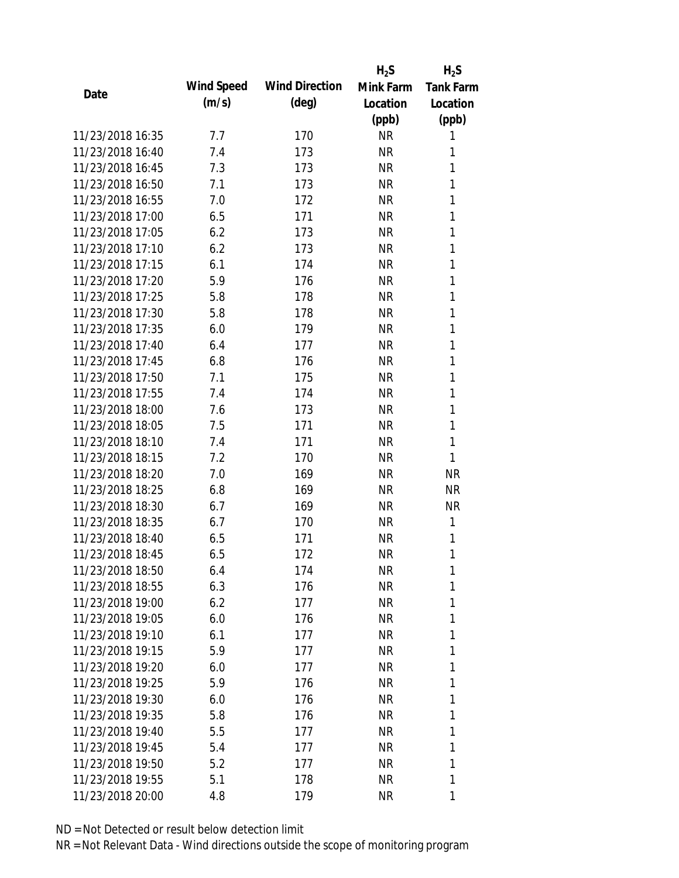|                  |            |                       | $H_2S$    | $H_2S$           |
|------------------|------------|-----------------------|-----------|------------------|
| Date             | Wind Speed | <b>Wind Direction</b> | Mink Farm | <b>Tank Farm</b> |
|                  | (m/s)      | $(\text{deg})$        | Location  | Location         |
|                  |            |                       | (ppb)     | (ppb)            |
| 11/23/2018 16:35 | 7.7        | 170                   | <b>NR</b> | 1                |
| 11/23/2018 16:40 | 7.4        | 173                   | <b>NR</b> | 1                |
| 11/23/2018 16:45 | 7.3        | 173                   | <b>NR</b> | 1                |
| 11/23/2018 16:50 | 7.1        | 173                   | <b>NR</b> | 1                |
| 11/23/2018 16:55 | 7.0        | 172                   | <b>NR</b> | 1                |
| 11/23/2018 17:00 | 6.5        | 171                   | <b>NR</b> | 1                |
| 11/23/2018 17:05 | 6.2        | 173                   | <b>NR</b> | 1                |
| 11/23/2018 17:10 | 6.2        | 173                   | <b>NR</b> | $\mathbf{1}$     |
| 11/23/2018 17:15 | 6.1        | 174                   | <b>NR</b> | 1                |
| 11/23/2018 17:20 | 5.9        | 176                   | <b>NR</b> | 1                |
| 11/23/2018 17:25 | 5.8        | 178                   | <b>NR</b> | 1                |
| 11/23/2018 17:30 | 5.8        | 178                   | <b>NR</b> | 1                |
| 11/23/2018 17:35 | 6.0        | 179                   | <b>NR</b> | 1                |
| 11/23/2018 17:40 | 6.4        | 177                   | <b>NR</b> | 1                |
| 11/23/2018 17:45 | 6.8        | 176                   | <b>NR</b> | 1                |
| 11/23/2018 17:50 | 7.1        | 175                   | <b>NR</b> | 1                |
| 11/23/2018 17:55 | 7.4        | 174                   | <b>NR</b> | 1                |
| 11/23/2018 18:00 | 7.6        | 173                   | <b>NR</b> | $\mathbf{1}$     |
| 11/23/2018 18:05 | 7.5        | 171                   | <b>NR</b> | 1                |
| 11/23/2018 18:10 | 7.4        | 171                   | <b>NR</b> | 1                |
| 11/23/2018 18:15 | 7.2        | 170                   | <b>NR</b> | 1                |
| 11/23/2018 18:20 | 7.0        | 169                   | <b>NR</b> | <b>NR</b>        |
| 11/23/2018 18:25 | 6.8        | 169                   | <b>NR</b> | <b>NR</b>        |
| 11/23/2018 18:30 | 6.7        | 169                   | <b>NR</b> | <b>NR</b>        |
| 11/23/2018 18:35 | 6.7        | 170                   | <b>NR</b> | 1                |
| 11/23/2018 18:40 | 6.5        | 171                   | <b>NR</b> | 1                |
| 11/23/2018 18:45 | 6.5        | 172                   | <b>NR</b> | 1                |
| 11/23/2018 18:50 | 6.4        | 174                   | <b>NR</b> | 1                |
| 11/23/2018 18:55 | 6.3        | 176                   | <b>NR</b> | 1                |
| 11/23/2018 19:00 | 6.2        | 177                   | <b>NR</b> | 1                |
| 11/23/2018 19:05 | 6.0        | 176                   | <b>NR</b> | 1                |
| 11/23/2018 19:10 | 6.1        | 177                   | <b>NR</b> | 1                |
| 11/23/2018 19:15 | 5.9        | 177                   | <b>NR</b> | 1                |
| 11/23/2018 19:20 | 6.0        | 177                   | <b>NR</b> | 1                |
| 11/23/2018 19:25 | 5.9        | 176                   | <b>NR</b> | 1                |
| 11/23/2018 19:30 | 6.0        | 176                   | <b>NR</b> | 1                |
| 11/23/2018 19:35 | 5.8        | 176                   | <b>NR</b> | 1                |
| 11/23/2018 19:40 | 5.5        | 177                   | <b>NR</b> | 1                |
| 11/23/2018 19:45 | 5.4        | 177                   | <b>NR</b> | 1                |
| 11/23/2018 19:50 | 5.2        | 177                   | <b>NR</b> | 1                |
| 11/23/2018 19:55 | 5.1        | 178                   | <b>NR</b> | 1                |
| 11/23/2018 20:00 | 4.8        | 179                   | <b>NR</b> | 1                |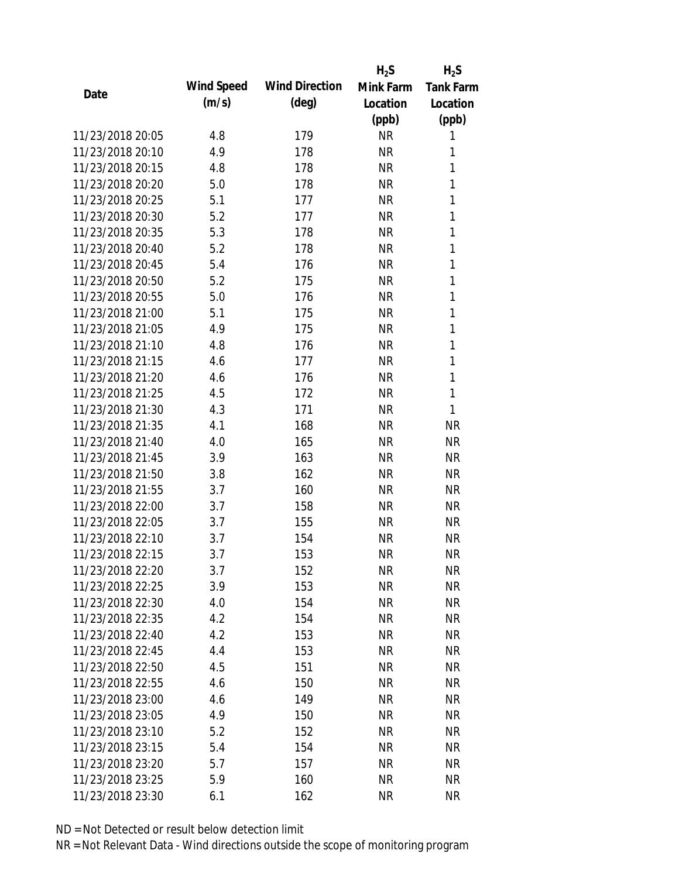|                  |            |                       | $H_2S$    | $H_2S$           |
|------------------|------------|-----------------------|-----------|------------------|
| Date             | Wind Speed | <b>Wind Direction</b> | Mink Farm | <b>Tank Farm</b> |
|                  | (m/s)      | $(\text{deg})$        | Location  | Location         |
|                  |            |                       | (ppb)     | (ppb)            |
| 11/23/2018 20:05 | 4.8        | 179                   | <b>NR</b> | 1                |
| 11/23/2018 20:10 | 4.9        | 178                   | <b>NR</b> | 1                |
| 11/23/2018 20:15 | 4.8        | 178                   | <b>NR</b> | 1                |
| 11/23/2018 20:20 | 5.0        | 178                   | <b>NR</b> | 1                |
| 11/23/2018 20:25 | 5.1        | 177                   | <b>NR</b> | 1                |
| 11/23/2018 20:30 | 5.2        | 177                   | <b>NR</b> | 1                |
| 11/23/2018 20:35 | 5.3        | 178                   | <b>NR</b> | 1                |
| 11/23/2018 20:40 | 5.2        | 178                   | <b>NR</b> | 1                |
| 11/23/2018 20:45 | 5.4        | 176                   | <b>NR</b> | 1                |
| 11/23/2018 20:50 | 5.2        | 175                   | <b>NR</b> | 1                |
| 11/23/2018 20:55 | 5.0        | 176                   | <b>NR</b> | 1                |
| 11/23/2018 21:00 | 5.1        | 175                   | <b>NR</b> | 1                |
| 11/23/2018 21:05 | 4.9        | 175                   | <b>NR</b> | 1                |
| 11/23/2018 21:10 | 4.8        | 176                   | <b>NR</b> | 1                |
| 11/23/2018 21:15 | 4.6        | 177                   | <b>NR</b> | 1                |
| 11/23/2018 21:20 | 4.6        | 176                   | <b>NR</b> | 1                |
| 11/23/2018 21:25 | 4.5        | 172                   | <b>NR</b> | 1                |
| 11/23/2018 21:30 | 4.3        | 171                   | <b>NR</b> | 1                |
| 11/23/2018 21:35 | 4.1        | 168                   | <b>NR</b> | <b>NR</b>        |
| 11/23/2018 21:40 | 4.0        | 165                   | <b>NR</b> | <b>NR</b>        |
| 11/23/2018 21:45 | 3.9        | 163                   | <b>NR</b> | <b>NR</b>        |
| 11/23/2018 21:50 | 3.8        | 162                   | <b>NR</b> | <b>NR</b>        |
| 11/23/2018 21:55 | 3.7        | 160                   | <b>NR</b> | <b>NR</b>        |
| 11/23/2018 22:00 | 3.7        | 158                   | <b>NR</b> | <b>NR</b>        |
| 11/23/2018 22:05 | 3.7        | 155                   | <b>NR</b> | <b>NR</b>        |
| 11/23/2018 22:10 | 3.7        | 154                   | <b>NR</b> | <b>NR</b>        |
| 11/23/2018 22:15 | 3.7        | 153                   | <b>NR</b> | <b>NR</b>        |
| 11/23/2018 22:20 | 3.7        | 152                   | <b>NR</b> | <b>NR</b>        |
| 11/23/2018 22:25 | 3.9        | 153                   | <b>NR</b> | <b>NR</b>        |
| 11/23/2018 22:30 | 4.0        | 154                   | <b>NR</b> | <b>NR</b>        |
| 11/23/2018 22:35 | 4.2        | 154                   | <b>NR</b> | <b>NR</b>        |
| 11/23/2018 22:40 | 4.2        | 153                   | <b>NR</b> | <b>NR</b>        |
| 11/23/2018 22:45 | 4.4        | 153                   | <b>NR</b> | <b>NR</b>        |
| 11/23/2018 22:50 | 4.5        | 151                   | <b>NR</b> | <b>NR</b>        |
| 11/23/2018 22:55 | 4.6        | 150                   | <b>NR</b> | <b>NR</b>        |
| 11/23/2018 23:00 | 4.6        | 149                   | <b>NR</b> | <b>NR</b>        |
| 11/23/2018 23:05 | 4.9        | 150                   | <b>NR</b> | <b>NR</b>        |
| 11/23/2018 23:10 |            |                       |           | <b>NR</b>        |
|                  | 5.2        | 152                   | <b>NR</b> |                  |
| 11/23/2018 23:15 | 5.4        | 154                   | <b>NR</b> | <b>NR</b>        |
| 11/23/2018 23:20 | 5.7        | 157                   | <b>NR</b> | <b>NR</b>        |
| 11/23/2018 23:25 | 5.9        | 160                   | <b>NR</b> | <b>NR</b>        |
| 11/23/2018 23:30 | 6.1        | 162                   | <b>NR</b> | <b>NR</b>        |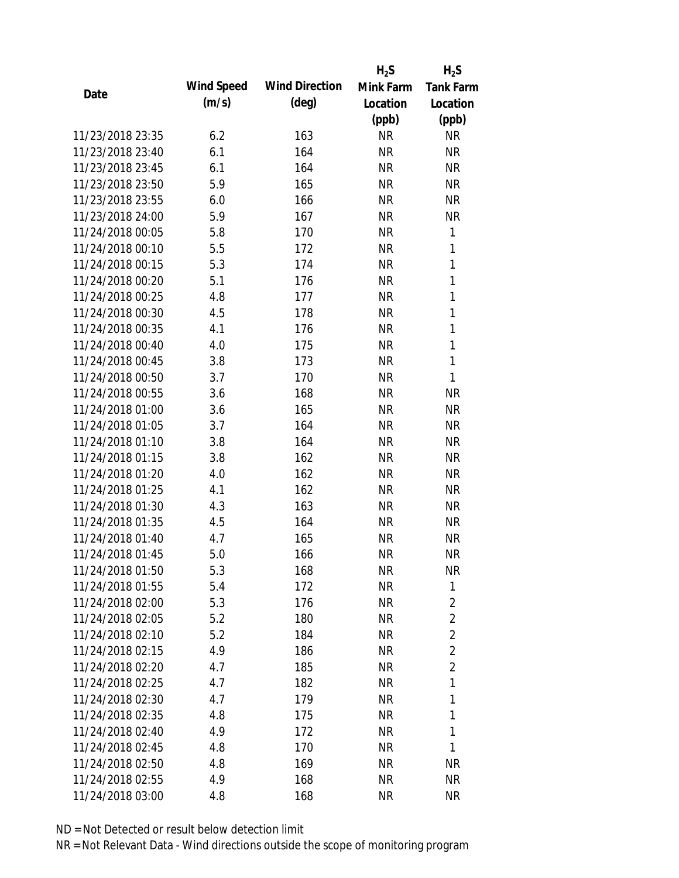|                  |            |                       | $H_2S$    | $H_2S$           |
|------------------|------------|-----------------------|-----------|------------------|
| Date             | Wind Speed | <b>Wind Direction</b> | Mink Farm | <b>Tank Farm</b> |
|                  | (m/s)      | $(\text{deg})$        | Location  | Location         |
|                  |            |                       | (ppb)     | (ppb)            |
| 11/23/2018 23:35 | 6.2        | 163                   | <b>NR</b> | <b>NR</b>        |
| 11/23/2018 23:40 | 6.1        | 164                   | <b>NR</b> | <b>NR</b>        |
| 11/23/2018 23:45 | 6.1        | 164                   | <b>NR</b> | <b>NR</b>        |
| 11/23/2018 23:50 | 5.9        | 165                   | <b>NR</b> | <b>NR</b>        |
| 11/23/2018 23:55 | 6.0        | 166                   | <b>NR</b> | <b>NR</b>        |
| 11/23/2018 24:00 | 5.9        | 167                   | <b>NR</b> | <b>NR</b>        |
| 11/24/2018 00:05 | 5.8        | 170                   | <b>NR</b> | 1                |
| 11/24/2018 00:10 | 5.5        | 172                   | <b>NR</b> | $\mathbf{1}$     |
| 11/24/2018 00:15 | 5.3        | 174                   | <b>NR</b> | $\mathbf{1}$     |
| 11/24/2018 00:20 | 5.1        | 176                   | <b>NR</b> | $\mathbf{1}$     |
| 11/24/2018 00:25 | 4.8        | 177                   | <b>NR</b> | 1                |
| 11/24/2018 00:30 | 4.5        | 178                   | <b>NR</b> | $\mathbf{1}$     |
| 11/24/2018 00:35 | 4.1        | 176                   | <b>NR</b> | $\mathbf{1}$     |
| 11/24/2018 00:40 | 4.0        | 175                   | <b>NR</b> | $\mathbf{1}$     |
| 11/24/2018 00:45 | 3.8        | 173                   | <b>NR</b> | $\mathbf{1}$     |
| 11/24/2018 00:50 | 3.7        | 170                   | <b>NR</b> | 1                |
| 11/24/2018 00:55 | 3.6        | 168                   | <b>NR</b> | <b>NR</b>        |
| 11/24/2018 01:00 | 3.6        | 165                   | <b>NR</b> | <b>NR</b>        |
| 11/24/2018 01:05 | 3.7        | 164                   | <b>NR</b> | <b>NR</b>        |
| 11/24/2018 01:10 | 3.8        | 164                   | <b>NR</b> | <b>NR</b>        |
| 11/24/2018 01:15 | 3.8        | 162                   | <b>NR</b> | <b>NR</b>        |
| 11/24/2018 01:20 | 4.0        | 162                   | <b>NR</b> | <b>NR</b>        |
| 11/24/2018 01:25 | 4.1        | 162                   | <b>NR</b> | <b>NR</b>        |
| 11/24/2018 01:30 | 4.3        | 163                   | <b>NR</b> | <b>NR</b>        |
| 11/24/2018 01:35 | 4.5        | 164                   | <b>NR</b> | <b>NR</b>        |
| 11/24/2018 01:40 | 4.7        | 165                   | <b>NR</b> | <b>NR</b>        |
| 11/24/2018 01:45 | 5.0        | 166                   | <b>NR</b> | <b>NR</b>        |
| 11/24/2018 01:50 | 5.3        | 168                   | <b>NR</b> | <b>NR</b>        |
| 11/24/2018 01:55 | 5.4        | 172                   | <b>NR</b> | 1                |
| 11/24/2018 02:00 | 5.3        | 176                   | <b>NR</b> | 2                |
| 11/24/2018 02:05 | 5.2        | 180                   | <b>NR</b> | $\overline{2}$   |
| 11/24/2018 02:10 | 5.2        | 184                   | <b>NR</b> | $\overline{2}$   |
| 11/24/2018 02:15 | 4.9        | 186                   | <b>NR</b> | $\overline{2}$   |
| 11/24/2018 02:20 | 4.7        | 185                   | <b>NR</b> | $\overline{2}$   |
| 11/24/2018 02:25 | 4.7        | 182                   | <b>NR</b> | 1                |
| 11/24/2018 02:30 | 4.7        | 179                   | <b>NR</b> | 1                |
| 11/24/2018 02:35 | 4.8        | 175                   | <b>NR</b> | 1                |
| 11/24/2018 02:40 | 4.9        | 172                   | <b>NR</b> | 1                |
| 11/24/2018 02:45 | 4.8        | 170                   | <b>NR</b> | 1                |
| 11/24/2018 02:50 | 4.8        | 169                   | <b>NR</b> | <b>NR</b>        |
| 11/24/2018 02:55 | 4.9        | 168                   | <b>NR</b> | <b>NR</b>        |
| 11/24/2018 03:00 | 4.8        | 168                   | <b>NR</b> | <b>NR</b>        |
|                  |            |                       |           |                  |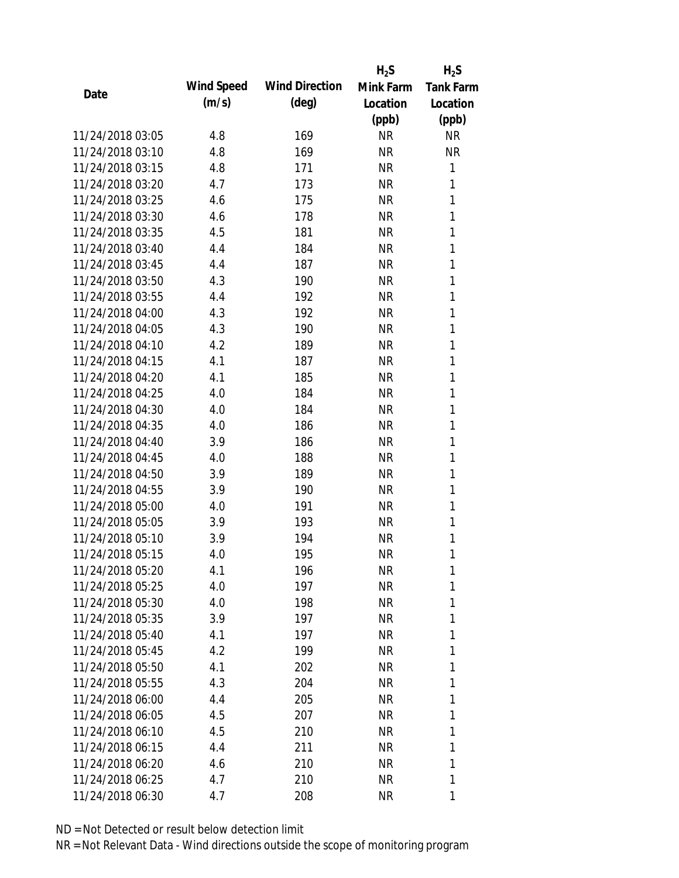|                  |            |                       | $H_2S$    | $H_2S$           |
|------------------|------------|-----------------------|-----------|------------------|
| Date             | Wind Speed | <b>Wind Direction</b> | Mink Farm | <b>Tank Farm</b> |
|                  | (m/s)      | $(\text{deg})$        | Location  | Location         |
|                  |            |                       | (ppb)     | (ppb)            |
| 11/24/2018 03:05 | 4.8        | 169                   | <b>NR</b> | <b>NR</b>        |
| 11/24/2018 03:10 | 4.8        | 169                   | <b>NR</b> | <b>NR</b>        |
| 11/24/2018 03:15 | 4.8        | 171                   | <b>NR</b> | 1                |
| 11/24/2018 03:20 | 4.7        | 173                   | <b>NR</b> | 1                |
| 11/24/2018 03:25 | 4.6        | 175                   | <b>NR</b> | 1                |
| 11/24/2018 03:30 | 4.6        | 178                   | <b>NR</b> | 1                |
| 11/24/2018 03:35 | 4.5        | 181                   | <b>NR</b> | 1                |
| 11/24/2018 03:40 | 4.4        | 184                   | <b>NR</b> | 1                |
| 11/24/2018 03:45 | 4.4        | 187                   | <b>NR</b> | 1                |
| 11/24/2018 03:50 | 4.3        | 190                   | <b>NR</b> | 1                |
| 11/24/2018 03:55 | 4.4        | 192                   | <b>NR</b> | 1                |
| 11/24/2018 04:00 | 4.3        | 192                   | <b>NR</b> | 1                |
| 11/24/2018 04:05 | 4.3        | 190                   | <b>NR</b> | 1                |
| 11/24/2018 04:10 | 4.2        | 189                   | <b>NR</b> | 1                |
| 11/24/2018 04:15 | 4.1        | 187                   | <b>NR</b> | 1                |
| 11/24/2018 04:20 | 4.1        | 185                   | <b>NR</b> | 1                |
| 11/24/2018 04:25 | 4.0        | 184                   | <b>NR</b> | 1                |
| 11/24/2018 04:30 | 4.0        | 184                   | <b>NR</b> | 1                |
| 11/24/2018 04:35 | 4.0        | 186                   | <b>NR</b> | 1                |
| 11/24/2018 04:40 | 3.9        | 186                   | <b>NR</b> | 1                |
| 11/24/2018 04:45 | 4.0        | 188                   | <b>NR</b> | 1                |
| 11/24/2018 04:50 | 3.9        | 189                   | <b>NR</b> | 1                |
| 11/24/2018 04:55 | 3.9        | 190                   | <b>NR</b> | 1                |
| 11/24/2018 05:00 | 4.0        | 191                   | <b>NR</b> | 1                |
| 11/24/2018 05:05 | 3.9        | 193                   | <b>NR</b> | 1                |
| 11/24/2018 05:10 | 3.9        | 194                   | <b>NR</b> | 1                |
| 11/24/2018 05:15 | 4.0        | 195                   | <b>NR</b> | 1                |
| 11/24/2018 05:20 | 4.1        | 196                   | <b>NR</b> | 1                |
| 11/24/2018 05:25 | 4.0        | 197                   | <b>NR</b> | 1                |
| 11/24/2018 05:30 | 4.0        | 198                   | NR        | 1                |
| 11/24/2018 05:35 | 3.9        | 197                   | NR        | 1                |
| 11/24/2018 05:40 | 4.1        | 197                   | <b>NR</b> | 1                |
| 11/24/2018 05:45 | 4.2        | 199                   | NR        | 1                |
| 11/24/2018 05:50 | 4.1        | 202                   | <b>NR</b> | 1                |
| 11/24/2018 05:55 | 4.3        | 204                   | <b>NR</b> | 1                |
| 11/24/2018 06:00 | 4.4        | 205                   | NR        | 1                |
| 11/24/2018 06:05 | 4.5        | 207                   | NR        | 1                |
| 11/24/2018 06:10 | 4.5        | 210                   | NR        | 1                |
| 11/24/2018 06:15 | 4.4        | 211                   | NR        | 1                |
| 11/24/2018 06:20 | 4.6        | 210                   | <b>NR</b> | 1                |
| 11/24/2018 06:25 | 4.7        | 210                   | <b>NR</b> | 1                |
| 11/24/2018 06:30 | 4.7        | 208                   | <b>NR</b> | 1                |
|                  |            |                       |           |                  |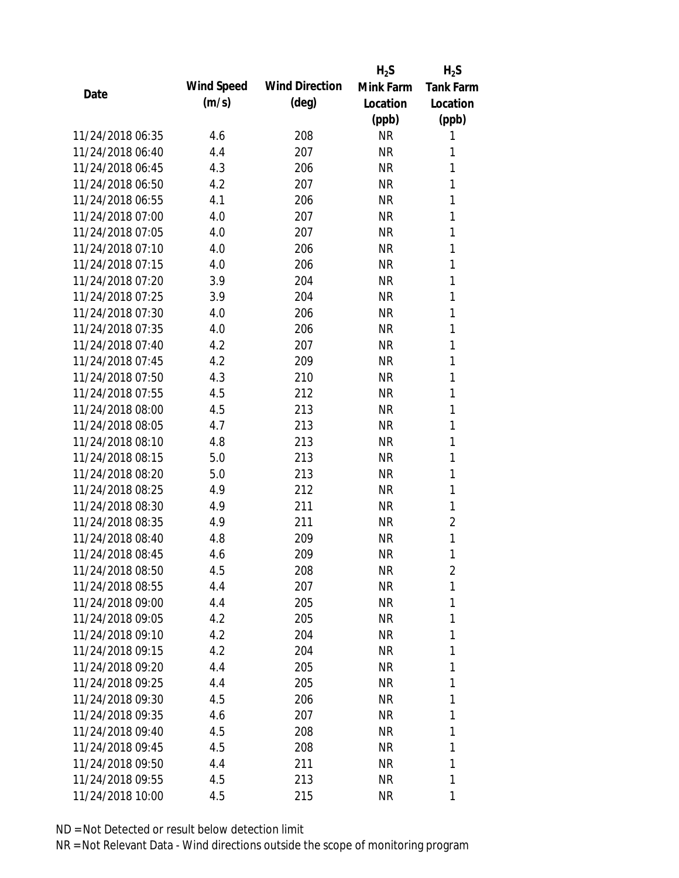|                  |            |                       | $H_2S$    | $H_2S$           |
|------------------|------------|-----------------------|-----------|------------------|
| Date             | Wind Speed | <b>Wind Direction</b> | Mink Farm | <b>Tank Farm</b> |
|                  | (m/s)      | $(\text{deg})$        | Location  | Location         |
|                  |            |                       | (ppb)     | (ppb)            |
| 11/24/2018 06:35 | 4.6        | 208                   | <b>NR</b> | 1                |
| 11/24/2018 06:40 | 4.4        | 207                   | <b>NR</b> | 1                |
| 11/24/2018 06:45 | 4.3        | 206                   | <b>NR</b> | 1                |
| 11/24/2018 06:50 | 4.2        | 207                   | <b>NR</b> | 1                |
| 11/24/2018 06:55 | 4.1        | 206                   | <b>NR</b> | 1                |
| 11/24/2018 07:00 | 4.0        | 207                   | <b>NR</b> | 1                |
| 11/24/2018 07:05 | 4.0        | 207                   | <b>NR</b> | 1                |
| 11/24/2018 07:10 | 4.0        | 206                   | <b>NR</b> | 1                |
| 11/24/2018 07:15 | 4.0        | 206                   | <b>NR</b> | 1                |
| 11/24/2018 07:20 | 3.9        | 204                   | <b>NR</b> | 1                |
| 11/24/2018 07:25 | 3.9        | 204                   | <b>NR</b> | 1                |
| 11/24/2018 07:30 | 4.0        | 206                   | <b>NR</b> | 1                |
| 11/24/2018 07:35 | 4.0        | 206                   | <b>NR</b> | 1                |
| 11/24/2018 07:40 | 4.2        | 207                   | <b>NR</b> | 1                |
| 11/24/2018 07:45 | 4.2        | 209                   | <b>NR</b> | 1                |
| 11/24/2018 07:50 | 4.3        | 210                   | <b>NR</b> | 1                |
| 11/24/2018 07:55 | 4.5        | 212                   | <b>NR</b> | 1                |
| 11/24/2018 08:00 | 4.5        | 213                   | <b>NR</b> | 1                |
| 11/24/2018 08:05 | 4.7        | 213                   | <b>NR</b> | 1                |
| 11/24/2018 08:10 | 4.8        | 213                   | <b>NR</b> | 1                |
| 11/24/2018 08:15 | 5.0        | 213                   | <b>NR</b> | 1                |
| 11/24/2018 08:20 | 5.0        | 213                   | <b>NR</b> | 1                |
| 11/24/2018 08:25 | 4.9        | 212                   | <b>NR</b> | 1                |
| 11/24/2018 08:30 | 4.9        | 211                   | <b>NR</b> | 1                |
| 11/24/2018 08:35 | 4.9        | 211                   | <b>NR</b> | $\overline{2}$   |
| 11/24/2018 08:40 | 4.8        | 209                   | <b>NR</b> | 1                |
| 11/24/2018 08:45 | 4.6        | 209                   | <b>NR</b> | 1                |
| 11/24/2018 08:50 | 4.5        | 208                   | <b>NR</b> | $\overline{c}$   |
| 11/24/2018 08:55 | 4.4        | 207                   | <b>NR</b> | 1                |
| 11/24/2018 09:00 | 4.4        | 205                   | NR        | 1                |
| 11/24/2018 09:05 | 4.2        | 205                   | NR        | 1                |
| 11/24/2018 09:10 | 4.2        | 204                   | <b>NR</b> | 1                |
| 11/24/2018 09:15 | 4.2        | 204                   | NR        | 1                |
| 11/24/2018 09:20 | 4.4        | 205                   | <b>NR</b> | 1                |
| 11/24/2018 09:25 | 4.4        | 205                   | <b>NR</b> | 1                |
| 11/24/2018 09:30 | 4.5        | 206                   | NR        | 1                |
| 11/24/2018 09:35 | 4.6        | 207                   | NR        | 1                |
| 11/24/2018 09:40 | 4.5        | 208                   | NR        | 1                |
| 11/24/2018 09:45 | 4.5        | 208                   | NR        | 1                |
| 11/24/2018 09:50 | 4.4        | 211                   | <b>NR</b> | 1                |
| 11/24/2018 09:55 | 4.5        | 213                   | <b>NR</b> | 1                |
| 11/24/2018 10:00 | 4.5        | 215                   | <b>NR</b> | 1                |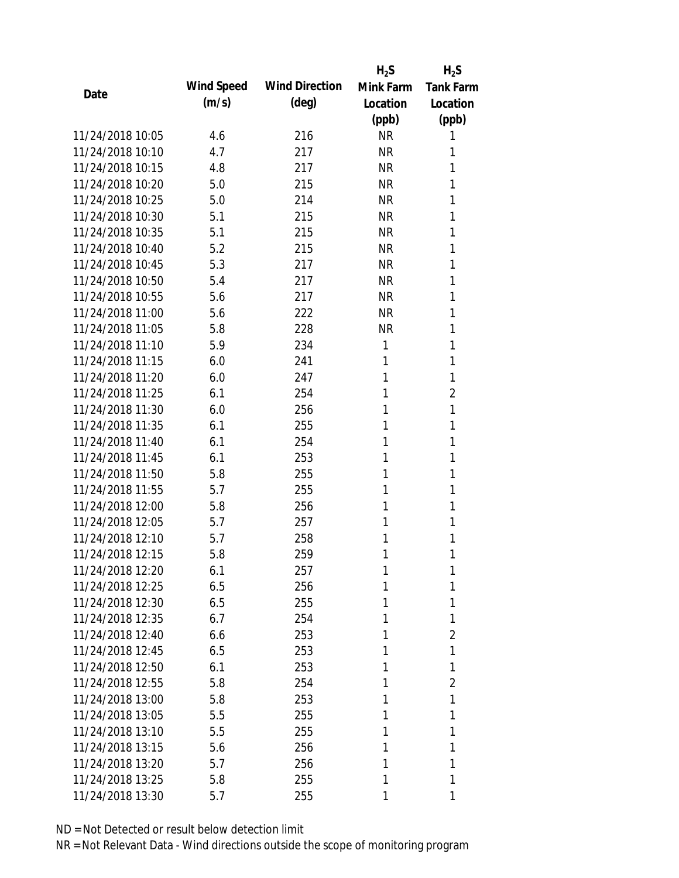|                  |            |                       | $H_2S$    | $H_2S$           |
|------------------|------------|-----------------------|-----------|------------------|
|                  | Wind Speed | <b>Wind Direction</b> | Mink Farm | <b>Tank Farm</b> |
| Date             | (m/s)      | $(\text{deg})$        | Location  | Location         |
|                  |            |                       | (ppb)     | (ppb)            |
| 11/24/2018 10:05 | 4.6        | 216                   | <b>NR</b> | 1                |
| 11/24/2018 10:10 | 4.7        | 217                   | <b>NR</b> | 1                |
| 11/24/2018 10:15 | 4.8        | 217                   | <b>NR</b> | 1                |
| 11/24/2018 10:20 | 5.0        | 215                   | <b>NR</b> | 1                |
| 11/24/2018 10:25 | 5.0        | 214                   | <b>NR</b> | 1                |
| 11/24/2018 10:30 | 5.1        | 215                   | <b>NR</b> | 1                |
| 11/24/2018 10:35 | 5.1        | 215                   | <b>NR</b> | 1                |
| 11/24/2018 10:40 | 5.2        | 215                   | <b>NR</b> | 1                |
| 11/24/2018 10:45 | 5.3        | 217                   | <b>NR</b> | 1                |
| 11/24/2018 10:50 | 5.4        | 217                   | <b>NR</b> | 1                |
| 11/24/2018 10:55 | 5.6        | 217                   | <b>NR</b> | 1                |
| 11/24/2018 11:00 | 5.6        | 222                   | <b>NR</b> | 1                |
| 11/24/2018 11:05 | 5.8        | 228                   | <b>NR</b> | 1                |
| 11/24/2018 11:10 | 5.9        | 234                   | 1         | 1                |
| 11/24/2018 11:15 | 6.0        | 241                   | 1         | 1                |
| 11/24/2018 11:20 | 6.0        | 247                   | 1         | 1                |
| 11/24/2018 11:25 | 6.1        | 254                   | 1         | $\overline{2}$   |
| 11/24/2018 11:30 | 6.0        | 256                   | 1         | 1                |
| 11/24/2018 11:35 | 6.1        | 255                   | 1         | 1                |
| 11/24/2018 11:40 | 6.1        | 254                   | 1         | 1                |
| 11/24/2018 11:45 | 6.1        | 253                   | 1         | 1                |
| 11/24/2018 11:50 | 5.8        | 255                   | 1         | 1                |
| 11/24/2018 11:55 | 5.7        | 255                   | 1         | 1                |
| 11/24/2018 12:00 | 5.8        | 256                   | 1         | 1                |
| 11/24/2018 12:05 | 5.7        | 257                   | 1         | 1                |
| 11/24/2018 12:10 | 5.7        | 258                   | 1         | 1                |
| 11/24/2018 12:15 | 5.8        | 259                   | 1         | 1                |
| 11/24/2018 12:20 | 6.1        | 257                   | 1         | 1                |
| 11/24/2018 12:25 | 6.5        | 256                   | 1         | 1                |
| 11/24/2018 12:30 | 6.5        | 255                   | 1         | 1                |
| 11/24/2018 12:35 | 6.7        | 254                   | 1         | 1                |
| 11/24/2018 12:40 | 6.6        | 253                   | 1         | 2                |
| 11/24/2018 12:45 | 6.5        | 253                   | 1         | 1                |
| 11/24/2018 12:50 | 6.1        | 253                   | 1         | 1                |
| 11/24/2018 12:55 | 5.8        | 254                   | 1         | $\overline{2}$   |
| 11/24/2018 13:00 | 5.8        | 253                   | 1         | 1                |
| 11/24/2018 13:05 | 5.5        | 255                   | 1         | 1                |
| 11/24/2018 13:10 | 5.5        | 255                   | 1         | 1                |
| 11/24/2018 13:15 | 5.6        | 256                   | 1         | 1                |
| 11/24/2018 13:20 | 5.7        | 256                   | 1         | 1                |
| 11/24/2018 13:25 | 5.8        | 255                   | 1         | 1                |
| 11/24/2018 13:30 | 5.7        | 255                   | 1         | 1                |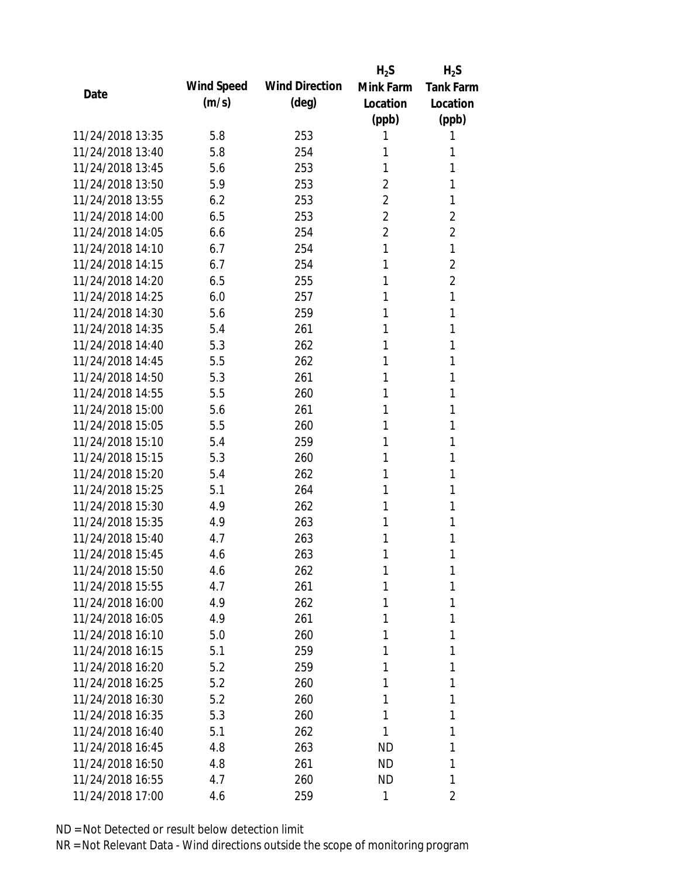|                  |            |                       | $H_2S$         | $H_2S$           |
|------------------|------------|-----------------------|----------------|------------------|
| Date             | Wind Speed | <b>Wind Direction</b> | Mink Farm      | <b>Tank Farm</b> |
|                  | (m/s)      | $(\text{deg})$        | Location       | Location         |
|                  |            |                       | (ppb)          | (ppb)            |
| 11/24/2018 13:35 | 5.8        | 253                   | 1              | 1                |
| 11/24/2018 13:40 | 5.8        | 254                   | 1              | 1                |
| 11/24/2018 13:45 | 5.6        | 253                   | 1              | 1                |
| 11/24/2018 13:50 | 5.9        | 253                   | $\overline{2}$ | 1                |
| 11/24/2018 13:55 | 6.2        | 253                   | $\overline{2}$ | 1                |
| 11/24/2018 14:00 | 6.5        | 253                   | $\overline{2}$ | 2                |
| 11/24/2018 14:05 | 6.6        | 254                   | $\overline{2}$ | 2                |
| 11/24/2018 14:10 | 6.7        | 254                   | 1              | 1                |
| 11/24/2018 14:15 | 6.7        | 254                   | 1              | $\overline{2}$   |
| 11/24/2018 14:20 | 6.5        | 255                   | 1              | $\overline{2}$   |
| 11/24/2018 14:25 | 6.0        | 257                   | 1              | 1                |
| 11/24/2018 14:30 | 5.6        | 259                   | 1              | 1                |
| 11/24/2018 14:35 | 5.4        | 261                   | 1              | 1                |
| 11/24/2018 14:40 | 5.3        | 262                   | 1              | 1                |
| 11/24/2018 14:45 | 5.5        | 262                   | 1              | 1                |
| 11/24/2018 14:50 | 5.3        | 261                   | 1              | 1                |
| 11/24/2018 14:55 | 5.5        | 260                   | 1              | 1                |
| 11/24/2018 15:00 | 5.6        | 261                   | 1              | 1                |
| 11/24/2018 15:05 | 5.5        | 260                   | 1              | 1                |
| 11/24/2018 15:10 | 5.4        | 259                   | 1              | 1                |
| 11/24/2018 15:15 | 5.3        | 260                   | 1              | 1                |
| 11/24/2018 15:20 | 5.4        | 262                   | 1              | 1                |
| 11/24/2018 15:25 | 5.1        | 264                   | 1              | 1                |
| 11/24/2018 15:30 | 4.9        | 262                   | 1              | 1                |
| 11/24/2018 15:35 | 4.9        | 263                   | 1              | 1                |
| 11/24/2018 15:40 | 4.7        | 263                   | 1              | 1                |
| 11/24/2018 15:45 | 4.6        | 263                   | 1              | 1                |
| 11/24/2018 15:50 | 4.6        | 262                   | 1              | 1                |
| 11/24/2018 15:55 | 4.7        | 261                   | 1              | 1                |
| 11/24/2018 16:00 | 4.9        | 262                   | 1              | 1                |
| 11/24/2018 16:05 | 4.9        | 261                   | 1              | 1                |
| 11/24/2018 16:10 | 5.0        | 260                   | 1              | 1                |
| 11/24/2018 16:15 | 5.1        | 259                   | 1              | 1                |
| 11/24/2018 16:20 | 5.2        | 259                   | 1              | 1                |
| 11/24/2018 16:25 | 5.2        | 260                   | 1              | 1                |
| 11/24/2018 16:30 | 5.2        | 260                   | 1              | 1                |
| 11/24/2018 16:35 | 5.3        | 260                   | 1              | 1                |
| 11/24/2018 16:40 | 5.1        | 262                   | 1              | 1                |
| 11/24/2018 16:45 | 4.8        | 263                   | <b>ND</b>      | 1                |
| 11/24/2018 16:50 | 4.8        | 261                   | ND             | 1                |
| 11/24/2018 16:55 | 4.7        | 260                   | ND             | 1                |
| 11/24/2018 17:00 | 4.6        | 259                   | 1              | 2                |
|                  |            |                       |                |                  |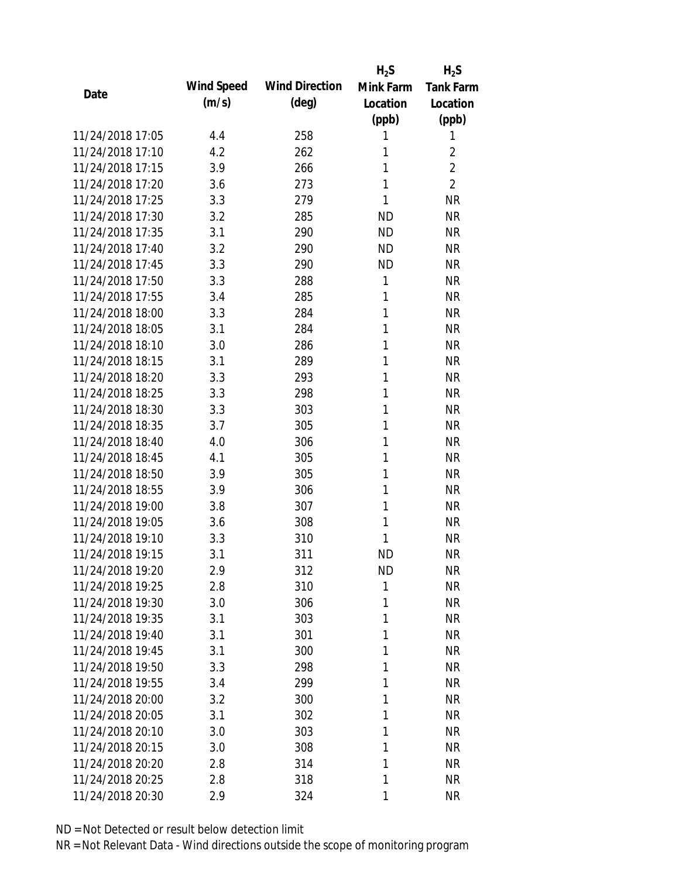|                  |            |                       | $H_2S$    | $H_2S$           |
|------------------|------------|-----------------------|-----------|------------------|
| Date             | Wind Speed | <b>Wind Direction</b> | Mink Farm | <b>Tank Farm</b> |
|                  | (m/s)      | $(\text{deg})$        | Location  | Location         |
|                  |            |                       | (ppb)     | (ppb)            |
| 11/24/2018 17:05 | 4.4        | 258                   | 1         | 1                |
| 11/24/2018 17:10 | 4.2        | 262                   | 1         | $\overline{2}$   |
| 11/24/2018 17:15 | 3.9        | 266                   | 1         | $\overline{2}$   |
| 11/24/2018 17:20 | 3.6        | 273                   | 1         | $\overline{2}$   |
| 11/24/2018 17:25 | 3.3        | 279                   | 1         | <b>NR</b>        |
| 11/24/2018 17:30 | 3.2        | 285                   | <b>ND</b> | <b>NR</b>        |
| 11/24/2018 17:35 | 3.1        | 290                   | <b>ND</b> | <b>NR</b>        |
| 11/24/2018 17:40 | 3.2        | 290                   | <b>ND</b> | <b>NR</b>        |
| 11/24/2018 17:45 | 3.3        | 290                   | <b>ND</b> | <b>NR</b>        |
| 11/24/2018 17:50 | 3.3        | 288                   | 1         | <b>NR</b>        |
| 11/24/2018 17:55 | 3.4        | 285                   | 1         | <b>NR</b>        |
| 11/24/2018 18:00 | 3.3        | 284                   | 1         | <b>NR</b>        |
| 11/24/2018 18:05 | 3.1        | 284                   | 1         | <b>NR</b>        |
| 11/24/2018 18:10 | 3.0        | 286                   | 1         | <b>NR</b>        |
| 11/24/2018 18:15 | 3.1        | 289                   | 1         | <b>NR</b>        |
| 11/24/2018 18:20 | 3.3        | 293                   | 1         | <b>NR</b>        |
| 11/24/2018 18:25 | 3.3        | 298                   | 1         | <b>NR</b>        |
| 11/24/2018 18:30 | 3.3        | 303                   | 1         | <b>NR</b>        |
| 11/24/2018 18:35 | 3.7        | 305                   | 1         | <b>NR</b>        |
| 11/24/2018 18:40 | 4.0        | 306                   | 1         | <b>NR</b>        |
| 11/24/2018 18:45 | 4.1        | 305                   | 1         | <b>NR</b>        |
| 11/24/2018 18:50 | 3.9        | 305                   | 1         | <b>NR</b>        |
| 11/24/2018 18:55 | 3.9        | 306                   | 1         | <b>NR</b>        |
| 11/24/2018 19:00 | 3.8        | 307                   | 1         | <b>NR</b>        |
| 11/24/2018 19:05 | 3.6        | 308                   | 1         | <b>NR</b>        |
| 11/24/2018 19:10 | 3.3        | 310                   | 1         | <b>NR</b>        |
| 11/24/2018 19:15 | 3.1        | 311                   | <b>ND</b> | <b>NR</b>        |
| 11/24/2018 19:20 | 2.9        | 312                   | <b>ND</b> | <b>NR</b>        |
| 11/24/2018 19:25 | 2.8        | 310                   | 1         | <b>NR</b>        |
| 11/24/2018 19:30 | 3.0        | 306                   | 1         | <b>NR</b>        |
| 11/24/2018 19:35 | 3.1        | 303                   | 1         | <b>NR</b>        |
| 11/24/2018 19:40 | 3.1        | 301                   | 1         | <b>NR</b>        |
| 11/24/2018 19:45 | 3.1        | 300                   | 1         | <b>NR</b>        |
| 11/24/2018 19:50 | 3.3        | 298                   | 1         | <b>NR</b>        |
| 11/24/2018 19:55 | 3.4        | 299                   | 1         | <b>NR</b>        |
| 11/24/2018 20:00 | 3.2        | 300                   | 1         | <b>NR</b>        |
| 11/24/2018 20:05 | 3.1        | 302                   | 1         | <b>NR</b>        |
| 11/24/2018 20:10 | 3.0        | 303                   | 1         | <b>NR</b>        |
| 11/24/2018 20:15 | 3.0        | 308                   | 1         | <b>NR</b>        |
| 11/24/2018 20:20 | 2.8        | 314                   | 1         | <b>NR</b>        |
| 11/24/2018 20:25 | 2.8        | 318                   | 1         | <b>NR</b>        |
| 11/24/2018 20:30 | 2.9        | 324                   | 1         | <b>NR</b>        |
|                  |            |                       |           |                  |